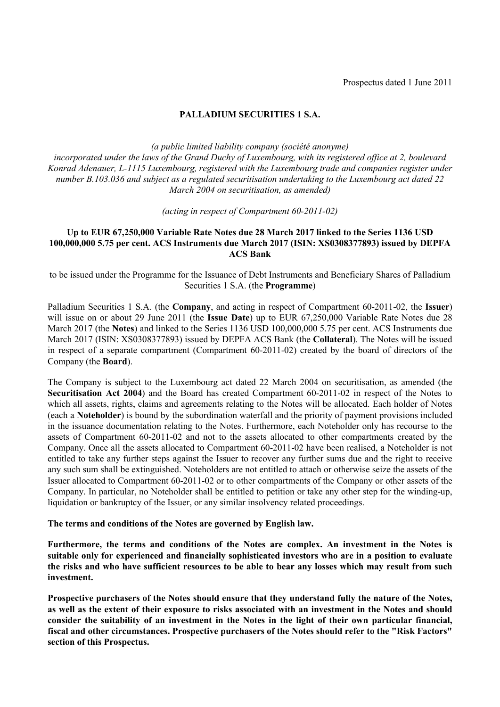# **PALLADIUM SECURITIES 1 S.A.**

*(a public limited liability company (société anonyme)*

*incorporated under the laws of the Grand Duchy of Luxembourg, with its registered office at 2, boulevard Konrad Adenauer, L-1115 Luxembourg, registered with the Luxembourg trade and companies register under number B.103.036 and subject as a regulated securitisation undertaking to the Luxembourg act dated 22 March 2004 on securitisation, as amended)* 

*(acting in respect of Compartment 60-2011-02)*

## **Up to EUR 67,250,000 Variable Rate Notes due 28 March 2017 linked to the Series 1136 USD 100,000,000 5.75 per cent. ACS Instruments due March 2017 (ISIN: XS0308377893) issued by DEPFA ACS Bank**

to be issued under the Programme for the Issuance of Debt Instruments and Beneficiary Shares of Palladium Securities 1 S.A. (the **Programme**)

Palladium Securities 1 S.A. (the **Company**, and acting in respect of Compartment 60-2011-02, the **Issuer**) will issue on or about 29 June 2011 (the **Issue Date**) up to EUR 67,250,000 Variable Rate Notes due 28 March 2017 (the **Notes**) and linked to the Series 1136 USD 100,000,000 5.75 per cent. ACS Instruments due March 2017 (ISIN: XS0308377893) issued by DEPFA ACS Bank (the **Collateral**). The Notes will be issued in respect of a separate compartment (Compartment 60-2011-02) created by the board of directors of the Company (the **Board**).

The Company is subject to the Luxembourg act dated 22 March 2004 on securitisation, as amended (the **Securitisation Act 2004**) and the Board has created Compartment 60-2011-02 in respect of the Notes to which all assets, rights, claims and agreements relating to the Notes will be allocated. Each holder of Notes (each a **Noteholder**) is bound by the subordination waterfall and the priority of payment provisions included in the issuance documentation relating to the Notes. Furthermore, each Noteholder only has recourse to the assets of Compartment 60-2011-02 and not to the assets allocated to other compartments created by the Company. Once all the assets allocated to Compartment 60-2011-02 have been realised, a Noteholder is not entitled to take any further steps against the Issuer to recover any further sums due and the right to receive any such sum shall be extinguished. Noteholders are not entitled to attach or otherwise seize the assets of the Issuer allocated to Compartment 60-2011-02 or to other compartments of the Company or other assets of the Company. In particular, no Noteholder shall be entitled to petition or take any other step for the winding-up, liquidation or bankruptcy of the Issuer, or any similar insolvency related proceedings.

**The terms and conditions of the Notes are governed by English law.**

**Furthermore, the terms and conditions of the Notes are complex. An investment in the Notes is suitable only for experienced and financially sophisticated investors who are in a position to evaluate the risks and who have sufficient resources to be able to bear any losses which may result from such investment.**

**Prospective purchasers of the Notes should ensure that they understand fully the nature of the Notes, as well as the extent of their exposure to risks associated with an investment in the Notes and should consider the suitability of an investment in the Notes in the light of their own particular financial, fiscal and other circumstances. Prospective purchasers of the Notes should refer to the "Risk Factors" section of this Prospectus.**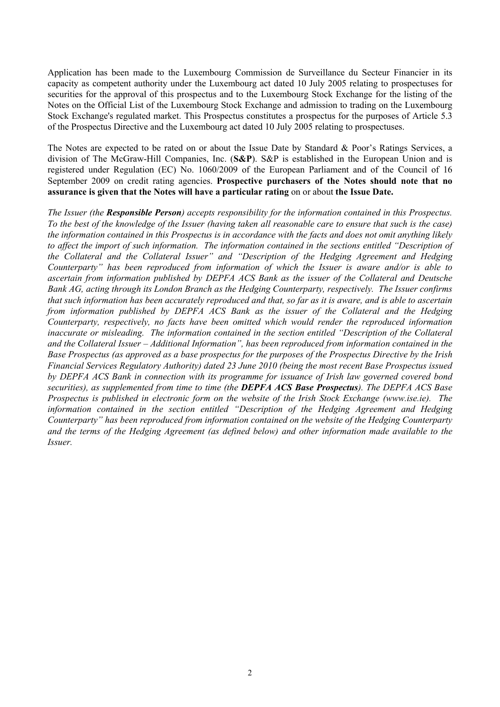Application has been made to the Luxembourg Commission de Surveillance du Secteur Financier in its capacity as competent authority under the Luxembourg act dated 10 July 2005 relating to prospectuses for securities for the approval of this prospectus and to the Luxembourg Stock Exchange for the listing of the Notes on the Official List of the Luxembourg Stock Exchange and admission to trading on the Luxembourg Stock Exchange's regulated market. This Prospectus constitutes a prospectus for the purposes of Article 5.3 of the Prospectus Directive and the Luxembourg act dated 10 July 2005 relating to prospectuses.

The Notes are expected to be rated on or about the Issue Date by Standard & Poor's Ratings Services, a division of The McGraw-Hill Companies, Inc. (**S&P**). S&P is established in the European Union and is registered under Regulation (EC) No. 1060/2009 of the European Parliament and of the Council of 16 September 2009 on credit rating agencies. **Prospective purchasers of the Notes should note that no assurance is given that the Notes will have a particular rating** on or about **the Issue Date.**

*The Issuer (the Responsible Person) accepts responsibility for the information contained in this Prospectus. To the best of the knowledge of the Issuer (having taken all reasonable care to ensure that such is the case) the information contained in this Prospectus is in accordance with the facts and does not omit anything likely*  to affect the import of such information. The information contained in the sections entitled "Description of *the Collateral and the Collateral Issuer" and "Description of the Hedging Agreement and Hedging Counterparty" has been reproduced from information of which the Issuer is aware and/or is able to ascertain from information published by DEPFA ACS Bank as the issuer of the Collateral and Deutsche Bank AG, acting through its London Branch as the Hedging Counterparty, respectively. The Issuer confirms that such information has been accurately reproduced and that, so far as it is aware, and is able to ascertain from information published by DEPFA ACS Bank as the issuer of the Collateral and the Hedging Counterparty, respectively, no facts have been omitted which would render the reproduced information inaccurate or misleading. The information contained in the section entitled "Description of the Collateral*  and the Collateral Issuer – Additional Information", has been reproduced from information contained in the *Base Prospectus (as approved as a base prospectus for the purposes of the Prospectus Directive by the Irish Financial Services Regulatory Authority) dated 23 June 2010 (being the most recent Base Prospectus issued by DEPFA ACS Bank in connection with its programme for issuance of Irish law governed covered bond securities), as supplemented from time to time (the DEPFA ACS Base Prospectus). The DEPFA ACS Base Prospectus is published in electronic form on the website of the Irish Stock Exchange ([www.ise.ie\). Th](www.ise.ie).  T)e information contained in the section entitled "Description of the Hedging Agreement and Hedging Counterparty" has been reproduced from information contained on the website of the Hedging Counterparty and the terms of the Hedging Agreement (as defined below) and other information made available to the Issuer.*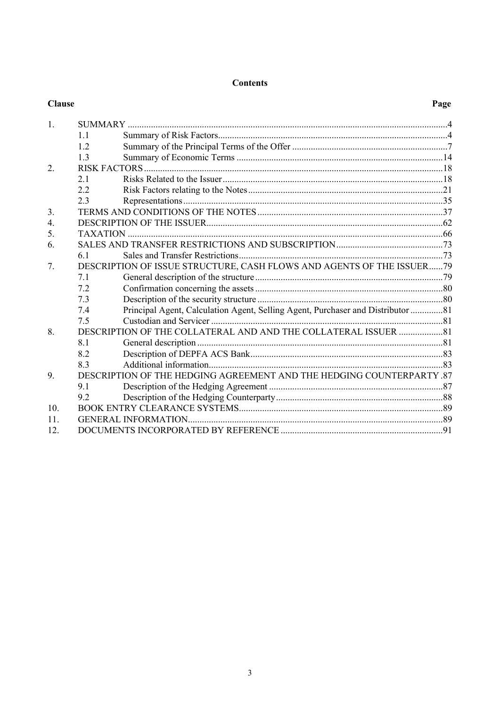# **Contents**

| <b>Clause</b>   |                                                                       |                                                                                 | Page |
|-----------------|-----------------------------------------------------------------------|---------------------------------------------------------------------------------|------|
| 1.              |                                                                       |                                                                                 |      |
|                 | 1.1                                                                   |                                                                                 |      |
|                 | 12                                                                    |                                                                                 |      |
|                 | 1.3                                                                   |                                                                                 |      |
| 2.              |                                                                       |                                                                                 |      |
|                 | 2.1                                                                   |                                                                                 |      |
|                 | 2.2                                                                   |                                                                                 |      |
|                 | 2.3                                                                   |                                                                                 |      |
| 3.              |                                                                       |                                                                                 |      |
| 4.              |                                                                       |                                                                                 |      |
| 5.              |                                                                       |                                                                                 |      |
| 6.              |                                                                       |                                                                                 |      |
|                 | 6.1                                                                   |                                                                                 |      |
| 7.              | DESCRIPTION OF ISSUE STRUCTURE, CASH FLOWS AND AGENTS OF THE ISSUER79 |                                                                                 |      |
|                 | 7.1                                                                   |                                                                                 |      |
|                 | 7.2                                                                   |                                                                                 |      |
|                 | 7.3                                                                   |                                                                                 |      |
|                 | 74                                                                    | Principal Agent, Calculation Agent, Selling Agent, Purchaser and Distributor 81 |      |
|                 | 7.5                                                                   |                                                                                 |      |
| 8.              |                                                                       | DESCRIPTION OF THE COLLATERAL AND AND THE COLLATERAL ISSUER 81                  |      |
|                 | 8.1                                                                   |                                                                                 |      |
|                 | 8.2                                                                   |                                                                                 |      |
|                 | 8.3                                                                   |                                                                                 |      |
| 9.              |                                                                       | DESCRIPTION OF THE HEDGING AGREEMENT AND THE HEDGING COUNTERPARTY .87           |      |
|                 | 9.1                                                                   |                                                                                 |      |
|                 | 9.2                                                                   |                                                                                 |      |
| 10 <sub>l</sub> |                                                                       |                                                                                 |      |
| 11              |                                                                       |                                                                                 |      |
| 12.             |                                                                       |                                                                                 |      |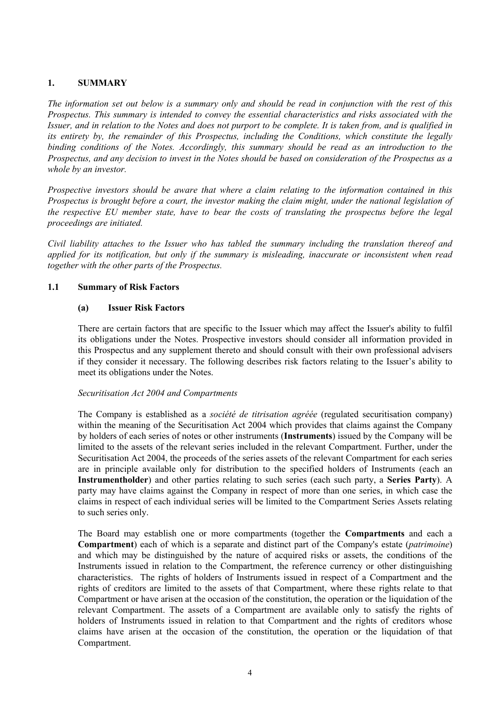# **1. SUMMARY**

*The information set out below is a summary only and should be read in conjunction with the rest of this Prospectus. This summary is intended to convey the essential characteristics and risks associated with the Issuer, and in relation to the Notes and does not purport to be complete. It is taken from, and is qualified in its entirety by, the remainder of this Prospectus, including the Conditions, which constitute the legally binding conditions of the Notes. Accordingly, this summary should be read as an introduction to the Prospectus, and any decision to invest in the Notes should be based on consideration of the Prospectus as a whole by an investor.*

*Prospective investors should be aware that where a claim relating to the information contained in this Prospectus is brought before a court, the investor making the claim might, under the national legislation of the respective EU member state, have to bear the costs of translating the prospectus before the legal proceedings are initiated.*

*Civil liability attaches to the Issuer who has tabled the summary including the translation thereof and applied for its notification, but only if the summary is misleading, inaccurate or inconsistent when read together with the other parts of the Prospectus.*

## **1.1 Summary of Risk Factors**

## **(a) Issuer Risk Factors**

There are certain factors that are specific to the Issuer which may affect the Issuer's ability to fulfil its obligations under the Notes. Prospective investors should consider all information provided in this Prospectus and any supplement thereto and should consult with their own professional advisers if they consider it necessary. The following describes risk factors relating to the Issuer's ability to meet its obligations under the Notes.

### *Securitisation Act 2004 and Compartments*

The Company is established as a *société de titrisation agréée* (regulated securitisation company) within the meaning of the Securitisation Act 2004 which provides that claims against the Company by holders of each series of notes or other instruments (**Instruments**) issued by the Company will be limited to the assets of the relevant series included in the relevant Compartment. Further, under the Securitisation Act 2004, the proceeds of the series assets of the relevant Compartment for each series are in principle available only for distribution to the specified holders of Instruments (each an **Instrumentholder**) and other parties relating to such series (each such party, a **Series Party**). A party may have claims against the Company in respect of more than one series, in which case the claims in respect of each individual series will be limited to the Compartment Series Assets relating to such series only.

The Board may establish one or more compartments (together the **Compartments** and each a **Compartment**) each of which is a separate and distinct part of the Company's estate (*patrimoine*) and which may be distinguished by the nature of acquired risks or assets, the conditions of the Instruments issued in relation to the Compartment, the reference currency or other distinguishing characteristics. The rights of holders of Instruments issued in respect of a Compartment and the rights of creditors are limited to the assets of that Compartment, where these rights relate to that Compartment or have arisen at the occasion of the constitution, the operation or the liquidation of the relevant Compartment. The assets of a Compartment are available only to satisfy the rights of holders of Instruments issued in relation to that Compartment and the rights of creditors whose claims have arisen at the occasion of the constitution, the operation or the liquidation of that Compartment.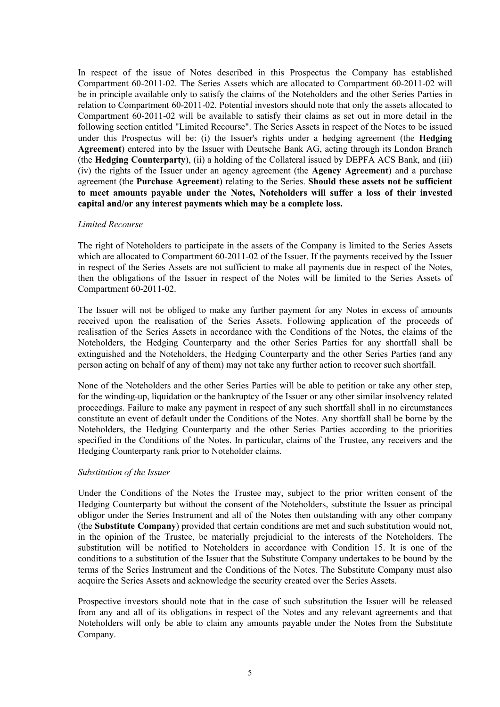In respect of the issue of Notes described in this Prospectus the Company has established Compartment 60-2011-02. The Series Assets which are allocated to Compartment 60-2011-02 will be in principle available only to satisfy the claims of the Noteholders and the other Series Parties in relation to Compartment 60-2011-02. Potential investors should note that only the assets allocated to Compartment 60-2011-02 will be available to satisfy their claims as set out in more detail in the following section entitled "Limited Recourse". The Series Assets in respect of the Notes to be issued under this Prospectus will be: (i) the Issuer's rights under a hedging agreement (the **Hedging Agreement**) entered into by the Issuer with Deutsche Bank AG, acting through its London Branch (the **Hedging Counterparty**), (ii) a holding of the Collateral issued by DEPFA ACS Bank, and (iii) (iv) the rights of the Issuer under an agency agreement (the **Agency Agreement**) and a purchase agreement (the **Purchase Agreement**) relating to the Series. **Should these assets not be sufficient to meet amounts payable under the Notes, Noteholders will suffer a loss of their invested capital and/or any interest payments which may be a complete loss.**

### *Limited Recourse*

The right of Noteholders to participate in the assets of the Company is limited to the Series Assets which are allocated to Compartment 60-2011-02 of the Issuer. If the payments received by the Issuer in respect of the Series Assets are not sufficient to make all payments due in respect of the Notes, then the obligations of the Issuer in respect of the Notes will be limited to the Series Assets of Compartment 60-2011-02.

The Issuer will not be obliged to make any further payment for any Notes in excess of amounts received upon the realisation of the Series Assets. Following application of the proceeds of realisation of the Series Assets in accordance with the Conditions of the Notes, the claims of the Noteholders, the Hedging Counterparty and the other Series Parties for any shortfall shall be extinguished and the Noteholders, the Hedging Counterparty and the other Series Parties (and any person acting on behalf of any of them) may not take any further action to recover such shortfall.

None of the Noteholders and the other Series Parties will be able to petition or take any other step, for the winding-up, liquidation or the bankruptcy of the Issuer or any other similar insolvency related proceedings. Failure to make any payment in respect of any such shortfall shall in no circumstances constitute an event of default under the Conditions of the Notes. Any shortfall shall be borne by the Noteholders, the Hedging Counterparty and the other Series Parties according to the priorities specified in the Conditions of the Notes. In particular, claims of the Trustee, any receivers and the Hedging Counterparty rank prior to Noteholder claims.

### *Substitution of the Issuer*

Under the Conditions of the Notes the Trustee may, subject to the prior written consent of the Hedging Counterparty but without the consent of the Noteholders, substitute the Issuer as principal obligor under the Series Instrument and all of the Notes then outstanding with any other company (the **Substitute Company**) provided that certain conditions are met and such substitution would not, in the opinion of the Trustee, be materially prejudicial to the interests of the Noteholders. The substitution will be notified to Noteholders in accordance with Condition 15. It is one of the conditions to a substitution of the Issuer that the Substitute Company undertakes to be bound by the terms of the Series Instrument and the Conditions of the Notes. The Substitute Company must also acquire the Series Assets and acknowledge the security created over the Series Assets.

Prospective investors should note that in the case of such substitution the Issuer will be released from any and all of its obligations in respect of the Notes and any relevant agreements and that Noteholders will only be able to claim any amounts payable under the Notes from the Substitute Company.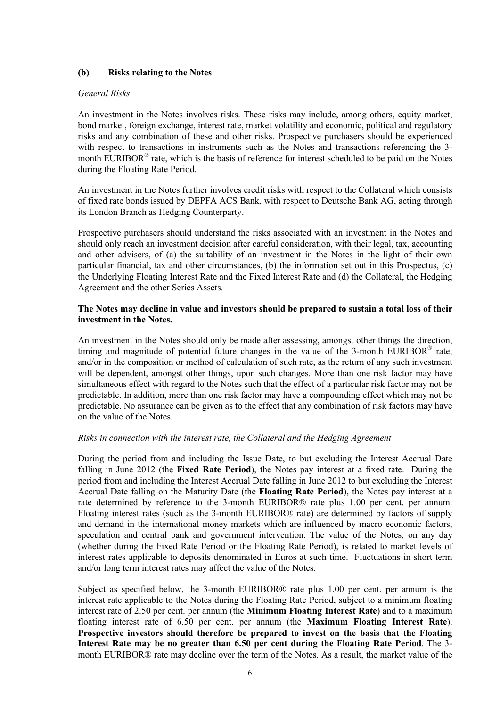### **(b) Risks relating to the Notes**

#### *General Risks*

An investment in the Notes involves risks. These risks may include, among others, equity market, bond market, foreign exchange, interest rate, market volatility and economic, political and regulatory risks and any combination of these and other risks. Prospective purchasers should be experienced with respect to transactions in instruments such as the Notes and transactions referencing the 3 month EURIBOR<sup>®</sup> rate, which is the basis of reference for interest scheduled to be paid on the Notes during the Floating Rate Period.

An investment in the Notes further involves credit risks with respect to the Collateral which consists of fixed rate bonds issued by DEPFA ACS Bank, with respect to Deutsche Bank AG, acting through its London Branch as Hedging Counterparty.

Prospective purchasers should understand the risks associated with an investment in the Notes and should only reach an investment decision after careful consideration, with their legal, tax, accounting and other advisers, of (a) the suitability of an investment in the Notes in the light of their own particular financial, tax and other circumstances, (b) the information set out in this Prospectus, (c) the Underlying Floating Interest Rate and the Fixed Interest Rate and (d) the Collateral, the Hedging Agreement and the other Series Assets.

## **The Notes may decline in value and investors should be prepared to sustain a total loss of their investment in the Notes.**

An investment in the Notes should only be made after assessing, amongst other things the direction, timing and magnitude of potential future changes in the value of the 3-month EURIBOR® rate, and/or in the composition or method of calculation of such rate, as the return of any such investment will be dependent, amongst other things, upon such changes. More than one risk factor may have simultaneous effect with regard to the Notes such that the effect of a particular risk factor may not be predictable. In addition, more than one risk factor may have a compounding effect which may not be predictable. No assurance can be given as to the effect that any combination of risk factors may have on the value of the Notes.

### *Risks in connection with the interest rate, the Collateral and the Hedging Agreement*

During the period from and including the Issue Date, to but excluding the Interest Accrual Date falling in June 2012 (the **Fixed Rate Period**), the Notes pay interest at a fixed rate. During the period from and including the Interest Accrual Date falling in June 2012 to but excluding the Interest Accrual Date falling on the Maturity Date (the **Floating Rate Period**), the Notes pay interest at a rate determined by reference to the 3-month EURIBOR® rate plus 1.00 per cent. per annum. Floating interest rates (such as the 3-month EURIBOR® rate) are determined by factors of supply and demand in the international money markets which are influenced by macro economic factors, speculation and central bank and government intervention. The value of the Notes, on any day (whether during the Fixed Rate Period or the Floating Rate Period), is related to market levels of interest rates applicable to deposits denominated in Euros at such time. Fluctuations in short term and/or long term interest rates may affect the value of the Notes.

Subject as specified below, the 3-month EURIBOR® rate plus 1.00 per cent. per annum is the interest rate applicable to the Notes during the Floating Rate Period, subject to a minimum floating interest rate of 2.50 per cent. per annum (the **Minimum Floating Interest Rate**) and to a maximum floating interest rate of 6.50 per cent. per annum (the **Maximum Floating Interest Rate**). **Prospective investors should therefore be prepared to invest on the basis that the Floating Interest Rate may be no greater than 6.50 per cent during the Floating Rate Period**. The 3 month EURIBOR® rate may decline over the term of the Notes. As a result, the market value of the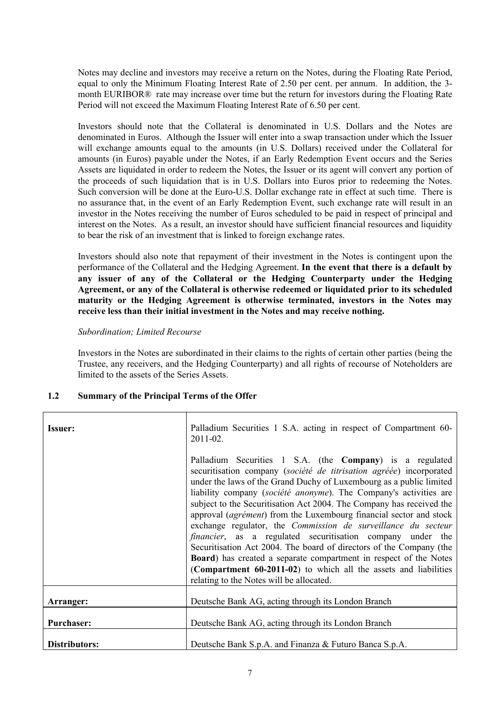Notes may decline and investors may receive a return on the Notes, during the Floating Rate Period, equal to only the Minimum Floating Interest Rate of 2.50 per cent. per annum. In addition, the 3 month EURIBOR® rate may increase over time but the return for investors during the Floating Rate Period will not exceed the Maximum Floating Interest Rate of 6.50 per cent.

Investors should note that the Collateral is denominated in U.S. Dollars and the Notes are denominated in Euros. Although the Issuer will enter into a swap transaction under which the Issuer will exchange amounts equal to the amounts (in U.S. Dollars) received under the Collateral for amounts (in Euros) payable under the Notes, if an Early Redemption Event occurs and the Series Assets are liquidated in order to redeem the Notes, the Issuer or its agent will convert any portion of the proceeds of such liquidation that is in U.S. Dollars into Euros prior to redeeming the Notes. Such conversion will be done at the Euro-U.S. Dollar exchange rate in effect at such time. There is no assurance that, in the event of an Early Redemption Event, such exchange rate will result in an investor in the Notes receiving the number of Euros scheduled to be paid in respect of principal and interest on the Notes. As a result, an investor should have sufficient financial resources and liquidity to bear the risk of an investment that is linked to foreign exchange rates.

Investors should also note that repayment of their investment in the Notes is contingent upon the performance of the Collateral and the Hedging Agreement. **In the event that there is a default by any issuer of any of the Collateral or the Hedging Counterparty under the Hedging Agreement, or any of the Collateral is otherwise redeemed or liquidated prior to its scheduled maturity or the Hedging Agreement is otherwise terminated, investors in the Notes may receive less than their initial investment in the Notes and may receive nothing.**

#### *Subordination; Limited Recourse*

Investors in the Notes are subordinated in their claims to the rights of certain other parties (being the Trustee, any receivers, and the Hedging Counterparty) and all rights of recourse of Noteholders are limited to the assets of the Series Assets.

### **1.2 Summary of the Principal Terms of the Offer**

| <b>Issuer:</b>    | Palladium Securities 1 S.A. acting in respect of Compartment 60-<br>2011-02.                                                                                                                                                                                                                                                                                                                                                                                                                                                                                                                                                                                                                                                                                                                                                         |
|-------------------|--------------------------------------------------------------------------------------------------------------------------------------------------------------------------------------------------------------------------------------------------------------------------------------------------------------------------------------------------------------------------------------------------------------------------------------------------------------------------------------------------------------------------------------------------------------------------------------------------------------------------------------------------------------------------------------------------------------------------------------------------------------------------------------------------------------------------------------|
|                   | Palladium Securities 1 S.A. (the Company) is a regulated<br>securitisation company (société de titrisation agréée) incorporated<br>under the laws of the Grand Duchy of Luxembourg as a public limited<br>liability company (société anonyme). The Company's activities are<br>subject to the Securitisation Act 2004. The Company has received the<br>approval (agrément) from the Luxembourg financial sector and stock<br>exchange regulator, the Commission de surveillance du secteur<br><i>financier</i> , as a regulated securitisation company under the<br>Securitisation Act 2004. The board of directors of the Company (the<br><b>Board</b> ) has created a separate compartment in respect of the Notes<br>(Compartment 60-2011-02) to which all the assets and liabilities<br>relating to the Notes will be allocated. |
| Arranger:         | Deutsche Bank AG, acting through its London Branch                                                                                                                                                                                                                                                                                                                                                                                                                                                                                                                                                                                                                                                                                                                                                                                   |
| <b>Purchaser:</b> | Deutsche Bank AG, acting through its London Branch                                                                                                                                                                                                                                                                                                                                                                                                                                                                                                                                                                                                                                                                                                                                                                                   |
| Distributors:     | Deutsche Bank S.p.A. and Finanza & Futuro Banca S.p.A.                                                                                                                                                                                                                                                                                                                                                                                                                                                                                                                                                                                                                                                                                                                                                                               |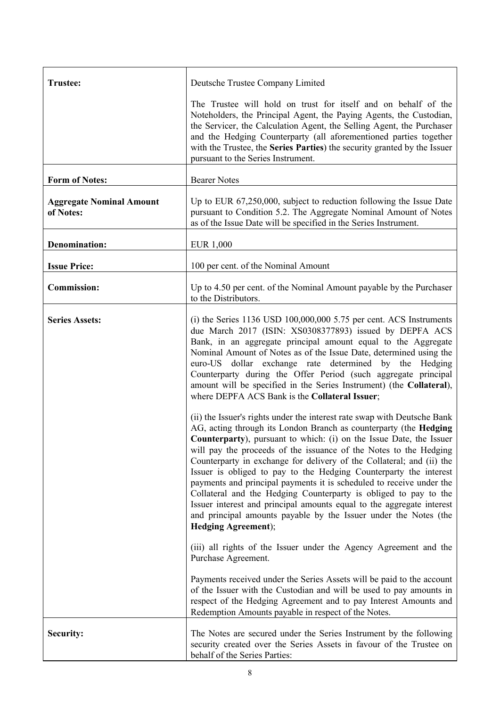| <b>Trustee:</b>                              | Deutsche Trustee Company Limited                                                                                                                                                                                                                                                                                                                                                                                                                                                                                                                                                                                                                                                 |
|----------------------------------------------|----------------------------------------------------------------------------------------------------------------------------------------------------------------------------------------------------------------------------------------------------------------------------------------------------------------------------------------------------------------------------------------------------------------------------------------------------------------------------------------------------------------------------------------------------------------------------------------------------------------------------------------------------------------------------------|
|                                              | The Trustee will hold on trust for itself and on behalf of the<br>Noteholders, the Principal Agent, the Paying Agents, the Custodian,<br>the Servicer, the Calculation Agent, the Selling Agent, the Purchaser<br>and the Hedging Counterparty (all aforementioned parties together<br>with the Trustee, the Series Parties) the security granted by the Issuer<br>pursuant to the Series Instrument.                                                                                                                                                                                                                                                                            |
| <b>Form of Notes:</b>                        | <b>Bearer Notes</b>                                                                                                                                                                                                                                                                                                                                                                                                                                                                                                                                                                                                                                                              |
| <b>Aggregate Nominal Amount</b><br>of Notes: | Up to EUR 67,250,000, subject to reduction following the Issue Date<br>pursuant to Condition 5.2. The Aggregate Nominal Amount of Notes<br>as of the Issue Date will be specified in the Series Instrument.                                                                                                                                                                                                                                                                                                                                                                                                                                                                      |
| <b>Denomination:</b>                         | <b>EUR 1,000</b>                                                                                                                                                                                                                                                                                                                                                                                                                                                                                                                                                                                                                                                                 |
| <b>Issue Price:</b>                          | 100 per cent. of the Nominal Amount                                                                                                                                                                                                                                                                                                                                                                                                                                                                                                                                                                                                                                              |
| <b>Commission:</b>                           | Up to 4.50 per cent. of the Nominal Amount payable by the Purchaser<br>to the Distributors.                                                                                                                                                                                                                                                                                                                                                                                                                                                                                                                                                                                      |
| <b>Series Assets:</b>                        | $(i)$ the Series 1136 USD 100,000,000 5.75 per cent. ACS Instruments<br>due March 2017 (ISIN: XS0308377893) issued by DEPFA ACS<br>Bank, in an aggregate principal amount equal to the Aggregate<br>Nominal Amount of Notes as of the Issue Date, determined using the<br>euro-US dollar exchange rate determined by the<br>Hedging<br>Counterparty during the Offer Period (such aggregate principal<br>amount will be specified in the Series Instrument) (the Collateral),<br>where DEPFA ACS Bank is the Collateral Issuer;<br>(ii) the Issuer's rights under the interest rate swap with Deutsche Bank<br>AG, acting through its London Branch as counterparty (the Hedging |
|                                              | <b>Counterparty</b> ), pursuant to which: (i) on the Issue Date, the Issuer<br>will pay the proceeds of the issuance of the Notes to the Hedging<br>Counterparty in exchange for delivery of the Collateral; and (ii) the<br>Issuer is obliged to pay to the Hedging Counterparty the interest<br>payments and principal payments it is scheduled to receive under the<br>Collateral and the Hedging Counterparty is obliged to pay to the<br>Issuer interest and principal amounts equal to the aggregate interest<br>and principal amounts payable by the Issuer under the Notes (the<br>Hedging Agreement);                                                                   |
|                                              | (iii) all rights of the Issuer under the Agency Agreement and the<br>Purchase Agreement.                                                                                                                                                                                                                                                                                                                                                                                                                                                                                                                                                                                         |
|                                              | Payments received under the Series Assets will be paid to the account<br>of the Issuer with the Custodian and will be used to pay amounts in<br>respect of the Hedging Agreement and to pay Interest Amounts and<br>Redemption Amounts payable in respect of the Notes.                                                                                                                                                                                                                                                                                                                                                                                                          |
| Security:                                    | The Notes are secured under the Series Instrument by the following<br>security created over the Series Assets in favour of the Trustee on<br>behalf of the Series Parties:                                                                                                                                                                                                                                                                                                                                                                                                                                                                                                       |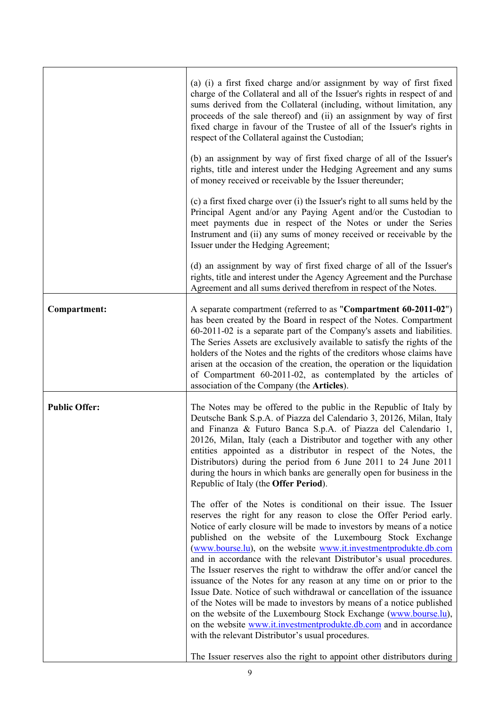|                      | (a) (i) a first fixed charge and/or assignment by way of first fixed<br>charge of the Collateral and all of the Issuer's rights in respect of and<br>sums derived from the Collateral (including, without limitation, any<br>proceeds of the sale thereof) and (ii) an assignment by way of first<br>fixed charge in favour of the Trustee of all of the Issuer's rights in<br>respect of the Collateral against the Custodian;<br>(b) an assignment by way of first fixed charge of all of the Issuer's<br>rights, title and interest under the Hedging Agreement and any sums                                                                                                                                                                                                                                                                                                                                          |
|----------------------|--------------------------------------------------------------------------------------------------------------------------------------------------------------------------------------------------------------------------------------------------------------------------------------------------------------------------------------------------------------------------------------------------------------------------------------------------------------------------------------------------------------------------------------------------------------------------------------------------------------------------------------------------------------------------------------------------------------------------------------------------------------------------------------------------------------------------------------------------------------------------------------------------------------------------|
|                      | of money received or receivable by the Issuer thereunder;<br>(c) a first fixed charge over (i) the Issuer's right to all sums held by the<br>Principal Agent and/or any Paying Agent and/or the Custodian to<br>meet payments due in respect of the Notes or under the Series<br>Instrument and (ii) any sums of money received or receivable by the<br>Issuer under the Hedging Agreement;                                                                                                                                                                                                                                                                                                                                                                                                                                                                                                                              |
|                      | (d) an assignment by way of first fixed charge of all of the Issuer's<br>rights, title and interest under the Agency Agreement and the Purchase<br>Agreement and all sums derived therefrom in respect of the Notes.                                                                                                                                                                                                                                                                                                                                                                                                                                                                                                                                                                                                                                                                                                     |
| <b>Compartment:</b>  | A separate compartment (referred to as "Compartment 60-2011-02")<br>has been created by the Board in respect of the Notes. Compartment<br>60-2011-02 is a separate part of the Company's assets and liabilities.<br>The Series Assets are exclusively available to satisfy the rights of the<br>holders of the Notes and the rights of the creditors whose claims have<br>arisen at the occasion of the creation, the operation or the liquidation<br>of Compartment 60-2011-02, as contemplated by the articles of<br>association of the Company (the Articles).                                                                                                                                                                                                                                                                                                                                                        |
| <b>Public Offer:</b> | The Notes may be offered to the public in the Republic of Italy by<br>Deutsche Bank S.p.A. of Piazza del Calendario 3, 20126, Milan, Italy<br>and Finanza & Futuro Banca S.p.A. of Piazza del Calendario 1,<br>20126, Milan, Italy (each a Distributor and together with any other<br>entities appointed as a distributor in respect of the Notes, the<br>Distributors) during the period from 6 June 2011 to 24 June 2011<br>during the hours in which banks are generally open for business in the<br>Republic of Italy (the <b>Offer Period</b> ).                                                                                                                                                                                                                                                                                                                                                                    |
|                      | The offer of the Notes is conditional on their issue. The Issuer<br>reserves the right for any reason to close the Offer Period early.<br>Notice of early closure will be made to investors by means of a notice<br>published on the website of the Luxembourg Stock Exchange<br>(www.bourse.lu), on the website www.it.investmentprodukte.db.com<br>and in accordance with the relevant Distributor's usual procedures.<br>The Issuer reserves the right to withdraw the offer and/or cancel the<br>issuance of the Notes for any reason at any time on or prior to the<br>Issue Date. Notice of such withdrawal or cancellation of the issuance<br>of the Notes will be made to investors by means of a notice published<br>on the website of the Luxembourg Stock Exchange (www.bourse.lu),<br>on the website www.it.investmentprodukte.db.com and in accordance<br>with the relevant Distributor's usual procedures. |
|                      | The Issuer reserves also the right to appoint other distributors during                                                                                                                                                                                                                                                                                                                                                                                                                                                                                                                                                                                                                                                                                                                                                                                                                                                  |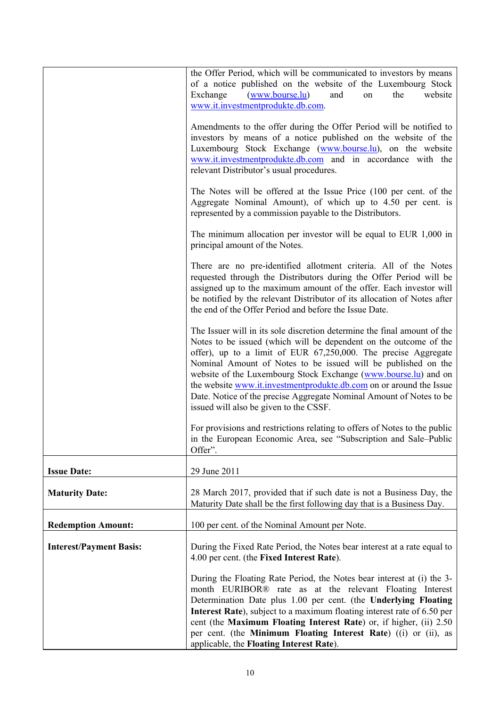|                                | the Offer Period, which will be communicated to investors by means<br>of a notice published on the website of the Luxembourg Stock<br>( <u>www.bourne.lu</u> )<br>Exchange<br>the<br>website<br>and<br>on<br>www.it.investmentprodukte.db.com.                                                                                                                                                                                                                                                                                              |
|--------------------------------|---------------------------------------------------------------------------------------------------------------------------------------------------------------------------------------------------------------------------------------------------------------------------------------------------------------------------------------------------------------------------------------------------------------------------------------------------------------------------------------------------------------------------------------------|
|                                | Amendments to the offer during the Offer Period will be notified to<br>investors by means of a notice published on the website of the<br>Luxembourg Stock Exchange (www.bourse.lu), on the website<br>www.it.investmentprodukte.db.com and in accordance with the<br>relevant Distributor's usual procedures.                                                                                                                                                                                                                               |
|                                | The Notes will be offered at the Issue Price (100 per cent. of the<br>Aggregate Nominal Amount), of which up to 4.50 per cent. is<br>represented by a commission payable to the Distributors.                                                                                                                                                                                                                                                                                                                                               |
|                                | The minimum allocation per investor will be equal to EUR $1,000$ in<br>principal amount of the Notes.                                                                                                                                                                                                                                                                                                                                                                                                                                       |
|                                | There are no pre-identified allotment criteria. All of the Notes<br>requested through the Distributors during the Offer Period will be<br>assigned up to the maximum amount of the offer. Each investor will<br>be notified by the relevant Distributor of its allocation of Notes after<br>the end of the Offer Period and before the Issue Date.                                                                                                                                                                                          |
|                                | The Issuer will in its sole discretion determine the final amount of the<br>Notes to be issued (which will be dependent on the outcome of the<br>offer), up to a limit of EUR 67,250,000. The precise Aggregate<br>Nominal Amount of Notes to be issued will be published on the<br>website of the Luxembourg Stock Exchange (www.bourse.lu) and on<br>the website www.it.investmentprodukte.db.com on or around the Issue<br>Date. Notice of the precise Aggregate Nominal Amount of Notes to be<br>issued will also be given to the CSSF. |
|                                | For provisions and restrictions relating to offers of Notes to the public<br>in the European Economic Area, see "Subscription and Sale-Public<br>Offer".                                                                                                                                                                                                                                                                                                                                                                                    |
| <b>Issue Date:</b>             | 29 June 2011                                                                                                                                                                                                                                                                                                                                                                                                                                                                                                                                |
| <b>Maturity Date:</b>          | 28 March 2017, provided that if such date is not a Business Day, the<br>Maturity Date shall be the first following day that is a Business Day.                                                                                                                                                                                                                                                                                                                                                                                              |
| <b>Redemption Amount:</b>      | 100 per cent. of the Nominal Amount per Note.                                                                                                                                                                                                                                                                                                                                                                                                                                                                                               |
| <b>Interest/Payment Basis:</b> | During the Fixed Rate Period, the Notes bear interest at a rate equal to<br>4.00 per cent. (the Fixed Interest Rate).                                                                                                                                                                                                                                                                                                                                                                                                                       |
|                                | During the Floating Rate Period, the Notes bear interest at (i) the 3-<br>month EURIBOR® rate as at the relevant Floating Interest<br>Determination Date plus 1.00 per cent. (the Underlying Floating<br>Interest Rate), subject to a maximum floating interest rate of 6.50 per<br>cent (the Maximum Floating Interest Rate) or, if higher, (ii) 2.50<br>per cent. (the Minimum Floating Interest Rate) ((i) or (ii), as<br>applicable, the Floating Interest Rate).                                                                       |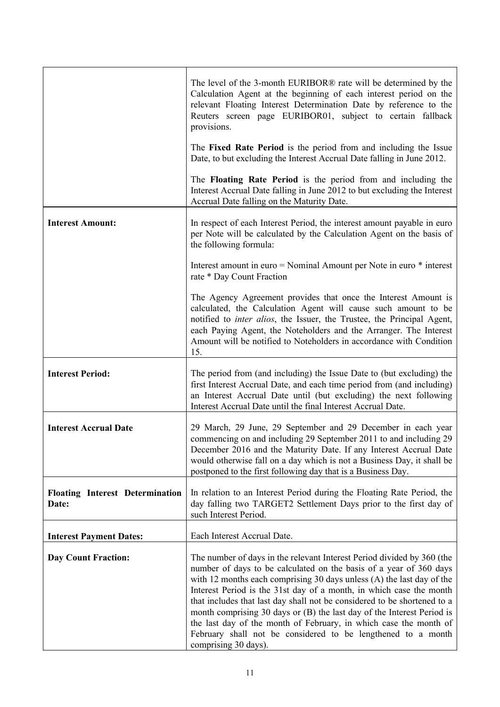|                                                 | The level of the 3-month EURIBOR <sup>®</sup> rate will be determined by the<br>Calculation Agent at the beginning of each interest period on the<br>relevant Floating Interest Determination Date by reference to the<br>Reuters screen page EURIBOR01, subject to certain fallback<br>provisions.                                                                                                                                                                                                                                                                                                               |
|-------------------------------------------------|-------------------------------------------------------------------------------------------------------------------------------------------------------------------------------------------------------------------------------------------------------------------------------------------------------------------------------------------------------------------------------------------------------------------------------------------------------------------------------------------------------------------------------------------------------------------------------------------------------------------|
|                                                 | The Fixed Rate Period is the period from and including the Issue<br>Date, to but excluding the Interest Accrual Date falling in June 2012.                                                                                                                                                                                                                                                                                                                                                                                                                                                                        |
|                                                 | The Floating Rate Period is the period from and including the<br>Interest Accrual Date falling in June 2012 to but excluding the Interest<br>Accrual Date falling on the Maturity Date.                                                                                                                                                                                                                                                                                                                                                                                                                           |
| <b>Interest Amount:</b>                         | In respect of each Interest Period, the interest amount payable in euro<br>per Note will be calculated by the Calculation Agent on the basis of<br>the following formula:                                                                                                                                                                                                                                                                                                                                                                                                                                         |
|                                                 | Interest amount in euro = Nominal Amount per Note in euro * interest<br>rate * Day Count Fraction                                                                                                                                                                                                                                                                                                                                                                                                                                                                                                                 |
|                                                 | The Agency Agreement provides that once the Interest Amount is<br>calculated, the Calculation Agent will cause such amount to be<br>notified to <i>inter alios</i> , the Issuer, the Trustee, the Principal Agent,<br>each Paying Agent, the Noteholders and the Arranger. The Interest<br>Amount will be notified to Noteholders in accordance with Condition<br>15.                                                                                                                                                                                                                                             |
| <b>Interest Period:</b>                         | The period from (and including) the Issue Date to (but excluding) the<br>first Interest Accrual Date, and each time period from (and including)<br>an Interest Accrual Date until (but excluding) the next following<br>Interest Accrual Date until the final Interest Accrual Date.                                                                                                                                                                                                                                                                                                                              |
| <b>Interest Accrual Date</b>                    | 29 March, 29 June, 29 September and 29 December in each year<br>commencing on and including 29 September 2011 to and including 29<br>December 2016 and the Maturity Date. If any Interest Accrual Date<br>would otherwise fall on a day which is not a Business Day, it shall be<br>postponed to the first following day that is a Business Day.                                                                                                                                                                                                                                                                  |
| <b>Floating Interest Determination</b><br>Date: | In relation to an Interest Period during the Floating Rate Period, the<br>day falling two TARGET2 Settlement Days prior to the first day of<br>such Interest Period.                                                                                                                                                                                                                                                                                                                                                                                                                                              |
| <b>Interest Payment Dates:</b>                  | Each Interest Accrual Date.                                                                                                                                                                                                                                                                                                                                                                                                                                                                                                                                                                                       |
| <b>Day Count Fraction:</b>                      | The number of days in the relevant Interest Period divided by 360 (the<br>number of days to be calculated on the basis of a year of 360 days<br>with 12 months each comprising 30 days unless $(A)$ the last day of the<br>Interest Period is the 31st day of a month, in which case the month<br>that includes that last day shall not be considered to be shortened to a<br>month comprising 30 days or (B) the last day of the Interest Period is<br>the last day of the month of February, in which case the month of<br>February shall not be considered to be lengthened to a month<br>comprising 30 days). |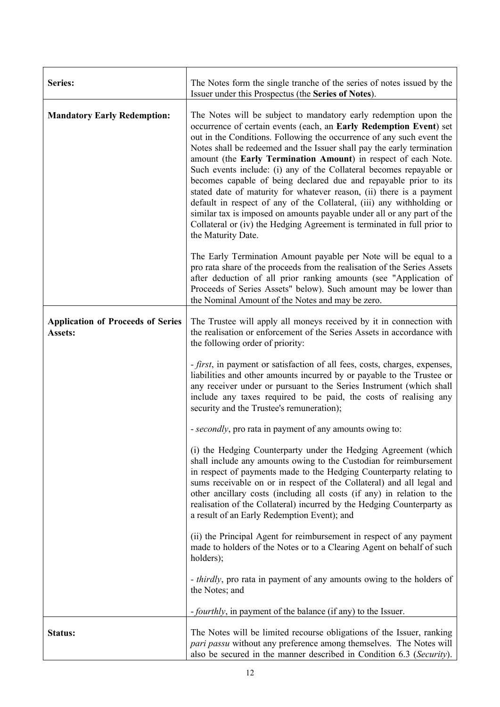| Series:                                             | The Notes form the single tranche of the series of notes issued by the<br>Issuer under this Prospectus (the Series of Notes).                                                                                                                                                                                                                                                                                                                                                                                                                                                                                                                                                                                                                                                                                                      |
|-----------------------------------------------------|------------------------------------------------------------------------------------------------------------------------------------------------------------------------------------------------------------------------------------------------------------------------------------------------------------------------------------------------------------------------------------------------------------------------------------------------------------------------------------------------------------------------------------------------------------------------------------------------------------------------------------------------------------------------------------------------------------------------------------------------------------------------------------------------------------------------------------|
| <b>Mandatory Early Redemption:</b>                  | The Notes will be subject to mandatory early redemption upon the<br>occurrence of certain events (each, an Early Redemption Event) set<br>out in the Conditions. Following the occurrence of any such event the<br>Notes shall be redeemed and the Issuer shall pay the early termination<br>amount (the Early Termination Amount) in respect of each Note.<br>Such events include: (i) any of the Collateral becomes repayable or<br>becomes capable of being declared due and repayable prior to its<br>stated date of maturity for whatever reason, (ii) there is a payment<br>default in respect of any of the Collateral, (iii) any withholding or<br>similar tax is imposed on amounts payable under all or any part of the<br>Collateral or (iv) the Hedging Agreement is terminated in full prior to<br>the Maturity Date. |
|                                                     | The Early Termination Amount payable per Note will be equal to a<br>pro rata share of the proceeds from the realisation of the Series Assets<br>after deduction of all prior ranking amounts (see "Application of<br>Proceeds of Series Assets" below). Such amount may be lower than<br>the Nominal Amount of the Notes and may be zero.                                                                                                                                                                                                                                                                                                                                                                                                                                                                                          |
| <b>Application of Proceeds of Series</b><br>Assets: | The Trustee will apply all moneys received by it in connection with<br>the realisation or enforcement of the Series Assets in accordance with<br>the following order of priority:                                                                                                                                                                                                                                                                                                                                                                                                                                                                                                                                                                                                                                                  |
|                                                     | - first, in payment or satisfaction of all fees, costs, charges, expenses,<br>liabilities and other amounts incurred by or payable to the Trustee or<br>any receiver under or pursuant to the Series Instrument (which shall<br>include any taxes required to be paid, the costs of realising any<br>security and the Trustee's remuneration);                                                                                                                                                                                                                                                                                                                                                                                                                                                                                     |
|                                                     | - secondly, pro rata in payment of any amounts owing to:                                                                                                                                                                                                                                                                                                                                                                                                                                                                                                                                                                                                                                                                                                                                                                           |
|                                                     | (i) the Hedging Counterparty under the Hedging Agreement (which<br>shall include any amounts owing to the Custodian for reimbursement<br>in respect of payments made to the Hedging Counterparty relating to<br>sums receivable on or in respect of the Collateral) and all legal and<br>other ancillary costs (including all costs (if any) in relation to the<br>realisation of the Collateral) incurred by the Hedging Counterparty as<br>a result of an Early Redemption Event); and                                                                                                                                                                                                                                                                                                                                           |
|                                                     | (ii) the Principal Agent for reimbursement in respect of any payment<br>made to holders of the Notes or to a Clearing Agent on behalf of such<br>holders);                                                                                                                                                                                                                                                                                                                                                                                                                                                                                                                                                                                                                                                                         |
|                                                     | - <i>thirdly</i> , pro rata in payment of any amounts owing to the holders of<br>the Notes; and                                                                                                                                                                                                                                                                                                                                                                                                                                                                                                                                                                                                                                                                                                                                    |
|                                                     | <i>-fourthly</i> , in payment of the balance (if any) to the Issuer.                                                                                                                                                                                                                                                                                                                                                                                                                                                                                                                                                                                                                                                                                                                                                               |
| Status:                                             | The Notes will be limited recourse obligations of the Issuer, ranking<br>pari passu without any preference among themselves. The Notes will<br>also be secured in the manner described in Condition 6.3 (Security).                                                                                                                                                                                                                                                                                                                                                                                                                                                                                                                                                                                                                |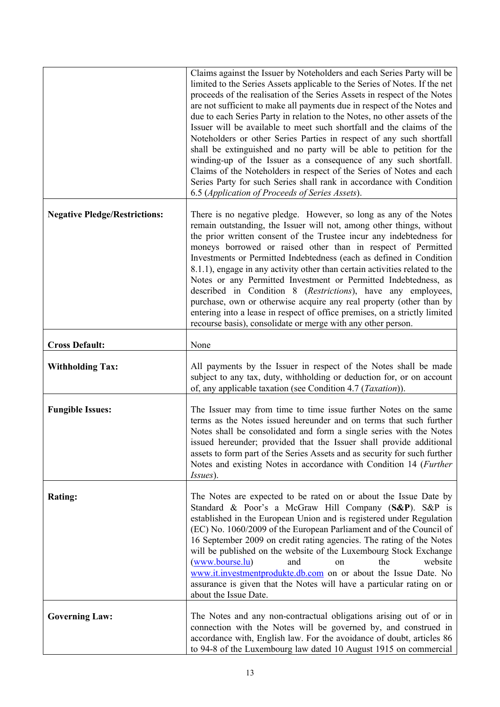|                                      | Claims against the Issuer by Noteholders and each Series Party will be<br>limited to the Series Assets applicable to the Series of Notes. If the net<br>proceeds of the realisation of the Series Assets in respect of the Notes<br>are not sufficient to make all payments due in respect of the Notes and<br>due to each Series Party in relation to the Notes, no other assets of the<br>Issuer will be available to meet such shortfall and the claims of the<br>Noteholders or other Series Parties in respect of any such shortfall<br>shall be extinguished and no party will be able to petition for the<br>winding-up of the Issuer as a consequence of any such shortfall.<br>Claims of the Noteholders in respect of the Series of Notes and each<br>Series Party for such Series shall rank in accordance with Condition<br>6.5 (Application of Proceeds of Series Assets). |
|--------------------------------------|-----------------------------------------------------------------------------------------------------------------------------------------------------------------------------------------------------------------------------------------------------------------------------------------------------------------------------------------------------------------------------------------------------------------------------------------------------------------------------------------------------------------------------------------------------------------------------------------------------------------------------------------------------------------------------------------------------------------------------------------------------------------------------------------------------------------------------------------------------------------------------------------|
| <b>Negative Pledge/Restrictions:</b> | There is no negative pledge. However, so long as any of the Notes<br>remain outstanding, the Issuer will not, among other things, without<br>the prior written consent of the Trustee incur any indebtedness for<br>moneys borrowed or raised other than in respect of Permitted<br>Investments or Permitted Indebtedness (each as defined in Condition<br>8.1.1), engage in any activity other than certain activities related to the<br>Notes or any Permitted Investment or Permitted Indebtedness, as<br>described in Condition 8 (Restrictions), have any employees,<br>purchase, own or otherwise acquire any real property (other than by<br>entering into a lease in respect of office premises, on a strictly limited<br>recourse basis), consolidate or merge with any other person.                                                                                          |
| <b>Cross Default:</b>                | None                                                                                                                                                                                                                                                                                                                                                                                                                                                                                                                                                                                                                                                                                                                                                                                                                                                                                    |
| <b>Withholding Tax:</b>              | All payments by the Issuer in respect of the Notes shall be made<br>subject to any tax, duty, withholding or deduction for, or on account<br>of, any applicable taxation (see Condition 4.7 ( <i>Taxation</i> )).                                                                                                                                                                                                                                                                                                                                                                                                                                                                                                                                                                                                                                                                       |
| <b>Fungible Issues:</b>              | The Issuer may from time to time issue further Notes on the same<br>terms as the Notes issued hereunder and on terms that such further<br>Notes shall be consolidated and form a single series with the Notes<br>issued hereunder; provided that the Issuer shall provide additional<br>assets to form part of the Series Assets and as security for such further<br>Notes and existing Notes in accordance with Condition 14 (Further<br><i>Issues</i> ).                                                                                                                                                                                                                                                                                                                                                                                                                              |
| <b>Rating:</b>                       | The Notes are expected to be rated on or about the Issue Date by<br>Standard & Poor's a McGraw Hill Company (S&P). S&P is<br>established in the European Union and is registered under Regulation<br>(EC) No. 1060/2009 of the European Parliament and of the Council of<br>16 September 2009 on credit rating agencies. The rating of the Notes<br>will be published on the website of the Luxembourg Stock Exchange<br>(www.bourse.lu)<br>the<br>website<br>and<br>on<br>www.it.investmentprodukte.db.com on or about the Issue Date. No<br>assurance is given that the Notes will have a particular rating on or<br>about the Issue Date.                                                                                                                                                                                                                                            |
| <b>Governing Law:</b>                | The Notes and any non-contractual obligations arising out of or in<br>connection with the Notes will be governed by, and construed in<br>accordance with, English law. For the avoidance of doubt, articles 86<br>to 94-8 of the Luxembourg law dated 10 August 1915 on commercial                                                                                                                                                                                                                                                                                                                                                                                                                                                                                                                                                                                                      |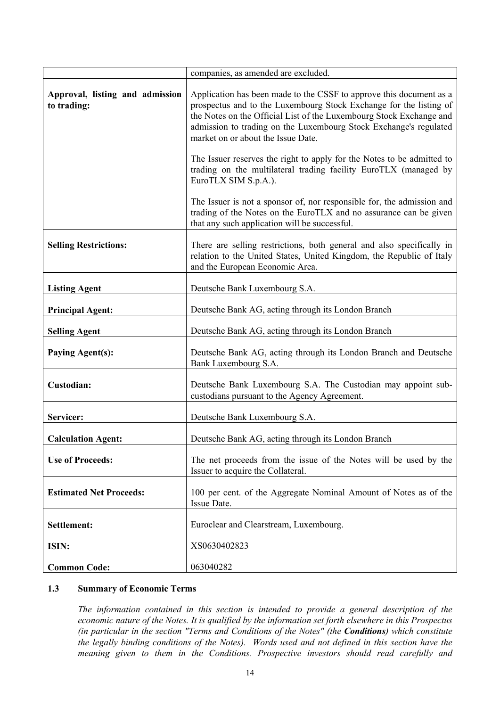|                                                | companies, as amended are excluded.                                                                                                                                                                                                                                                                                         |
|------------------------------------------------|-----------------------------------------------------------------------------------------------------------------------------------------------------------------------------------------------------------------------------------------------------------------------------------------------------------------------------|
| Approval, listing and admission<br>to trading: | Application has been made to the CSSF to approve this document as a<br>prospectus and to the Luxembourg Stock Exchange for the listing of<br>the Notes on the Official List of the Luxembourg Stock Exchange and<br>admission to trading on the Luxembourg Stock Exchange's regulated<br>market on or about the Issue Date. |
|                                                | The Issuer reserves the right to apply for the Notes to be admitted to<br>trading on the multilateral trading facility EuroTLX (managed by<br>EuroTLX SIM S.p.A.).                                                                                                                                                          |
|                                                | The Issuer is not a sponsor of, nor responsible for, the admission and<br>trading of the Notes on the EuroTLX and no assurance can be given<br>that any such application will be successful.                                                                                                                                |
| <b>Selling Restrictions:</b>                   | There are selling restrictions, both general and also specifically in<br>relation to the United States, United Kingdom, the Republic of Italy<br>and the European Economic Area.                                                                                                                                            |
| <b>Listing Agent</b>                           | Deutsche Bank Luxembourg S.A.                                                                                                                                                                                                                                                                                               |
| <b>Principal Agent:</b>                        | Deutsche Bank AG, acting through its London Branch                                                                                                                                                                                                                                                                          |
| <b>Selling Agent</b>                           | Deutsche Bank AG, acting through its London Branch                                                                                                                                                                                                                                                                          |
| <b>Paying Agent(s):</b>                        | Deutsche Bank AG, acting through its London Branch and Deutsche<br>Bank Luxembourg S.A.                                                                                                                                                                                                                                     |
| Custodian:                                     | Deutsche Bank Luxembourg S.A. The Custodian may appoint sub-<br>custodians pursuant to the Agency Agreement.                                                                                                                                                                                                                |
| Servicer:                                      | Deutsche Bank Luxembourg S.A.                                                                                                                                                                                                                                                                                               |
| <b>Calculation Agent:</b>                      | Deutsche Bank AG, acting through its London Branch                                                                                                                                                                                                                                                                          |
| <b>Use of Proceeds:</b>                        | The net proceeds from the issue of the Notes will be used by the<br>Issuer to acquire the Collateral.                                                                                                                                                                                                                       |
| <b>Estimated Net Proceeds:</b>                 | 100 per cent. of the Aggregate Nominal Amount of Notes as of the<br>Issue Date.                                                                                                                                                                                                                                             |
| Settlement:                                    | Euroclear and Clearstream, Luxembourg.                                                                                                                                                                                                                                                                                      |
| ISIN:                                          | XS0630402823                                                                                                                                                                                                                                                                                                                |
| <b>Common Code:</b>                            | 063040282                                                                                                                                                                                                                                                                                                                   |

## **1.3 Summary of Economic Terms**

*The information contained in this section is intended to provide a general description of the economic nature of the Notes. It is qualified by the information set forth elsewhere in this Prospectus (in particular in the section "Terms and Conditions of the Notes" (the Conditions) which constitute the legally binding conditions of the Notes). Words used and not defined in this section have the meaning given to them in the Conditions. Prospective investors should read carefully and*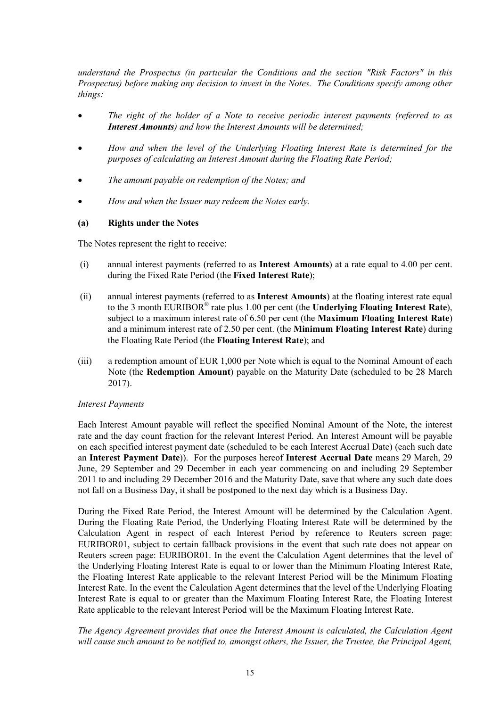*understand the Prospectus (in particular the Conditions and the section "Risk Factors" in this Prospectus) before making any decision to invest in the Notes. The Conditions specify among other things:*

- *The right of the holder of a Note to receive periodic interest payments (referred to as Interest Amounts) and how the Interest Amounts will be determined;*
- *How and when the level of the Underlying Floating Interest Rate is determined for the purposes of calculating an Interest Amount during the Floating Rate Period;*
- *The amount payable on redemption of the Notes; and*
- *How and when the Issuer may redeem the Notes early.*

## **(a) Rights under the Notes**

The Notes represent the right to receive:

- (i) annual interest payments (referred to as **Interest Amounts**) at a rate equal to 4.00 per cent. during the Fixed Rate Period (the **Fixed Interest Rate**);
- (ii) annual interest payments (referred to as **Interest Amounts**) at the floating interest rate equal to the 3 month EURIBOR® rate plus 1.00 per cent (the **Underlying Floating Interest Rate**), subject to a maximum interest rate of 6.50 per cent (the **Maximum Floating Interest Rate**) and a minimum interest rate of 2.50 per cent. (the **Minimum Floating Interest Rate**) during the Floating Rate Period (the **Floating Interest Rate**); and
- (iii) a redemption amount of EUR 1,000 per Note which is equal to the Nominal Amount of each Note (the **Redemption Amount**) payable on the Maturity Date (scheduled to be 28 March 2017).

### *Interest Payments*

Each Interest Amount payable will reflect the specified Nominal Amount of the Note, the interest rate and the day count fraction for the relevant Interest Period. An Interest Amount will be payable on each specified interest payment date (scheduled to be each Interest Accrual Date) (each such date an **Interest Payment Date**)). For the purposes hereof **Interest Accrual Date** means 29 March, 29 June, 29 September and 29 December in each year commencing on and including 29 September 2011 to and including 29 December 2016 and the Maturity Date, save that where any such date does not fall on a Business Day, it shall be postponed to the next day which is a Business Day.

During the Fixed Rate Period, the Interest Amount will be determined by the Calculation Agent. During the Floating Rate Period, the Underlying Floating Interest Rate will be determined by the Calculation Agent in respect of each Interest Period by reference to Reuters screen page: EURIBOR01, subject to certain fallback provisions in the event that such rate does not appear on Reuters screen page: EURIBOR01. In the event the Calculation Agent determines that the level of the Underlying Floating Interest Rate is equal to or lower than the Minimum Floating Interest Rate, the Floating Interest Rate applicable to the relevant Interest Period will be the Minimum Floating Interest Rate. In the event the Calculation Agent determines that the level of the Underlying Floating Interest Rate is equal to or greater than the Maximum Floating Interest Rate, the Floating Interest Rate applicable to the relevant Interest Period will be the Maximum Floating Interest Rate.

*The Agency Agreement provides that once the Interest Amount is calculated, the Calculation Agent will cause such amount to be notified to, amongst others, the Issuer, the Trustee, the Principal Agent,*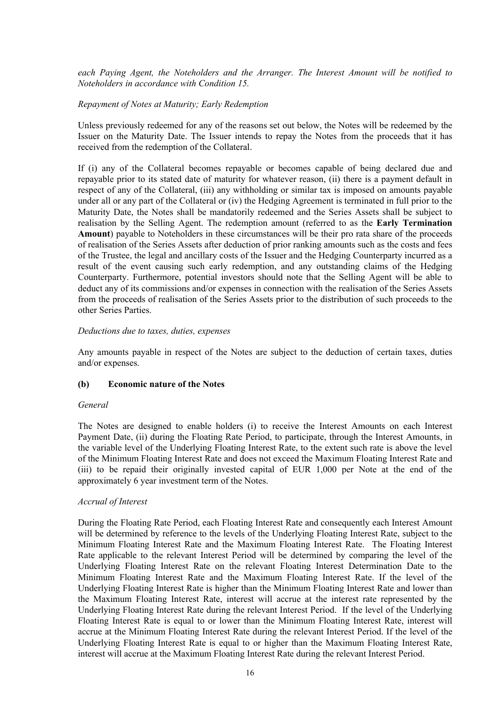*each Paying Agent, the Noteholders and the Arranger. The Interest Amount will be notified to Noteholders in accordance with Condition 15.*

#### *Repayment of Notes at Maturity; Early Redemption*

Unless previously redeemed for any of the reasons set out below, the Notes will be redeemed by the Issuer on the Maturity Date. The Issuer intends to repay the Notes from the proceeds that it has received from the redemption of the Collateral.

If (i) any of the Collateral becomes repayable or becomes capable of being declared due and repayable prior to its stated date of maturity for whatever reason, (ii) there is a payment default in respect of any of the Collateral, (iii) any withholding or similar tax is imposed on amounts payable under all or any part of the Collateral or (iv) the Hedging Agreement is terminated in full prior to the Maturity Date, the Notes shall be mandatorily redeemed and the Series Assets shall be subject to realisation by the Selling Agent. The redemption amount (referred to as the **Early Termination Amount**) payable to Noteholders in these circumstances will be their pro rata share of the proceeds of realisation of the Series Assets after deduction of prior ranking amounts such as the costs and fees of the Trustee, the legal and ancillary costs of the Issuer and the Hedging Counterparty incurred as a result of the event causing such early redemption, and any outstanding claims of the Hedging Counterparty. Furthermore, potential investors should note that the Selling Agent will be able to deduct any of its commissions and/or expenses in connection with the realisation of the Series Assets from the proceeds of realisation of the Series Assets prior to the distribution of such proceeds to the other Series Parties.

#### *Deductions due to taxes, duties, expenses*

Any amounts payable in respect of the Notes are subject to the deduction of certain taxes, duties and/or expenses.

#### **(b) Economic nature of the Notes**

#### *General*

The Notes are designed to enable holders (i) to receive the Interest Amounts on each Interest Payment Date, (ii) during the Floating Rate Period, to participate, through the Interest Amounts, in the variable level of the Underlying Floating Interest Rate, to the extent such rate is above the level of the Minimum Floating Interest Rate and does not exceed the Maximum Floating Interest Rate and (iii) to be repaid their originally invested capital of EUR 1,000 per Note at the end of the approximately 6 year investment term of the Notes.

#### *Accrual of Interest*

During the Floating Rate Period, each Floating Interest Rate and consequently each Interest Amount will be determined by reference to the levels of the Underlying Floating Interest Rate, subject to the Minimum Floating Interest Rate and the Maximum Floating Interest Rate. The Floating Interest Rate applicable to the relevant Interest Period will be determined by comparing the level of the Underlying Floating Interest Rate on the relevant Floating Interest Determination Date to the Minimum Floating Interest Rate and the Maximum Floating Interest Rate. If the level of the Underlying Floating Interest Rate is higher than the Minimum Floating Interest Rate and lower than the Maximum Floating Interest Rate, interest will accrue at the interest rate represented by the Underlying Floating Interest Rate during the relevant Interest Period. If the level of the Underlying Floating Interest Rate is equal to or lower than the Minimum Floating Interest Rate, interest will accrue at the Minimum Floating Interest Rate during the relevant Interest Period. If the level of the Underlying Floating Interest Rate is equal to or higher than the Maximum Floating Interest Rate, interest will accrue at the Maximum Floating Interest Rate during the relevant Interest Period.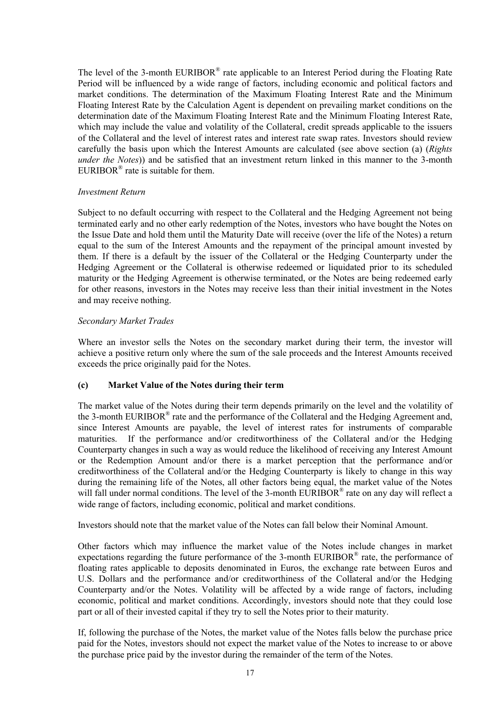The level of the 3-month  $EURIBOR^{\otimes}$  rate applicable to an Interest Period during the Floating Rate Period will be influenced by a wide range of factors, including economic and political factors and market conditions. The determination of the Maximum Floating Interest Rate and the Minimum Floating Interest Rate by the Calculation Agent is dependent on prevailing market conditions on the determination date of the Maximum Floating Interest Rate and the Minimum Floating Interest Rate, which may include the value and volatility of the Collateral, credit spreads applicable to the issuers of the Collateral and the level of interest rates and interest rate swap rates. Investors should review carefully the basis upon which the Interest Amounts are calculated (see above section (a) (*Rights under the Notes*)) and be satisfied that an investment return linked in this manner to the 3-month EURIBOR<sup>®</sup> rate is suitable for them.

### *Investment Return*

Subject to no default occurring with respect to the Collateral and the Hedging Agreement not being terminated early and no other early redemption of the Notes, investors who have bought the Notes on the Issue Date and hold them until the Maturity Date will receive (over the life of the Notes) a return equal to the sum of the Interest Amounts and the repayment of the principal amount invested by them. If there is a default by the issuer of the Collateral or the Hedging Counterparty under the Hedging Agreement or the Collateral is otherwise redeemed or liquidated prior to its scheduled maturity or the Hedging Agreement is otherwise terminated, or the Notes are being redeemed early for other reasons, investors in the Notes may receive less than their initial investment in the Notes and may receive nothing.

## *Secondary Market Trades*

Where an investor sells the Notes on the secondary market during their term, the investor will achieve a positive return only where the sum of the sale proceeds and the Interest Amounts received exceeds the price originally paid for the Notes.

### **(c) Market Value of the Notes during their term**

The market value of the Notes during their term depends primarily on the level and the volatility of the 3-month EURIBOR® rate and the performance of the Collateral and the Hedging Agreement and, since Interest Amounts are payable, the level of interest rates for instruments of comparable maturities. If the performance and/or creditworthiness of the Collateral and/or the Hedging Counterparty changes in such a way as would reduce the likelihood of receiving any Interest Amount or the Redemption Amount and/or there is a market perception that the performance and/or creditworthiness of the Collateral and/or the Hedging Counterparty is likely to change in this way during the remaining life of the Notes, all other factors being equal, the market value of the Notes will fall under normal conditions. The level of the 3-month EURIBOR® rate on any day will reflect a wide range of factors, including economic, political and market conditions.

Investors should note that the market value of the Notes can fall below their Nominal Amount.

Other factors which may influence the market value of the Notes include changes in market expectations regarding the future performance of the 3-month EURIBOR<sup>®</sup> rate, the performance of floating rates applicable to deposits denominated in Euros, the exchange rate between Euros and U.S. Dollars and the performance and/or creditworthiness of the Collateral and/or the Hedging Counterparty and/or the Notes. Volatility will be affected by a wide range of factors, including economic, political and market conditions. Accordingly, investors should note that they could lose part or all of their invested capital if they try to sell the Notes prior to their maturity.

If, following the purchase of the Notes, the market value of the Notes falls below the purchase price paid for the Notes, investors should not expect the market value of the Notes to increase to or above the purchase price paid by the investor during the remainder of the term of the Notes.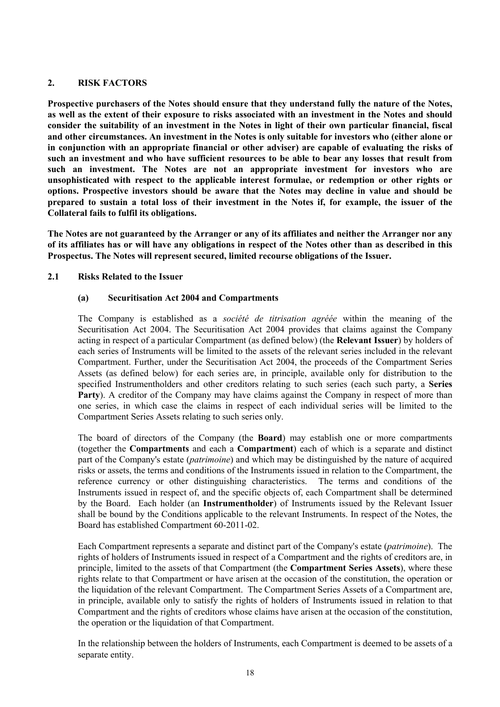## **2. RISK FACTORS**

**Prospective purchasers of the Notes should ensure that they understand fully the nature of the Notes, as well as the extent of their exposure to risks associated with an investment in the Notes and should consider the suitability of an investment in the Notes in light of their own particular financial, fiscal and other circumstances. An investment in the Notes is only suitable for investors who (either alone or in conjunction with an appropriate financial or other adviser) are capable of evaluating the risks of such an investment and who have sufficient resources to be able to bear any losses that result from such an investment. The Notes are not an appropriate investment for investors who are unsophisticated with respect to the applicable interest formulae, or redemption or other rights or options. Prospective investors should be aware that the Notes may decline in value and should be prepared to sustain a total loss of their investment in the Notes if, for example, the issuer of the Collateral fails to fulfil its obligations.** 

**The Notes are not guaranteed by the Arranger or any of its affiliates and neither the Arranger nor any of its affiliates has or will have any obligations in respect of the Notes other than as described in this Prospectus. The Notes will represent secured, limited recourse obligations of the Issuer.** 

## **2.1 Risks Related to the Issuer**

## **(a) Securitisation Act 2004 and Compartments**

The Company is established as a *société de titrisation agréée* within the meaning of the Securitisation Act 2004. The Securitisation Act 2004 provides that claims against the Company acting in respect of a particular Compartment (as defined below) (the **Relevant Issuer**) by holders of each series of Instruments will be limited to the assets of the relevant series included in the relevant Compartment. Further, under the Securitisation Act 2004, the proceeds of the Compartment Series Assets (as defined below) for each series are, in principle, available only for distribution to the specified Instrumentholders and other creditors relating to such series (each such party, a **Series**  Party). A creditor of the Company may have claims against the Company in respect of more than one series, in which case the claims in respect of each individual series will be limited to the Compartment Series Assets relating to such series only.

The board of directors of the Company (the **Board**) may establish one or more compartments (together the **Compartments** and each a **Compartment**) each of which is a separate and distinct part of the Company's estate (*patrimoine*) and which may be distinguished by the nature of acquired risks or assets, the terms and conditions of the Instruments issued in relation to the Compartment, the reference currency or other distinguishing characteristics. The terms and conditions of the Instruments issued in respect of, and the specific objects of, each Compartment shall be determined by the Board. Each holder (an **Instrumentholder**) of Instruments issued by the Relevant Issuer shall be bound by the Conditions applicable to the relevant Instruments. In respect of the Notes, the Board has established Compartment 60-2011-02.

Each Compartment represents a separate and distinct part of the Company's estate (*patrimoine*). The rights of holders of Instruments issued in respect of a Compartment and the rights of creditors are, in principle, limited to the assets of that Compartment (the **Compartment Series Assets**), where these rights relate to that Compartment or have arisen at the occasion of the constitution, the operation or the liquidation of the relevant Compartment. The Compartment Series Assets of a Compartment are, in principle, available only to satisfy the rights of holders of Instruments issued in relation to that Compartment and the rights of creditors whose claims have arisen at the occasion of the constitution, the operation or the liquidation of that Compartment.

In the relationship between the holders of Instruments, each Compartment is deemed to be assets of a separate entity.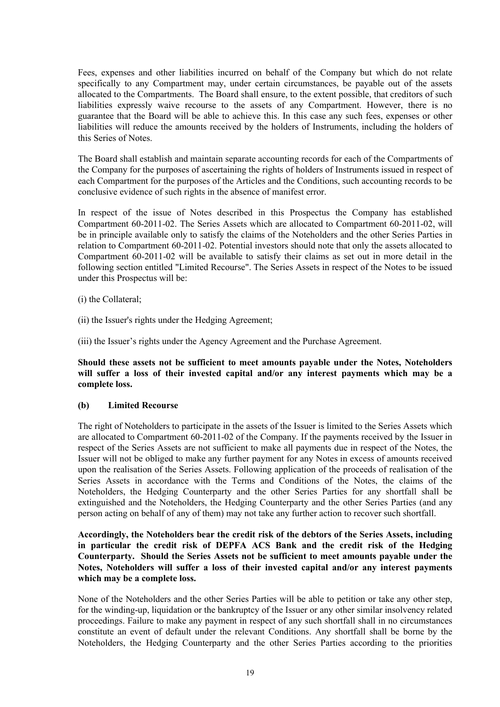Fees, expenses and other liabilities incurred on behalf of the Company but which do not relate specifically to any Compartment may, under certain circumstances, be payable out of the assets allocated to the Compartments. The Board shall ensure, to the extent possible, that creditors of such liabilities expressly waive recourse to the assets of any Compartment. However, there is no guarantee that the Board will be able to achieve this. In this case any such fees, expenses or other liabilities will reduce the amounts received by the holders of Instruments, including the holders of this Series of Notes.

The Board shall establish and maintain separate accounting records for each of the Compartments of the Company for the purposes of ascertaining the rights of holders of Instruments issued in respect of each Compartment for the purposes of the Articles and the Conditions, such accounting records to be conclusive evidence of such rights in the absence of manifest error.

In respect of the issue of Notes described in this Prospectus the Company has established Compartment 60-2011-02. The Series Assets which are allocated to Compartment 60-2011-02, will be in principle available only to satisfy the claims of the Noteholders and the other Series Parties in relation to Compartment 60-2011-02. Potential investors should note that only the assets allocated to Compartment 60-2011-02 will be available to satisfy their claims as set out in more detail in the following section entitled "Limited Recourse". The Series Assets in respect of the Notes to be issued under this Prospectus will be:

- (i) the Collateral;
- (ii) the Issuer's rights under the Hedging Agreement;

(iii) the Issuer's rights under the Agency Agreement and the Purchase Agreement.

**Should these assets not be sufficient to meet amounts payable under the Notes, Noteholders will suffer a loss of their invested capital and/or any interest payments which may be a complete loss.**

### **(b) Limited Recourse**

The right of Noteholders to participate in the assets of the Issuer is limited to the Series Assets which are allocated to Compartment 60-2011-02 of the Company. If the payments received by the Issuer in respect of the Series Assets are not sufficient to make all payments due in respect of the Notes, the Issuer will not be obliged to make any further payment for any Notes in excess of amounts received upon the realisation of the Series Assets. Following application of the proceeds of realisation of the Series Assets in accordance with the Terms and Conditions of the Notes, the claims of the Noteholders, the Hedging Counterparty and the other Series Parties for any shortfall shall be extinguished and the Noteholders, the Hedging Counterparty and the other Series Parties (and any person acting on behalf of any of them) may not take any further action to recover such shortfall.

## **Accordingly, the Noteholders bear the credit risk of the debtors of the Series Assets, including in particular the credit risk of DEPFA ACS Bank and the credit risk of the Hedging Counterparty. Should the Series Assets not be sufficient to meet amounts payable under the Notes, Noteholders will suffer a loss of their invested capital and/or any interest payments which may be a complete loss.**

None of the Noteholders and the other Series Parties will be able to petition or take any other step, for the winding-up, liquidation or the bankruptcy of the Issuer or any other similar insolvency related proceedings. Failure to make any payment in respect of any such shortfall shall in no circumstances constitute an event of default under the relevant Conditions. Any shortfall shall be borne by the Noteholders, the Hedging Counterparty and the other Series Parties according to the priorities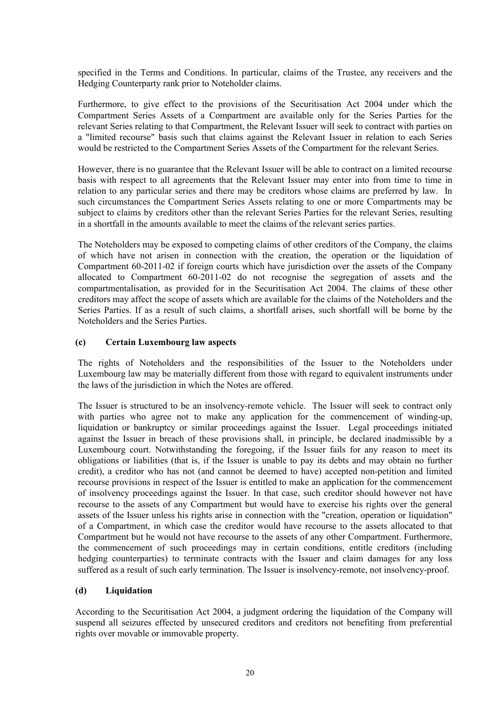specified in the Terms and Conditions. In particular, claims of the Trustee, any receivers and the Hedging Counterparty rank prior to Noteholder claims.

Furthermore, to give effect to the provisions of the Securitisation Act 2004 under which the Compartment Series Assets of a Compartment are available only for the Series Parties for the relevant Series relating to that Compartment, the Relevant Issuer will seek to contract with parties on a "limited recourse" basis such that claims against the Relevant Issuer in relation to each Series would be restricted to the Compartment Series Assets of the Compartment for the relevant Series.

However, there is no guarantee that the Relevant Issuer will be able to contract on a limited recourse basis with respect to all agreements that the Relevant Issuer may enter into from time to time in relation to any particular series and there may be creditors whose claims are preferred by law. In such circumstances the Compartment Series Assets relating to one or more Compartments may be subject to claims by creditors other than the relevant Series Parties for the relevant Series, resulting in a shortfall in the amounts available to meet the claims of the relevant series parties.

The Noteholders may be exposed to competing claims of other creditors of the Company, the claims of which have not arisen in connection with the creation, the operation or the liquidation of Compartment 60-2011-02 if foreign courts which have jurisdiction over the assets of the Company allocated to Compartment 60-2011-02 do not recognise the segregation of assets and the compartmentalisation, as provided for in the Securitisation Act 2004. The claims of these other creditors may affect the scope of assets which are available for the claims of the Noteholders and the Series Parties. If as a result of such claims, a shortfall arises, such shortfall will be borne by the Noteholders and the Series Parties.

#### **(c) Certain Luxembourg law aspects**

The rights of Noteholders and the responsibilities of the Issuer to the Noteholders under Luxembourg law may be materially different from those with regard to equivalent instruments under the laws of the jurisdiction in which the Notes are offered.

The Issuer is structured to be an insolvency-remote vehicle. The Issuer will seek to contract only with parties who agree not to make any application for the commencement of winding-up, liquidation or bankruptcy or similar proceedings against the Issuer. Legal proceedings initiated against the Issuer in breach of these provisions shall, in principle, be declared inadmissible by a Luxembourg court. Notwithstanding the foregoing, if the Issuer fails for any reason to meet its obligations or liabilities (that is, if the Issuer is unable to pay its debts and may obtain no further credit), a creditor who has not (and cannot be deemed to have) accepted non-petition and limited recourse provisions in respect of the Issuer is entitled to make an application for the commencement of insolvency proceedings against the Issuer. In that case, such creditor should however not have recourse to the assets of any Compartment but would have to exercise his rights over the general assets of the Issuer unless his rights arise in connection with the "creation, operation or liquidation" of a Compartment, in which case the creditor would have recourse to the assets allocated to that Compartment but he would not have recourse to the assets of any other Compartment. Furthermore, the commencement of such proceedings may in certain conditions, entitle creditors (including hedging counterparties) to terminate contracts with the Issuer and claim damages for any loss suffered as a result of such early termination. The Issuer is insolvency-remote, not insolvency-proof.

#### **(d) Liquidation**

According to the Securitisation Act 2004, a judgment ordering the liquidation of the Company will suspend all seizures effected by unsecured creditors and creditors not benefiting from preferential rights over movable or immovable property.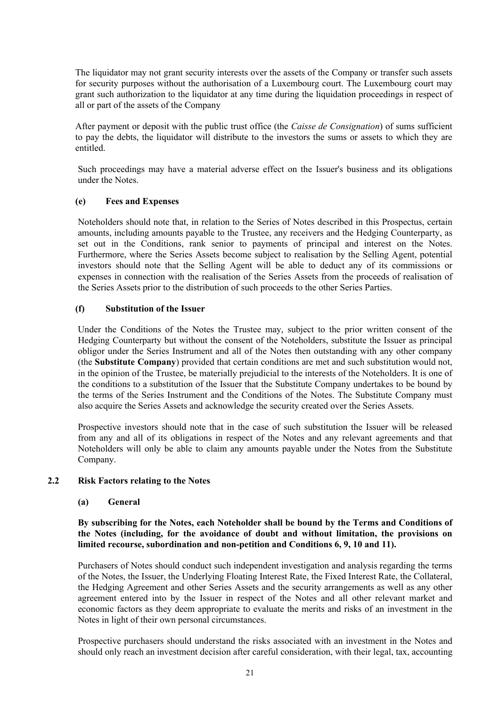The liquidator may not grant security interests over the assets of the Company or transfer such assets for security purposes without the authorisation of a Luxembourg court. The Luxembourg court may grant such authorization to the liquidator at any time during the liquidation proceedings in respect of all or part of the assets of the Company

After payment or deposit with the public trust office (the *Caisse de Consignation*) of sums sufficient to pay the debts, the liquidator will distribute to the investors the sums or assets to which they are entitled.

Such proceedings may have a material adverse effect on the Issuer's business and its obligations under the Notes.

### **(e) Fees and Expenses**

Noteholders should note that, in relation to the Series of Notes described in this Prospectus, certain amounts, including amounts payable to the Trustee, any receivers and the Hedging Counterparty, as set out in the Conditions, rank senior to payments of principal and interest on the Notes. Furthermore, where the Series Assets become subject to realisation by the Selling Agent, potential investors should note that the Selling Agent will be able to deduct any of its commissions or expenses in connection with the realisation of the Series Assets from the proceeds of realisation of the Series Assets prior to the distribution of such proceeds to the other Series Parties.

## **(f) Substitution of the Issuer**

Under the Conditions of the Notes the Trustee may, subject to the prior written consent of the Hedging Counterparty but without the consent of the Noteholders, substitute the Issuer as principal obligor under the Series Instrument and all of the Notes then outstanding with any other company (the **Substitute Company**) provided that certain conditions are met and such substitution would not, in the opinion of the Trustee, be materially prejudicial to the interests of the Noteholders. It is one of the conditions to a substitution of the Issuer that the Substitute Company undertakes to be bound by the terms of the Series Instrument and the Conditions of the Notes. The Substitute Company must also acquire the Series Assets and acknowledge the security created over the Series Assets.

Prospective investors should note that in the case of such substitution the Issuer will be released from any and all of its obligations in respect of the Notes and any relevant agreements and that Noteholders will only be able to claim any amounts payable under the Notes from the Substitute Company.

### **2.2 Risk Factors relating to the Notes**

### **(a) General**

## **By subscribing for the Notes, each Noteholder shall be bound by the Terms and Conditions of the Notes (including, for the avoidance of doubt and without limitation, the provisions on limited recourse, subordination and non-petition and Conditions 6, 9, 10 and 11).**

Purchasers of Notes should conduct such independent investigation and analysis regarding the terms of the Notes, the Issuer, the Underlying Floating Interest Rate, the Fixed Interest Rate, the Collateral, the Hedging Agreement and other Series Assets and the security arrangements as well as any other agreement entered into by the Issuer in respect of the Notes and all other relevant market and economic factors as they deem appropriate to evaluate the merits and risks of an investment in the Notes in light of their own personal circumstances.

Prospective purchasers should understand the risks associated with an investment in the Notes and should only reach an investment decision after careful consideration, with their legal, tax, accounting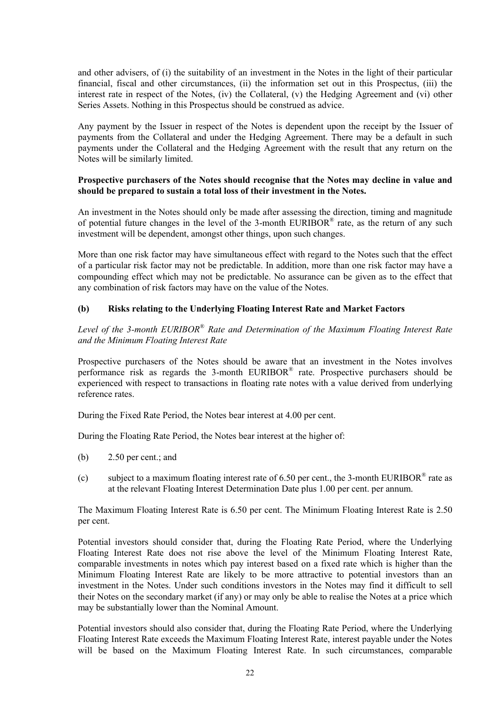and other advisers, of (i) the suitability of an investment in the Notes in the light of their particular financial, fiscal and other circumstances, (ii) the information set out in this Prospectus, (iii) the interest rate in respect of the Notes, (iv) the Collateral, (v) the Hedging Agreement and (vi) other Series Assets. Nothing in this Prospectus should be construed as advice.

Any payment by the Issuer in respect of the Notes is dependent upon the receipt by the Issuer of payments from the Collateral and under the Hedging Agreement. There may be a default in such payments under the Collateral and the Hedging Agreement with the result that any return on the Notes will be similarly limited.

### **Prospective purchasers of the Notes should recognise that the Notes may decline in value and should be prepared to sustain a total loss of their investment in the Notes.**

An investment in the Notes should only be made after assessing the direction, timing and magnitude of potential future changes in the level of the 3-month  $EURIBOR^{\otimes}$  rate, as the return of any such investment will be dependent, amongst other things, upon such changes.

More than one risk factor may have simultaneous effect with regard to the Notes such that the effect of a particular risk factor may not be predictable. In addition, more than one risk factor may have a compounding effect which may not be predictable. No assurance can be given as to the effect that any combination of risk factors may have on the value of the Notes.

## **(b) Risks relating to the Underlying Floating Interest Rate and Market Factors**

Level of the 3-month EURIBOR<sup>®</sup> Rate and Determination of the Maximum Floating Interest Rate *and the Minimum Floating Interest Rate*

Prospective purchasers of the Notes should be aware that an investment in the Notes involves performance risk as regards the 3-month EURIBOR® rate. Prospective purchasers should be experienced with respect to transactions in floating rate notes with a value derived from underlying reference rates.

During the Fixed Rate Period, the Notes bear interest at 4.00 per cent.

During the Floating Rate Period, the Notes bear interest at the higher of:

- (b) 2.50 per cent.; and
- (c) subject to a maximum floating interest rate of 6.50 per cent., the 3-month EURIBOR<sup>®</sup> rate as at the relevant Floating Interest Determination Date plus 1.00 per cent. per annum.

The Maximum Floating Interest Rate is 6.50 per cent. The Minimum Floating Interest Rate is 2.50 per cent.

Potential investors should consider that, during the Floating Rate Period, where the Underlying Floating Interest Rate does not rise above the level of the Minimum Floating Interest Rate, comparable investments in notes which pay interest based on a fixed rate which is higher than the Minimum Floating Interest Rate are likely to be more attractive to potential investors than an investment in the Notes. Under such conditions investors in the Notes may find it difficult to sell their Notes on the secondary market (if any) or may only be able to realise the Notes at a price which may be substantially lower than the Nominal Amount.

Potential investors should also consider that, during the Floating Rate Period, where the Underlying Floating Interest Rate exceeds the Maximum Floating Interest Rate, interest payable under the Notes will be based on the Maximum Floating Interest Rate. In such circumstances, comparable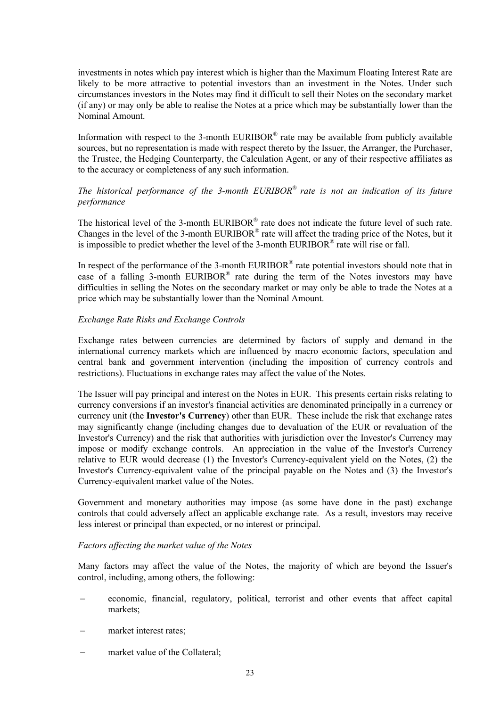investments in notes which pay interest which is higher than the Maximum Floating Interest Rate are likely to be more attractive to potential investors than an investment in the Notes. Under such circumstances investors in the Notes may find it difficult to sell their Notes on the secondary market (if any) or may only be able to realise the Notes at a price which may be substantially lower than the Nominal Amount.

Information with respect to the 3-month EURIBOR<sup>®</sup> rate may be available from publicly available sources, but no representation is made with respect thereto by the Issuer, the Arranger, the Purchaser, the Trustee, the Hedging Counterparty, the Calculation Agent, or any of their respective affiliates as to the accuracy or completeness of any such information.

# *The historical performance of the 3-month EURIBOR® rate is not an indication of its future performance*

The historical level of the 3-month EURIBOR® rate does not indicate the future level of such rate. Changes in the level of the 3-month EURIBOR® rate will affect the trading price of the Notes, but it is impossible to predict whether the level of the 3-month  $EURIBOR^*$  rate will rise or fall.

In respect of the performance of the 3-month EURIBOR® rate potential investors should note that in case of a falling 3-month EURIBOR® rate during the term of the Notes investors may have difficulties in selling the Notes on the secondary market or may only be able to trade the Notes at a price which may be substantially lower than the Nominal Amount.

### *Exchange Rate Risks and Exchange Controls*

Exchange rates between currencies are determined by factors of supply and demand in the international currency markets which are influenced by macro economic factors, speculation and central bank and government intervention (including the imposition of currency controls and restrictions). Fluctuations in exchange rates may affect the value of the Notes.

The Issuer will pay principal and interest on the Notes in EUR. This presents certain risks relating to currency conversions if an investor's financial activities are denominated principally in a currency or currency unit (the **Investor's Currency**) other than EUR. These include the risk that exchange rates may significantly change (including changes due to devaluation of the EUR or revaluation of the Investor's Currency) and the risk that authorities with jurisdiction over the Investor's Currency may impose or modify exchange controls. An appreciation in the value of the Investor's Currency relative to EUR would decrease (1) the Investor's Currency-equivalent yield on the Notes, (2) the Investor's Currency-equivalent value of the principal payable on the Notes and (3) the Investor's Currency-equivalent market value of the Notes.

Government and monetary authorities may impose (as some have done in the past) exchange controls that could adversely affect an applicable exchange rate. As a result, investors may receive less interest or principal than expected, or no interest or principal.

### *Factors affecting the market value of the Notes*

Many factors may affect the value of the Notes, the majority of which are beyond the Issuer's control, including, among others, the following:

- economic, financial, regulatory, political, terrorist and other events that affect capital markets;
- market interest rates;
- market value of the Collateral;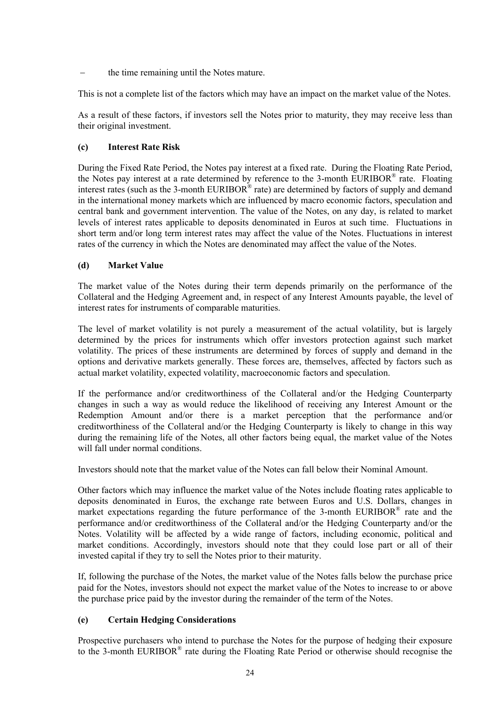the time remaining until the Notes mature.

This is not a complete list of the factors which may have an impact on the market value of the Notes.

As a result of these factors, if investors sell the Notes prior to maturity, they may receive less than their original investment.

# **(c) Interest Rate Risk**

During the Fixed Rate Period, the Notes pay interest at a fixed rate. During the Floating Rate Period, the Notes pay interest at a rate determined by reference to the 3-month EURIBOR® rate. Floating interest rates (such as the 3-month EURIBOR® rate) are determined by factors of supply and demand in the international money markets which are influenced by macro economic factors, speculation and central bank and government intervention. The value of the Notes, on any day, is related to market levels of interest rates applicable to deposits denominated in Euros at such time. Fluctuations in short term and/or long term interest rates may affect the value of the Notes. Fluctuations in interest rates of the currency in which the Notes are denominated may affect the value of the Notes.

# **(d) Market Value**

The market value of the Notes during their term depends primarily on the performance of the Collateral and the Hedging Agreement and, in respect of any Interest Amounts payable, the level of interest rates for instruments of comparable maturities.

The level of market volatility is not purely a measurement of the actual volatility, but is largely determined by the prices for instruments which offer investors protection against such market volatility. The prices of these instruments are determined by forces of supply and demand in the options and derivative markets generally. These forces are, themselves, affected by factors such as actual market volatility, expected volatility, macroeconomic factors and speculation.

If the performance and/or creditworthiness of the Collateral and/or the Hedging Counterparty changes in such a way as would reduce the likelihood of receiving any Interest Amount or the Redemption Amount and/or there is a market perception that the performance and/or creditworthiness of the Collateral and/or the Hedging Counterparty is likely to change in this way during the remaining life of the Notes, all other factors being equal, the market value of the Notes will fall under normal conditions.

Investors should note that the market value of the Notes can fall below their Nominal Amount.

Other factors which may influence the market value of the Notes include floating rates applicable to deposits denominated in Euros, the exchange rate between Euros and U.S. Dollars, changes in market expectations regarding the future performance of the 3-month EURIBOR $^{\circ}$  rate and the performance and/or creditworthiness of the Collateral and/or the Hedging Counterparty and/or the Notes. Volatility will be affected by a wide range of factors, including economic, political and market conditions. Accordingly, investors should note that they could lose part or all of their invested capital if they try to sell the Notes prior to their maturity.

If, following the purchase of the Notes, the market value of the Notes falls below the purchase price paid for the Notes, investors should not expect the market value of the Notes to increase to or above the purchase price paid by the investor during the remainder of the term of the Notes.

# **(e) Certain Hedging Considerations**

Prospective purchasers who intend to purchase the Notes for the purpose of hedging their exposure to the 3-month EURIBOR® rate during the Floating Rate Period or otherwise should recognise the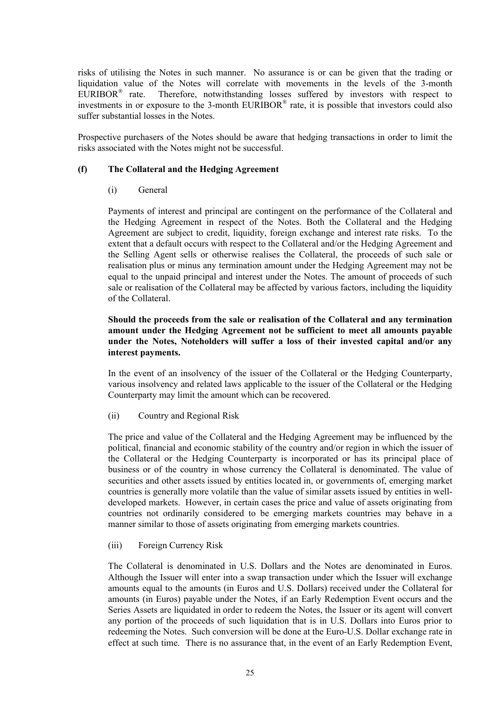risks of utilising the Notes in such manner. No assurance is or can be given that the trading or liquidation value of the Notes will correlate with movements in the levels of the 3-month EURIBOR<sup>®</sup> rate. Therefore, notwithstanding losses suffered by investors with respect to investments in or exposure to the 3-month EURIBOR<sup>®</sup> rate, it is possible that investors could also suffer substantial losses in the Notes.

Prospective purchasers of the Notes should be aware that hedging transactions in order to limit the risks associated with the Notes might not be successful.

## **(f) The Collateral and the Hedging Agreement**

### (i) General

Payments of interest and principal are contingent on the performance of the Collateral and the Hedging Agreement in respect of the Notes. Both the Collateral and the Hedging Agreement are subject to credit, liquidity, foreign exchange and interest rate risks. To the extent that a default occurs with respect to the Collateral and/or the Hedging Agreement and the Selling Agent sells or otherwise realises the Collateral, the proceeds of such sale or realisation plus or minus any termination amount under the Hedging Agreement may not be equal to the unpaid principal and interest under the Notes. The amount of proceeds of such sale or realisation of the Collateral may be affected by various factors, including the liquidity of the Collateral.

## **Should the proceeds from the sale or realisation of the Collateral and any termination amount under the Hedging Agreement not be sufficient to meet all amounts payable under the Notes, Noteholders will suffer a loss of their invested capital and/or any interest payments.**

In the event of an insolvency of the issuer of the Collateral or the Hedging Counterparty, various insolvency and related laws applicable to the issuer of the Collateral or the Hedging Counterparty may limit the amount which can be recovered.

### (ii) Country and Regional Risk

The price and value of the Collateral and the Hedging Agreement may be influenced by the political, financial and economic stability of the country and/or region in which the issuer of the Collateral or the Hedging Counterparty is incorporated or has its principal place of business or of the country in whose currency the Collateral is denominated. The value of securities and other assets issued by entities located in, or governments of, emerging market countries is generally more volatile than the value of similar assets issued by entities in welldeveloped markets. However, in certain cases the price and value of assets originating from countries not ordinarily considered to be emerging markets countries may behave in a manner similar to those of assets originating from emerging markets countries.

### (iii) Foreign Currency Risk

The Collateral is denominated in U.S. Dollars and the Notes are denominated in Euros. Although the Issuer will enter into a swap transaction under which the Issuer will exchange amounts equal to the amounts (in Euros and U.S. Dollars) received under the Collateral for amounts (in Euros) payable under the Notes, if an Early Redemption Event occurs and the Series Assets are liquidated in order to redeem the Notes, the Issuer or its agent will convert any portion of the proceeds of such liquidation that is in U.S. Dollars into Euros prior to redeeming the Notes. Such conversion will be done at the Euro-U.S. Dollar exchange rate in effect at such time. There is no assurance that, in the event of an Early Redemption Event,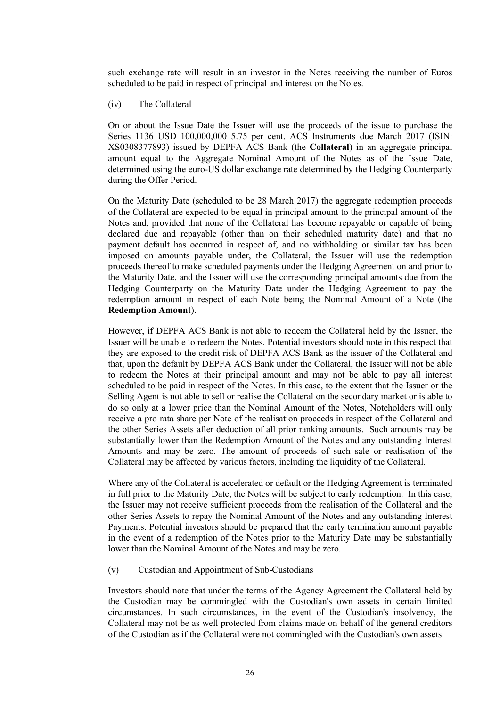such exchange rate will result in an investor in the Notes receiving the number of Euros scheduled to be paid in respect of principal and interest on the Notes.

#### (iv) The Collateral

On or about the Issue Date the Issuer will use the proceeds of the issue to purchase the Series 1136 USD 100,000,000 5.75 per cent. ACS Instruments due March 2017 (ISIN: XS0308377893) issued by DEPFA ACS Bank (the **Collateral**) in an aggregate principal amount equal to the Aggregate Nominal Amount of the Notes as of the Issue Date, determined using the euro-US dollar exchange rate determined by the Hedging Counterparty during the Offer Period.

On the Maturity Date (scheduled to be 28 March 2017) the aggregate redemption proceeds of the Collateral are expected to be equal in principal amount to the principal amount of the Notes and, provided that none of the Collateral has become repayable or capable of being declared due and repayable (other than on their scheduled maturity date) and that no payment default has occurred in respect of, and no withholding or similar tax has been imposed on amounts payable under, the Collateral, the Issuer will use the redemption proceeds thereof to make scheduled payments under the Hedging Agreement on and prior to the Maturity Date, and the Issuer will use the corresponding principal amounts due from the Hedging Counterparty on the Maturity Date under the Hedging Agreement to pay the redemption amount in respect of each Note being the Nominal Amount of a Note (the **Redemption Amount**).

However, if DEPFA ACS Bank is not able to redeem the Collateral held by the Issuer, the Issuer will be unable to redeem the Notes. Potential investors should note in this respect that they are exposed to the credit risk of DEPFA ACS Bank as the issuer of the Collateral and that, upon the default by DEPFA ACS Bank under the Collateral, the Issuer will not be able to redeem the Notes at their principal amount and may not be able to pay all interest scheduled to be paid in respect of the Notes. In this case, to the extent that the Issuer or the Selling Agent is not able to sell or realise the Collateral on the secondary market or is able to do so only at a lower price than the Nominal Amount of the Notes, Noteholders will only receive a pro rata share per Note of the realisation proceeds in respect of the Collateral and the other Series Assets after deduction of all prior ranking amounts. Such amounts may be substantially lower than the Redemption Amount of the Notes and any outstanding Interest Amounts and may be zero. The amount of proceeds of such sale or realisation of the Collateral may be affected by various factors, including the liquidity of the Collateral.

Where any of the Collateral is accelerated or default or the Hedging Agreement is terminated in full prior to the Maturity Date, the Notes will be subject to early redemption. In this case, the Issuer may not receive sufficient proceeds from the realisation of the Collateral and the other Series Assets to repay the Nominal Amount of the Notes and any outstanding Interest Payments. Potential investors should be prepared that the early termination amount payable in the event of a redemption of the Notes prior to the Maturity Date may be substantially lower than the Nominal Amount of the Notes and may be zero.

#### (v) Custodian and Appointment of Sub-Custodians

Investors should note that under the terms of the Agency Agreement the Collateral held by the Custodian may be commingled with the Custodian's own assets in certain limited circumstances. In such circumstances, in the event of the Custodian's insolvency, the Collateral may not be as well protected from claims made on behalf of the general creditors of the Custodian as if the Collateral were not commingled with the Custodian's own assets.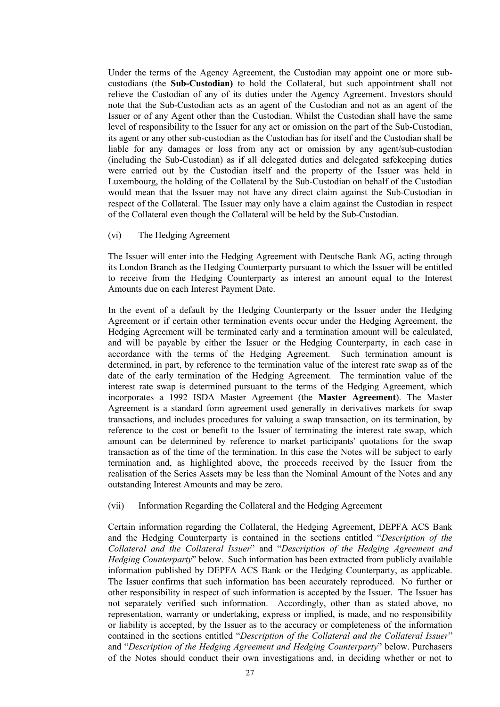Under the terms of the Agency Agreement, the Custodian may appoint one or more subcustodians (the **Sub-Custodian)** to hold the Collateral, but such appointment shall not relieve the Custodian of any of its duties under the Agency Agreement. Investors should note that the Sub-Custodian acts as an agent of the Custodian and not as an agent of the Issuer or of any Agent other than the Custodian. Whilst the Custodian shall have the same level of responsibility to the Issuer for any act or omission on the part of the Sub-Custodian, its agent or any other sub-custodian as the Custodian has for itself and the Custodian shall be liable for any damages or loss from any act or omission by any agent/sub-custodian (including the Sub-Custodian) as if all delegated duties and delegated safekeeping duties were carried out by the Custodian itself and the property of the Issuer was held in Luxembourg, the holding of the Collateral by the Sub-Custodian on behalf of the Custodian would mean that the Issuer may not have any direct claim against the Sub-Custodian in respect of the Collateral. The Issuer may only have a claim against the Custodian in respect of the Collateral even though the Collateral will be held by the Sub-Custodian.

#### (vi) The Hedging Agreement

The Issuer will enter into the Hedging Agreement with Deutsche Bank AG, acting through its London Branch as the Hedging Counterparty pursuant to which the Issuer will be entitled to receive from the Hedging Counterparty as interest an amount equal to the Interest Amounts due on each Interest Payment Date.

In the event of a default by the Hedging Counterparty or the Issuer under the Hedging Agreement or if certain other termination events occur under the Hedging Agreement, the Hedging Agreement will be terminated early and a termination amount will be calculated, and will be payable by either the Issuer or the Hedging Counterparty, in each case in accordance with the terms of the Hedging Agreement. Such termination amount is determined, in part, by reference to the termination value of the interest rate swap as of the date of the early termination of the Hedging Agreement. The termination value of the interest rate swap is determined pursuant to the terms of the Hedging Agreement, which incorporates a 1992 ISDA Master Agreement (the **Master Agreement**). The Master Agreement is a standard form agreement used generally in derivatives markets for swap transactions, and includes procedures for valuing a swap transaction, on its termination, by reference to the cost or benefit to the Issuer of terminating the interest rate swap, which amount can be determined by reference to market participants' quotations for the swap transaction as of the time of the termination. In this case the Notes will be subject to early termination and, as highlighted above, the proceeds received by the Issuer from the realisation of the Series Assets may be less than the Nominal Amount of the Notes and any outstanding Interest Amounts and may be zero.

#### (vii) Information Regarding the Collateral and the Hedging Agreement

Certain information regarding the Collateral, the Hedging Agreement, DEPFA ACS Bank and the Hedging Counterparty is contained in the sections entitled "*Description of the Collateral and the Collateral Issuer*" and "*Description of the Hedging Agreement and Hedging Counterparty*" below. Such information has been extracted from publicly available information published by DEPFA ACS Bank or the Hedging Counterparty, as applicable. The Issuer confirms that such information has been accurately reproduced. No further or other responsibility in respect of such information is accepted by the Issuer. The Issuer has not separately verified such information. Accordingly, other than as stated above, no representation, warranty or undertaking, express or implied, is made, and no responsibility or liability is accepted, by the Issuer as to the accuracy or completeness of the information contained in the sections entitled "*Description of the Collateral and the Collateral Issuer*" and "*Description of the Hedging Agreement and Hedging Counterparty*" below. Purchasers of the Notes should conduct their own investigations and, in deciding whether or not to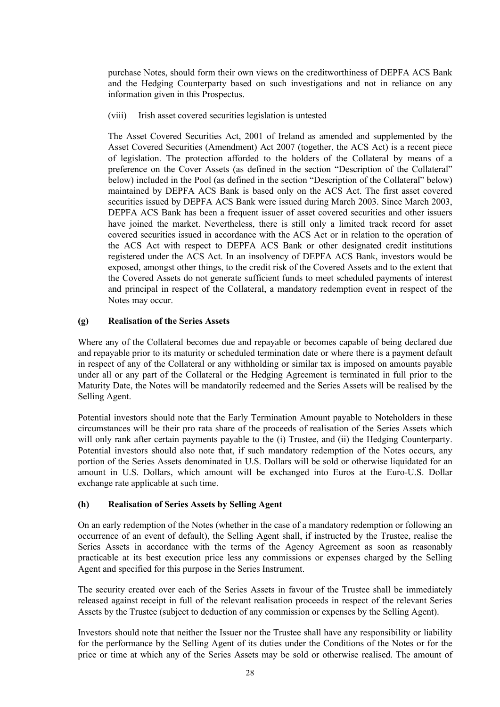purchase Notes, should form their own views on the creditworthiness of DEPFA ACS Bank and the Hedging Counterparty based on such investigations and not in reliance on any information given in this Prospectus.

(viii) Irish asset covered securities legislation is untested

The Asset Covered Securities Act, 2001 of Ireland as amended and supplemented by the Asset Covered Securities (Amendment) Act 2007 (together, the ACS Act) is a recent piece of legislation. The protection afforded to the holders of the Collateral by means of a preference on the Cover Assets (as defined in the section "Description of the Collateral" below) included in the Pool (as defined in the section "Description of the Collateral" below) maintained by DEPFA ACS Bank is based only on the ACS Act. The first asset covered securities issued by DEPFA ACS Bank were issued during March 2003. Since March 2003, DEPFA ACS Bank has been a frequent issuer of asset covered securities and other issuers have joined the market. Nevertheless, there is still only a limited track record for asset covered securities issued in accordance with the ACS Act or in relation to the operation of the ACS Act with respect to DEPFA ACS Bank or other designated credit institutions registered under the ACS Act. In an insolvency of DEPFA ACS Bank, investors would be exposed, amongst other things, to the credit risk of the Covered Assets and to the extent that the Covered Assets do not generate sufficient funds to meet scheduled payments of interest and principal in respect of the Collateral, a mandatory redemption event in respect of the Notes may occur.

### **(g) Realisation of the Series Assets**

Where any of the Collateral becomes due and repayable or becomes capable of being declared due and repayable prior to its maturity or scheduled termination date or where there is a payment default in respect of any of the Collateral or any withholding or similar tax is imposed on amounts payable under all or any part of the Collateral or the Hedging Agreement is terminated in full prior to the Maturity Date, the Notes will be mandatorily redeemed and the Series Assets will be realised by the Selling Agent.

Potential investors should note that the Early Termination Amount payable to Noteholders in these circumstances will be their pro rata share of the proceeds of realisation of the Series Assets which will only rank after certain payments payable to the (i) Trustee, and (ii) the Hedging Counterparty. Potential investors should also note that, if such mandatory redemption of the Notes occurs, any portion of the Series Assets denominated in U.S. Dollars will be sold or otherwise liquidated for an amount in U.S. Dollars, which amount will be exchanged into Euros at the Euro-U.S. Dollar exchange rate applicable at such time.

### **(h) Realisation of Series Assets by Selling Agent**

On an early redemption of the Notes (whether in the case of a mandatory redemption or following an occurrence of an event of default), the Selling Agent shall, if instructed by the Trustee, realise the Series Assets in accordance with the terms of the Agency Agreement as soon as reasonably practicable at its best execution price less any commissions or expenses charged by the Selling Agent and specified for this purpose in the Series Instrument.

The security created over each of the Series Assets in favour of the Trustee shall be immediately released against receipt in full of the relevant realisation proceeds in respect of the relevant Series Assets by the Trustee (subject to deduction of any commission or expenses by the Selling Agent).

Investors should note that neither the Issuer nor the Trustee shall have any responsibility or liability for the performance by the Selling Agent of its duties under the Conditions of the Notes or for the price or time at which any of the Series Assets may be sold or otherwise realised. The amount of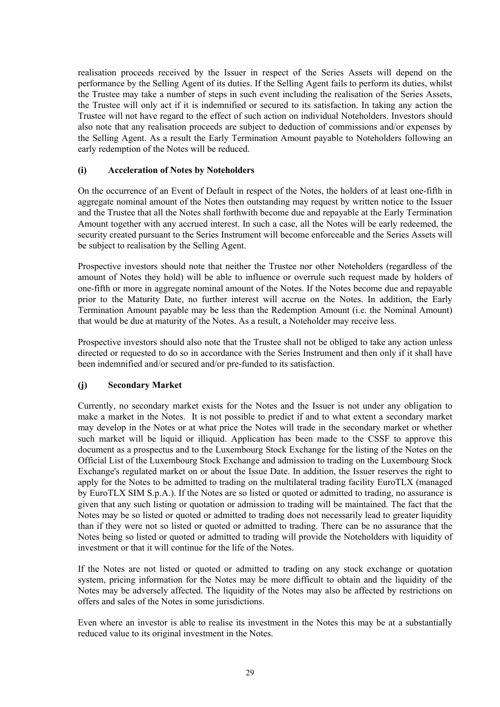realisation proceeds received by the Issuer in respect of the Series Assets will depend on the performance by the Selling Agent of its duties. If the Selling Agent fails to perform its duties, whilst the Trustee may take a number of steps in such event including the realisation of the Series Assets, the Trustee will only act if it is indemnified or secured to its satisfaction. In taking any action the Trustee will not have regard to the effect of such action on individual Noteholders. Investors should also note that any realisation proceeds are subject to deduction of commissions and/or expenses by the Selling Agent. As a result the Early Termination Amount payable to Noteholders following an early redemption of the Notes will be reduced.

## **(i) Acceleration of Notes by Noteholders**

On the occurrence of an Event of Default in respect of the Notes, the holders of at least one-fifth in aggregate nominal amount of the Notes then outstanding may request by written notice to the Issuer and the Trustee that all the Notes shall forthwith become due and repayable at the Early Termination Amount together with any accrued interest. In such a case, all the Notes will be early redeemed, the security created pursuant to the Series Instrument will become enforceable and the Series Assets will be subject to realisation by the Selling Agent.

Prospective investors should note that neither the Trustee nor other Noteholders (regardless of the amount of Notes they hold) will be able to influence or overrule such request made by holders of one-fifth or more in aggregate nominal amount of the Notes. If the Notes become due and repayable prior to the Maturity Date, no further interest will accrue on the Notes. In addition, the Early Termination Amount payable may be less than the Redemption Amount (i.e. the Nominal Amount) that would be due at maturity of the Notes. As a result, a Noteholder may receive less.

Prospective investors should also note that the Trustee shall not be obliged to take any action unless directed or requested to do so in accordance with the Series Instrument and then only if it shall have been indemnified and/or secured and/or pre-funded to its satisfaction.

# **(j) Secondary Market**

Currently, no secondary market exists for the Notes and the Issuer is not under any obligation to make a market in the Notes. It is not possible to predict if and to what extent a secondary market may develop in the Notes or at what price the Notes will trade in the secondary market or whether such market will be liquid or illiquid. Application has been made to the CSSF to approve this document as a prospectus and to the Luxembourg Stock Exchange for the listing of the Notes on the Official List of the Luxembourg Stock Exchange and admission to trading on the Luxembourg Stock Exchange's regulated market on or about the Issue Date. In addition, the Issuer reserves the right to apply for the Notes to be admitted to trading on the multilateral trading facility EuroTLX (managed by EuroTLX SIM S.p.A.). If the Notes are so listed or quoted or admitted to trading, no assurance is given that any such listing or quotation or admission to trading will be maintained. The fact that the Notes may be so listed or quoted or admitted to trading does not necessarily lead to greater liquidity than if they were not so listed or quoted or admitted to trading. There can be no assurance that the Notes being so listed or quoted or admitted to trading will provide the Noteholders with liquidity of investment or that it will continue for the life of the Notes.

If the Notes are not listed or quoted or admitted to trading on any stock exchange or quotation system, pricing information for the Notes may be more difficult to obtain and the liquidity of the Notes may be adversely affected. The liquidity of the Notes may also be affected by restrictions on offers and sales of the Notes in some jurisdictions.

Even where an investor is able to realise its investment in the Notes this may be at a substantially reduced value to its original investment in the Notes.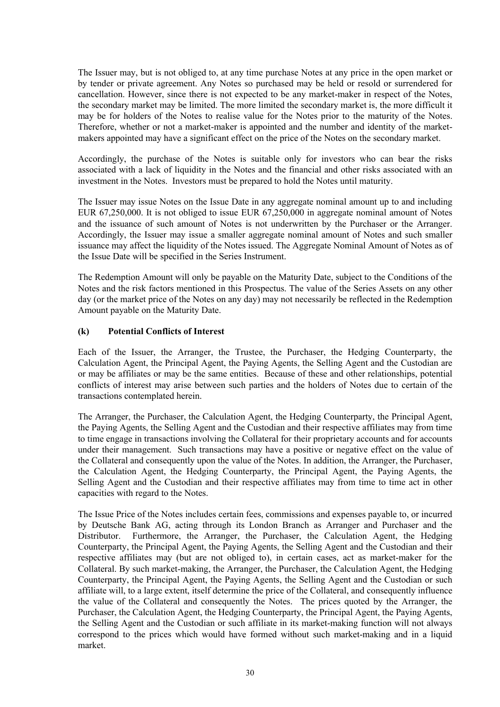The Issuer may, but is not obliged to, at any time purchase Notes at any price in the open market or by tender or private agreement. Any Notes so purchased may be held or resold or surrendered for cancellation. However, since there is not expected to be any market-maker in respect of the Notes, the secondary market may be limited. The more limited the secondary market is, the more difficult it may be for holders of the Notes to realise value for the Notes prior to the maturity of the Notes. Therefore, whether or not a market-maker is appointed and the number and identity of the marketmakers appointed may have a significant effect on the price of the Notes on the secondary market.

Accordingly, the purchase of the Notes is suitable only for investors who can bear the risks associated with a lack of liquidity in the Notes and the financial and other risks associated with an investment in the Notes. Investors must be prepared to hold the Notes until maturity.

The Issuer may issue Notes on the Issue Date in any aggregate nominal amount up to and including EUR 67,250,000. It is not obliged to issue EUR 67,250,000 in aggregate nominal amount of Notes and the issuance of such amount of Notes is not underwritten by the Purchaser or the Arranger. Accordingly, the Issuer may issue a smaller aggregate nominal amount of Notes and such smaller issuance may affect the liquidity of the Notes issued. The Aggregate Nominal Amount of Notes as of the Issue Date will be specified in the Series Instrument.

The Redemption Amount will only be payable on the Maturity Date, subject to the Conditions of the Notes and the risk factors mentioned in this Prospectus. The value of the Series Assets on any other day (or the market price of the Notes on any day) may not necessarily be reflected in the Redemption Amount payable on the Maturity Date.

## **(k) Potential Conflicts of Interest**

Each of the Issuer, the Arranger, the Trustee, the Purchaser, the Hedging Counterparty, the Calculation Agent, the Principal Agent, the Paying Agents, the Selling Agent and the Custodian are or may be affiliates or may be the same entities. Because of these and other relationships, potential conflicts of interest may arise between such parties and the holders of Notes due to certain of the transactions contemplated herein.

The Arranger, the Purchaser, the Calculation Agent, the Hedging Counterparty, the Principal Agent, the Paying Agents, the Selling Agent and the Custodian and their respective affiliates may from time to time engage in transactions involving the Collateral for their proprietary accounts and for accounts under their management. Such transactions may have a positive or negative effect on the value of the Collateral and consequently upon the value of the Notes. In addition, the Arranger, the Purchaser, the Calculation Agent, the Hedging Counterparty, the Principal Agent, the Paying Agents, the Selling Agent and the Custodian and their respective affiliates may from time to time act in other capacities with regard to the Notes.

The Issue Price of the Notes includes certain fees, commissions and expenses payable to, or incurred by Deutsche Bank AG, acting through its London Branch as Arranger and Purchaser and the Distributor. Furthermore, the Arranger, the Purchaser, the Calculation Agent, the Hedging Counterparty, the Principal Agent, the Paying Agents, the Selling Agent and the Custodian and their respective affiliates may (but are not obliged to), in certain cases, act as market-maker for the Collateral. By such market-making, the Arranger, the Purchaser, the Calculation Agent, the Hedging Counterparty, the Principal Agent, the Paying Agents, the Selling Agent and the Custodian or such affiliate will, to a large extent, itself determine the price of the Collateral, and consequently influence the value of the Collateral and consequently the Notes. The prices quoted by the Arranger, the Purchaser, the Calculation Agent, the Hedging Counterparty, the Principal Agent, the Paying Agents, the Selling Agent and the Custodian or such affiliate in its market-making function will not always correspond to the prices which would have formed without such market-making and in a liquid market.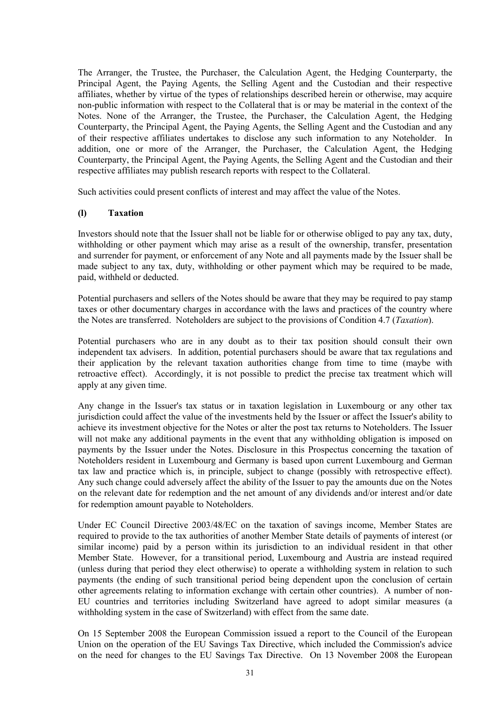The Arranger, the Trustee, the Purchaser, the Calculation Agent, the Hedging Counterparty, the Principal Agent, the Paying Agents, the Selling Agent and the Custodian and their respective affiliates, whether by virtue of the types of relationships described herein or otherwise, may acquire non-public information with respect to the Collateral that is or may be material in the context of the Notes. None of the Arranger, the Trustee, the Purchaser, the Calculation Agent, the Hedging Counterparty, the Principal Agent, the Paying Agents, the Selling Agent and the Custodian and any of their respective affiliates undertakes to disclose any such information to any Noteholder. In addition, one or more of the Arranger, the Purchaser, the Calculation Agent, the Hedging Counterparty, the Principal Agent, the Paying Agents, the Selling Agent and the Custodian and their respective affiliates may publish research reports with respect to the Collateral.

Such activities could present conflicts of interest and may affect the value of the Notes.

### **(l) Taxation**

Investors should note that the Issuer shall not be liable for or otherwise obliged to pay any tax, duty, withholding or other payment which may arise as a result of the ownership, transfer, presentation and surrender for payment, or enforcement of any Note and all payments made by the Issuer shall be made subject to any tax, duty, withholding or other payment which may be required to be made, paid, withheld or deducted.

Potential purchasers and sellers of the Notes should be aware that they may be required to pay stamp taxes or other documentary charges in accordance with the laws and practices of the country where the Notes are transferred. Noteholders are subject to the provisions of Condition 4.7 (*Taxation*).

Potential purchasers who are in any doubt as to their tax position should consult their own independent tax advisers. In addition, potential purchasers should be aware that tax regulations and their application by the relevant taxation authorities change from time to time (maybe with retroactive effect). Accordingly, it is not possible to predict the precise tax treatment which will apply at any given time.

Any change in the Issuer's tax status or in taxation legislation in Luxembourg or any other tax jurisdiction could affect the value of the investments held by the Issuer or affect the Issuer's ability to achieve its investment objective for the Notes or alter the post tax returns to Noteholders. The Issuer will not make any additional payments in the event that any withholding obligation is imposed on payments by the Issuer under the Notes. Disclosure in this Prospectus concerning the taxation of Noteholders resident in Luxembourg and Germany is based upon current Luxembourg and German tax law and practice which is, in principle, subject to change (possibly with retrospective effect). Any such change could adversely affect the ability of the Issuer to pay the amounts due on the Notes on the relevant date for redemption and the net amount of any dividends and/or interest and/or date for redemption amount payable to Noteholders.

Under EC Council Directive 2003/48/EC on the taxation of savings income, Member States are required to provide to the tax authorities of another Member State details of payments of interest (or similar income) paid by a person within its jurisdiction to an individual resident in that other Member State. However, for a transitional period, Luxembourg and Austria are instead required (unless during that period they elect otherwise) to operate a withholding system in relation to such payments (the ending of such transitional period being dependent upon the conclusion of certain other agreements relating to information exchange with certain other countries). A number of non-EU countries and territories including Switzerland have agreed to adopt similar measures (a withholding system in the case of Switzerland) with effect from the same date.

On 15 September 2008 the European Commission issued a report to the Council of the European Union on the operation of the EU Savings Tax Directive, which included the Commission's advice on the need for changes to the EU Savings Tax Directive. On 13 November 2008 the European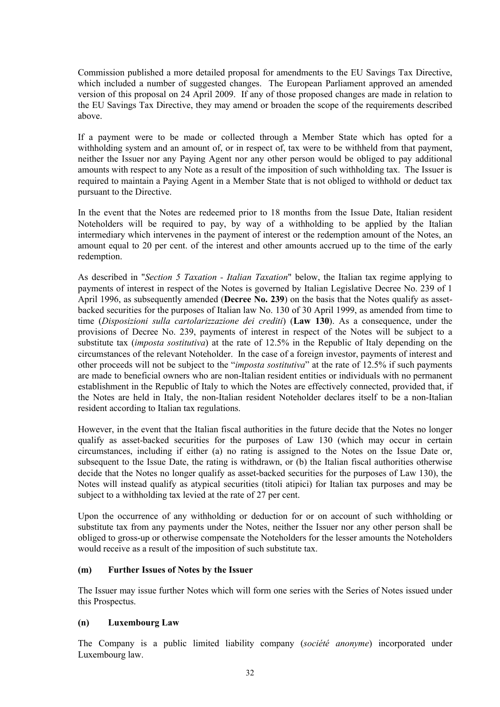Commission published a more detailed proposal for amendments to the EU Savings Tax Directive, which included a number of suggested changes. The European Parliament approved an amended version of this proposal on 24 April 2009. If any of those proposed changes are made in relation to the EU Savings Tax Directive, they may amend or broaden the scope of the requirements described above.

If a payment were to be made or collected through a Member State which has opted for a withholding system and an amount of, or in respect of, tax were to be withheld from that payment, neither the Issuer nor any Paying Agent nor any other person would be obliged to pay additional amounts with respect to any Note as a result of the imposition of such withholding tax. The Issuer is required to maintain a Paying Agent in a Member State that is not obliged to withhold or deduct tax pursuant to the Directive.

In the event that the Notes are redeemed prior to 18 months from the Issue Date, Italian resident Noteholders will be required to pay, by way of a withholding to be applied by the Italian intermediary which intervenes in the payment of interest or the redemption amount of the Notes, an amount equal to 20 per cent. of the interest and other amounts accrued up to the time of the early redemption.

As described in "*Section 5 Taxation - Italian Taxation*" below, the Italian tax regime applying to payments of interest in respect of the Notes is governed by Italian Legislative Decree No. 239 of 1 April 1996, as subsequently amended (**Decree No. 239**) on the basis that the Notes qualify as assetbacked securities for the purposes of Italian law No. 130 of 30 April 1999, as amended from time to time (*Disposizioni sulla cartolarizzazione dei crediti*) (**Law 130**). As a consequence, under the provisions of Decree No. 239, payments of interest in respect of the Notes will be subject to a substitute tax (*imposta sostitutiva*) at the rate of 12.5% in the Republic of Italy depending on the circumstances of the relevant Noteholder. In the case of a foreign investor, payments of interest and other proceeds will not be subject to the "*imposta sostitutiva*" at the rate of 12.5% if such payments are made to beneficial owners who are non-Italian resident entities or individuals with no permanent establishment in the Republic of Italy to which the Notes are effectively connected, provided that, if the Notes are held in Italy, the non-Italian resident Noteholder declares itself to be a non-Italian resident according to Italian tax regulations.

However, in the event that the Italian fiscal authorities in the future decide that the Notes no longer qualify as asset-backed securities for the purposes of Law 130 (which may occur in certain circumstances, including if either (a) no rating is assigned to the Notes on the Issue Date or, subsequent to the Issue Date, the rating is withdrawn, or (b) the Italian fiscal authorities otherwise decide that the Notes no longer qualify as asset-backed securities for the purposes of Law 130), the Notes will instead qualify as atypical securities (titoli atipici) for Italian tax purposes and may be subject to a withholding tax levied at the rate of 27 per cent.

Upon the occurrence of any withholding or deduction for or on account of such withholding or substitute tax from any payments under the Notes, neither the Issuer nor any other person shall be obliged to gross-up or otherwise compensate the Noteholders for the lesser amounts the Noteholders would receive as a result of the imposition of such substitute tax.

### **(m) Further Issues of Notes by the Issuer**

The Issuer may issue further Notes which will form one series with the Series of Notes issued under this Prospectus.

### **(n) Luxembourg Law**

The Company is a public limited liability company (*société anonyme*) incorporated under Luxembourg law.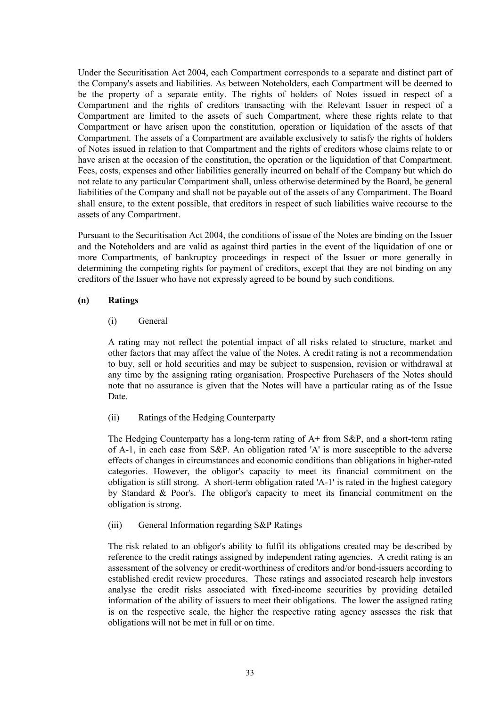Under the Securitisation Act 2004, each Compartment corresponds to a separate and distinct part of the Company's assets and liabilities. As between Noteholders, each Compartment will be deemed to be the property of a separate entity. The rights of holders of Notes issued in respect of a Compartment and the rights of creditors transacting with the Relevant Issuer in respect of a Compartment are limited to the assets of such Compartment, where these rights relate to that Compartment or have arisen upon the constitution, operation or liquidation of the assets of that Compartment. The assets of a Compartment are available exclusively to satisfy the rights of holders of Notes issued in relation to that Compartment and the rights of creditors whose claims relate to or have arisen at the occasion of the constitution, the operation or the liquidation of that Compartment. Fees, costs, expenses and other liabilities generally incurred on behalf of the Company but which do not relate to any particular Compartment shall, unless otherwise determined by the Board, be general liabilities of the Company and shall not be payable out of the assets of any Compartment. The Board shall ensure, to the extent possible, that creditors in respect of such liabilities waive recourse to the assets of any Compartment.

Pursuant to the Securitisation Act 2004, the conditions of issue of the Notes are binding on the Issuer and the Noteholders and are valid as against third parties in the event of the liquidation of one or more Compartments, of bankruptcy proceedings in respect of the Issuer or more generally in determining the competing rights for payment of creditors, except that they are not binding on any creditors of the Issuer who have not expressly agreed to be bound by such conditions.

## **(n) Ratings**

## (i) General

A rating may not reflect the potential impact of all risks related to structure, market and other factors that may affect the value of the Notes. A credit rating is not a recommendation to buy, sell or hold securities and may be subject to suspension, revision or withdrawal at any time by the assigning rating organisation. Prospective Purchasers of the Notes should note that no assurance is given that the Notes will have a particular rating as of the Issue Date.

# (ii) Ratings of the Hedging Counterparty

The Hedging Counterparty has a long-term rating of A+ from S&P, and a short-term rating of A-1, in each case from S&P. An obligation rated 'A' is more susceptible to the adverse effects of changes in circumstances and economic conditions than obligations in higher-rated categories. However, the obligor's capacity to meet its financial commitment on the obligation is still strong. A short-term obligation rated 'A-1' is rated in the highest category by Standard & Poor's. The obligor's capacity to meet its financial commitment on the obligation is strong.

### (iii) General Information regarding S&P Ratings

The risk related to an obligor's ability to fulfil its obligations created may be described by reference to the credit ratings assigned by independent rating agencies. A credit rating is an assessment of the solvency or credit-worthiness of creditors and/or bond-issuers according to established credit review procedures. These ratings and associated research help investors analyse the credit risks associated with fixed-income securities by providing detailed information of the ability of issuers to meet their obligations. The lower the assigned rating is on the respective scale, the higher the respective rating agency assesses the risk that obligations will not be met in full or on time.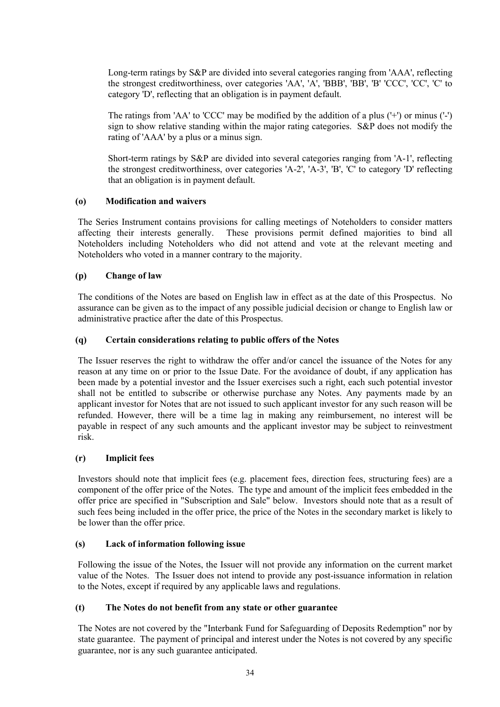Long-term ratings by S&P are divided into several categories ranging from 'AAA', reflecting the strongest creditworthiness, over categories 'AA', 'A', 'BBB', 'BB', 'B' 'CCC', 'CC', 'C' to category 'D', reflecting that an obligation is in payment default.

The ratings from 'AA' to 'CCC' may be modified by the addition of a plus ('+') or minus ('-') sign to show relative standing within the major rating categories. S&P does not modify the rating of 'AAA' by a plus or a minus sign.

Short-term ratings by S&P are divided into several categories ranging from 'A-1', reflecting the strongest creditworthiness, over categories 'A-2', 'A-3', 'B', 'C' to category 'D' reflecting that an obligation is in payment default.

# **(o) Modification and waivers**

The Series Instrument contains provisions for calling meetings of Noteholders to consider matters affecting their interests generally. These provisions permit defined majorities to bind all Noteholders including Noteholders who did not attend and vote at the relevant meeting and Noteholders who voted in a manner contrary to the majority.

## **(p) Change of law**

The conditions of the Notes are based on English law in effect as at the date of this Prospectus. No assurance can be given as to the impact of any possible judicial decision or change to English law or administrative practice after the date of this Prospectus.

## **(q) Certain considerations relating to public offers of the Notes**

The Issuer reserves the right to withdraw the offer and/or cancel the issuance of the Notes for any reason at any time on or prior to the Issue Date. For the avoidance of doubt, if any application has been made by a potential investor and the Issuer exercises such a right, each such potential investor shall not be entitled to subscribe or otherwise purchase any Notes. Any payments made by an applicant investor for Notes that are not issued to such applicant investor for any such reason will be refunded. However, there will be a time lag in making any reimbursement, no interest will be payable in respect of any such amounts and the applicant investor may be subject to reinvestment risk.

### **(r) Implicit fees**

Investors should note that implicit fees (e.g. placement fees, direction fees, structuring fees) are a component of the offer price of the Notes. The type and amount of the implicit fees embedded in the offer price are specified in "Subscription and Sale" below. Investors should note that as a result of such fees being included in the offer price, the price of the Notes in the secondary market is likely to be lower than the offer price.

# **(s) Lack of information following issue**

Following the issue of the Notes, the Issuer will not provide any information on the current market value of the Notes. The Issuer does not intend to provide any post-issuance information in relation to the Notes, except if required by any applicable laws and regulations.

### **(t) The Notes do not benefit from any state or other guarantee**

The Notes are not covered by the "Interbank Fund for Safeguarding of Deposits Redemption" nor by state guarantee. The payment of principal and interest under the Notes is not covered by any specific guarantee, nor is any such guarantee anticipated.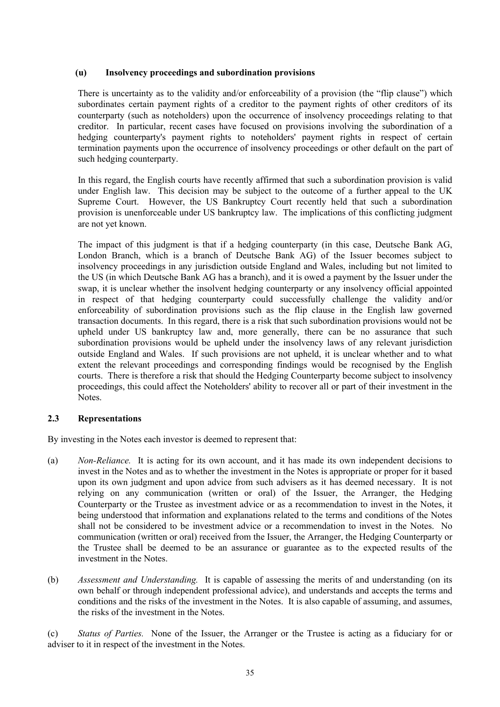## **(u) Insolvency proceedings and subordination provisions**

There is uncertainty as to the validity and/or enforceability of a provision (the "flip clause") which subordinates certain payment rights of a creditor to the payment rights of other creditors of its counterparty (such as noteholders) upon the occurrence of insolvency proceedings relating to that creditor. In particular, recent cases have focused on provisions involving the subordination of a hedging counterparty's payment rights to noteholders' payment rights in respect of certain termination payments upon the occurrence of insolvency proceedings or other default on the part of such hedging counterparty.

In this regard, the English courts have recently affirmed that such a subordination provision is valid under English law. This decision may be subject to the outcome of a further appeal to the UK Supreme Court. However, the US Bankruptcy Court recently held that such a subordination provision is unenforceable under US bankruptcy law. The implications of this conflicting judgment are not yet known.

The impact of this judgment is that if a hedging counterparty (in this case, Deutsche Bank AG, London Branch, which is a branch of Deutsche Bank AG) of the Issuer becomes subject to insolvency proceedings in any jurisdiction outside England and Wales, including but not limited to the US (in which Deutsche Bank AG has a branch), and it is owed a payment by the Issuer under the swap, it is unclear whether the insolvent hedging counterparty or any insolvency official appointed in respect of that hedging counterparty could successfully challenge the validity and/or enforceability of subordination provisions such as the flip clause in the English law governed transaction documents. In this regard, there is a risk that such subordination provisions would not be upheld under US bankruptcy law and, more generally, there can be no assurance that such subordination provisions would be upheld under the insolvency laws of any relevant jurisdiction outside England and Wales. If such provisions are not upheld, it is unclear whether and to what extent the relevant proceedings and corresponding findings would be recognised by the English courts. There is therefore a risk that should the Hedging Counterparty become subject to insolvency proceedings, this could affect the Noteholders' ability to recover all or part of their investment in the Notes.

# **2.3 Representations**

By investing in the Notes each investor is deemed to represent that:

- (a) *Non-Reliance.* It is acting for its own account, and it has made its own independent decisions to invest in the Notes and as to whether the investment in the Notes is appropriate or proper for it based upon its own judgment and upon advice from such advisers as it has deemed necessary. It is not relying on any communication (written or oral) of the Issuer, the Arranger, the Hedging Counterparty or the Trustee as investment advice or as a recommendation to invest in the Notes, it being understood that information and explanations related to the terms and conditions of the Notes shall not be considered to be investment advice or a recommendation to invest in the Notes. No communication (written or oral) received from the Issuer, the Arranger, the Hedging Counterparty or the Trustee shall be deemed to be an assurance or guarantee as to the expected results of the investment in the Notes.
- (b) *Assessment and Understanding.* It is capable of assessing the merits of and understanding (on its own behalf or through independent professional advice), and understands and accepts the terms and conditions and the risks of the investment in the Notes. It is also capable of assuming, and assumes, the risks of the investment in the Notes.

(c) *Status of Parties.* None of the Issuer, the Arranger or the Trustee is acting as a fiduciary for or adviser to it in respect of the investment in the Notes.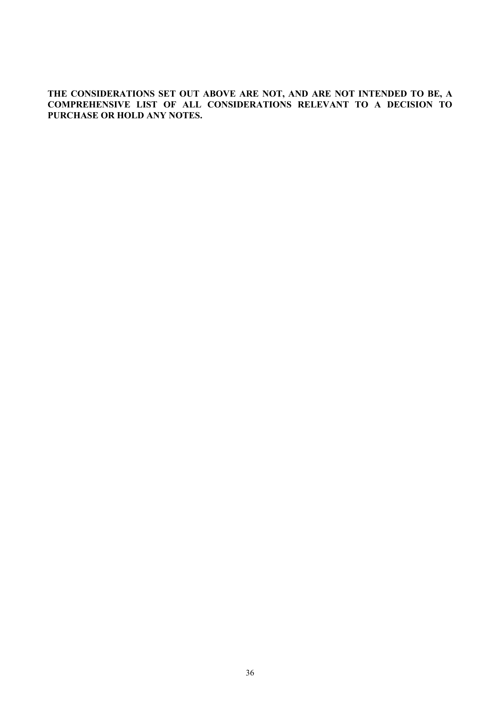**THE CONSIDERATIONS SET OUT ABOVE ARE NOT, AND ARE NOT INTENDED TO BE, A COMPREHENSIVE LIST OF ALL CONSIDERATIONS RELEVANT TO A DECISION TO PURCHASE OR HOLD ANY NOTES.**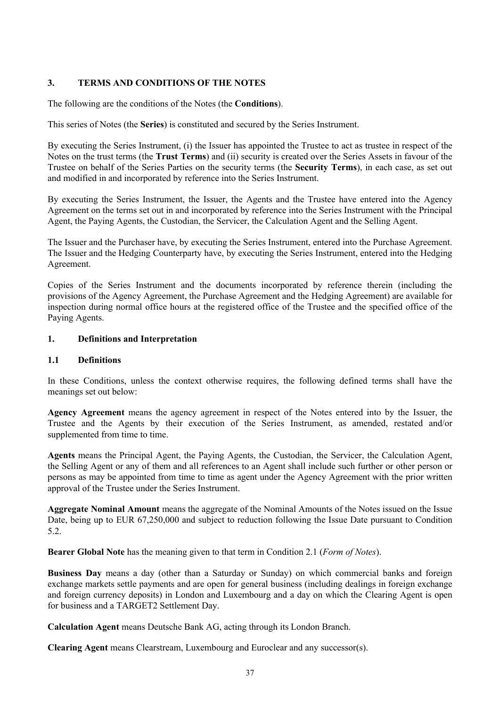# **3. TERMS AND CONDITIONS OF THE NOTES**

The following are the conditions of the Notes (the **Conditions**).

This series of Notes (the **Series**) is constituted and secured by the Series Instrument.

By executing the Series Instrument, (i) the Issuer has appointed the Trustee to act as trustee in respect of the Notes on the trust terms (the **Trust Terms**) and (ii) security is created over the Series Assets in favour of the Trustee on behalf of the Series Parties on the security terms (the **Security Terms**), in each case, as set out and modified in and incorporated by reference into the Series Instrument.

By executing the Series Instrument, the Issuer, the Agents and the Trustee have entered into the Agency Agreement on the terms set out in and incorporated by reference into the Series Instrument with the Principal Agent, the Paying Agents, the Custodian, the Servicer, the Calculation Agent and the Selling Agent.

The Issuer and the Purchaser have, by executing the Series Instrument, entered into the Purchase Agreement. The Issuer and the Hedging Counterparty have, by executing the Series Instrument, entered into the Hedging Agreement.

Copies of the Series Instrument and the documents incorporated by reference therein (including the provisions of the Agency Agreement, the Purchase Agreement and the Hedging Agreement) are available for inspection during normal office hours at the registered office of the Trustee and the specified office of the Paying Agents.

# **1. Definitions and Interpretation**

# **1.1 Definitions**

In these Conditions, unless the context otherwise requires, the following defined terms shall have the meanings set out below:

**Agency Agreement** means the agency agreement in respect of the Notes entered into by the Issuer, the Trustee and the Agents by their execution of the Series Instrument, as amended, restated and/or supplemented from time to time.

**Agents** means the Principal Agent, the Paying Agents, the Custodian, the Servicer, the Calculation Agent, the Selling Agent or any of them and all references to an Agent shall include such further or other person or persons as may be appointed from time to time as agent under the Agency Agreement with the prior written approval of the Trustee under the Series Instrument.

**Aggregate Nominal Amount** means the aggregate of the Nominal Amounts of the Notes issued on the Issue Date, being up to EUR 67,250,000 and subject to reduction following the Issue Date pursuant to Condition 5.2.

**Bearer Global Note** has the meaning given to that term in Condition 2.1 (*Form of Notes*).

**Business Day** means a day (other than a Saturday or Sunday) on which commercial banks and foreign exchange markets settle payments and are open for general business (including dealings in foreign exchange and foreign currency deposits) in London and Luxembourg and a day on which the Clearing Agent is open for business and a TARGET2 Settlement Day.

**Calculation Agent** means Deutsche Bank AG, acting through its London Branch.

**Clearing Agent** means Clearstream, Luxembourg and Euroclear and any successor(s).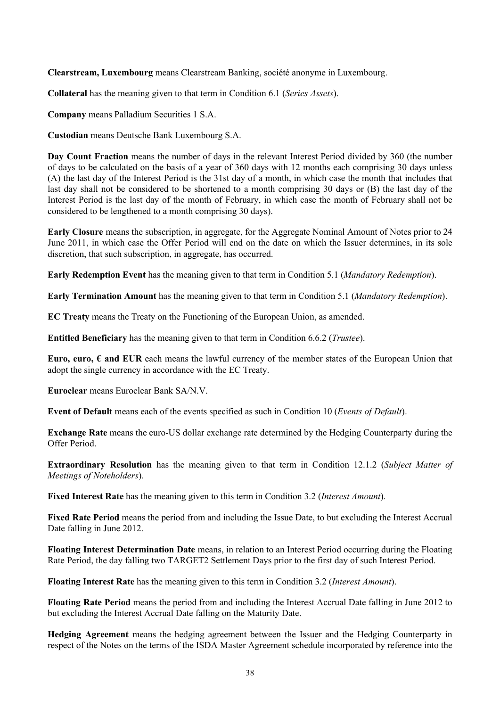**Clearstream, Luxembourg** means Clearstream Banking, société anonyme in Luxembourg.

**Collateral** has the meaning given to that term in Condition 6.1 (*Series Assets*).

**Company** means Palladium Securities 1 S.A.

**Custodian** means Deutsche Bank Luxembourg S.A.

**Day Count Fraction** means the number of days in the relevant Interest Period divided by 360 (the number of days to be calculated on the basis of a year of 360 days with 12 months each comprising 30 days unless (A) the last day of the Interest Period is the 31st day of a month, in which case the month that includes that last day shall not be considered to be shortened to a month comprising 30 days or (B) the last day of the Interest Period is the last day of the month of February, in which case the month of February shall not be considered to be lengthened to a month comprising 30 days).

**Early Closure** means the subscription, in aggregate, for the Aggregate Nominal Amount of Notes prior to 24 June 2011, in which case the Offer Period will end on the date on which the Issuer determines, in its sole discretion, that such subscription, in aggregate, has occurred.

**Early Redemption Event** has the meaning given to that term in Condition 5.1 (*Mandatory Redemption*).

**Early Termination Amount** has the meaning given to that term in Condition 5.1 (*Mandatory Redemption*).

**EC Treaty** means the Treaty on the Functioning of the European Union, as amended.

**Entitled Beneficiary** has the meaning given to that term in Condition 6.6.2 (*Trustee*).

**Euro, euro,**  $\epsilon$  **and EUR** each means the lawful currency of the member states of the European Union that adopt the single currency in accordance with the EC Treaty.

**Euroclear** means Euroclear Bank SA/N.V.

**Event of Default** means each of the events specified as such in Condition 10 (*Events of Default*).

**Exchange Rate** means the euro-US dollar exchange rate determined by the Hedging Counterparty during the Offer Period.

**Extraordinary Resolution** has the meaning given to that term in Condition 12.1.2 (*Subject Matter of Meetings of Noteholders*).

**Fixed Interest Rate** has the meaning given to this term in Condition 3.2 (*Interest Amount*).

**Fixed Rate Period** means the period from and including the Issue Date, to but excluding the Interest Accrual Date falling in June 2012.

**Floating Interest Determination Date** means, in relation to an Interest Period occurring during the Floating Rate Period, the day falling two TARGET2 Settlement Days prior to the first day of such Interest Period.

**Floating Interest Rate** has the meaning given to this term in Condition 3.2 (*Interest Amount*).

**Floating Rate Period** means the period from and including the Interest Accrual Date falling in June 2012 to but excluding the Interest Accrual Date falling on the Maturity Date.

**Hedging Agreement** means the hedging agreement between the Issuer and the Hedging Counterparty in respect of the Notes on the terms of the ISDA Master Agreement schedule incorporated by reference into the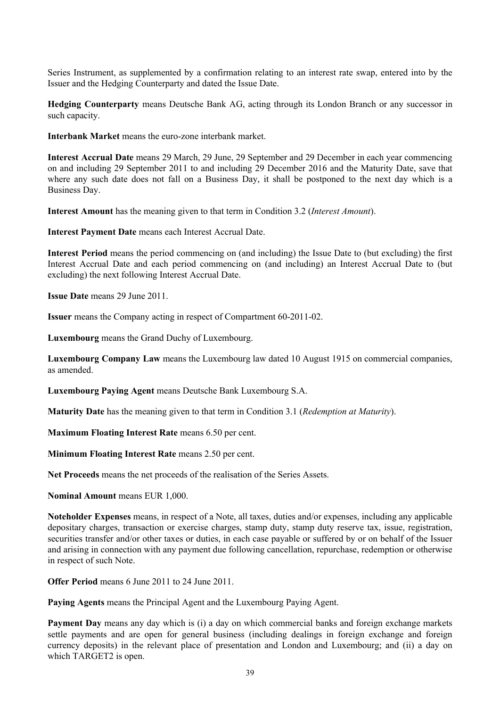Series Instrument, as supplemented by a confirmation relating to an interest rate swap, entered into by the Issuer and the Hedging Counterparty and dated the Issue Date.

**Hedging Counterparty** means Deutsche Bank AG, acting through its London Branch or any successor in such capacity.

**Interbank Market** means the euro-zone interbank market.

**Interest Accrual Date** means 29 March, 29 June, 29 September and 29 December in each year commencing on and including 29 September 2011 to and including 29 December 2016 and the Maturity Date, save that where any such date does not fall on a Business Day, it shall be postponed to the next day which is a Business Day.

**Interest Amount** has the meaning given to that term in Condition 3.2 (*Interest Amount*).

**Interest Payment Date** means each Interest Accrual Date.

**Interest Period** means the period commencing on (and including) the Issue Date to (but excluding) the first Interest Accrual Date and each period commencing on (and including) an Interest Accrual Date to (but excluding) the next following Interest Accrual Date.

**Issue Date** means 29 June 2011.

**Issuer** means the Company acting in respect of Compartment 60-2011-02.

**Luxembourg** means the Grand Duchy of Luxembourg.

**Luxembourg Company Law** means the Luxembourg law dated 10 August 1915 on commercial companies, as amended.

**Luxembourg Paying Agent** means Deutsche Bank Luxembourg S.A.

**Maturity Date** has the meaning given to that term in Condition 3.1 (*Redemption at Maturity*).

**Maximum Floating Interest Rate** means 6.50 per cent.

**Minimum Floating Interest Rate** means 2.50 per cent.

**Net Proceeds** means the net proceeds of the realisation of the Series Assets.

**Nominal Amount** means EUR 1,000.

**Noteholder Expenses** means, in respect of a Note, all taxes, duties and/or expenses, including any applicable depositary charges, transaction or exercise charges, stamp duty, stamp duty reserve tax, issue, registration, securities transfer and/or other taxes or duties, in each case payable or suffered by or on behalf of the Issuer and arising in connection with any payment due following cancellation, repurchase, redemption or otherwise in respect of such Note.

**Offer Period** means 6 June 2011 to 24 June 2011.

**Paying Agents** means the Principal Agent and the Luxembourg Paying Agent.

**Payment Day** means any day which is (i) a day on which commercial banks and foreign exchange markets settle payments and are open for general business (including dealings in foreign exchange and foreign currency deposits) in the relevant place of presentation and London and Luxembourg; and (ii) a day on which TARGET2 is open.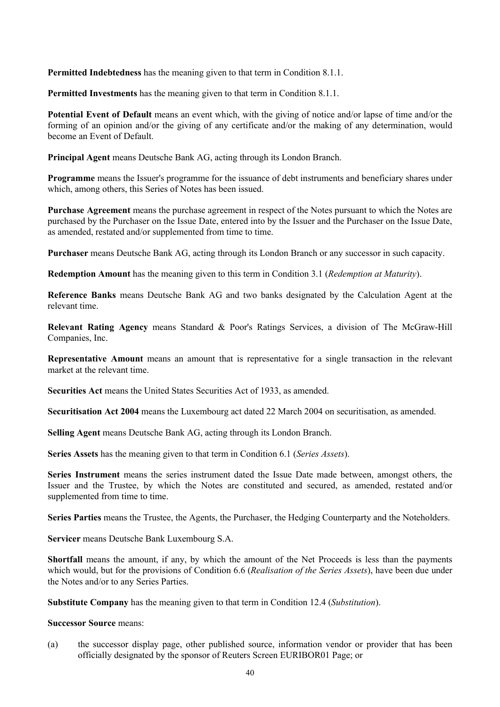**Permitted Indebtedness** has the meaning given to that term in Condition 8.1.1.

**Permitted Investments** has the meaning given to that term in Condition 8.1.1.

**Potential Event of Default** means an event which, with the giving of notice and/or lapse of time and/or the forming of an opinion and/or the giving of any certificate and/or the making of any determination, would become an Event of Default.

**Principal Agent** means Deutsche Bank AG, acting through its London Branch.

**Programme** means the Issuer's programme for the issuance of debt instruments and beneficiary shares under which, among others, this Series of Notes has been issued.

**Purchase Agreement** means the purchase agreement in respect of the Notes pursuant to which the Notes are purchased by the Purchaser on the Issue Date, entered into by the Issuer and the Purchaser on the Issue Date, as amended, restated and/or supplemented from time to time.

**Purchaser** means Deutsche Bank AG, acting through its London Branch or any successor in such capacity.

**Redemption Amount** has the meaning given to this term in Condition 3.1 (*Redemption at Maturity*).

**Reference Banks** means Deutsche Bank AG and two banks designated by the Calculation Agent at the relevant time.

**Relevant Rating Agency** means Standard & Poor's Ratings Services, a division of The McGraw-Hill Companies, Inc.

**Representative Amount** means an amount that is representative for a single transaction in the relevant market at the relevant time.

**Securities Act** means the United States Securities Act of 1933, as amended.

**Securitisation Act 2004** means the Luxembourg act dated 22 March 2004 on securitisation, as amended.

**Selling Agent** means Deutsche Bank AG, acting through its London Branch.

**Series Assets** has the meaning given to that term in Condition 6.1 (*Series Assets*).

**Series Instrument** means the series instrument dated the Issue Date made between, amongst others, the Issuer and the Trustee, by which the Notes are constituted and secured, as amended, restated and/or supplemented from time to time.

**Series Parties** means the Trustee, the Agents, the Purchaser, the Hedging Counterparty and the Noteholders.

**Servicer** means Deutsche Bank Luxembourg S.A.

**Shortfall** means the amount, if any, by which the amount of the Net Proceeds is less than the payments which would, but for the provisions of Condition 6.6 (*Realisation of the Series Assets*), have been due under the Notes and/or to any Series Parties.

**Substitute Company** has the meaning given to that term in Condition 12.4 (*Substitution*).

**Successor Source** means:

(a) the successor display page, other published source, information vendor or provider that has been officially designated by the sponsor of Reuters Screen EURIBOR01 Page; or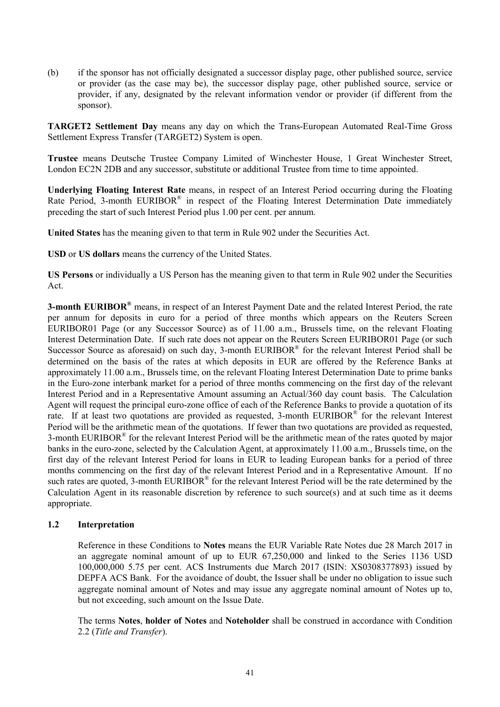(b) if the sponsor has not officially designated a successor display page, other published source, service or provider (as the case may be), the successor display page, other published source, service or provider, if any, designated by the relevant information vendor or provider (if different from the sponsor).

**TARGET2 Settlement Day** means any day on which the Trans-European Automated Real-Time Gross Settlement Express Transfer (TARGET2) System is open.

**Trustee** means Deutsche Trustee Company Limited of Winchester House, 1 Great Winchester Street, London EC2N 2DB and any successor, substitute or additional Trustee from time to time appointed.

**Underlying Floating Interest Rate** means, in respect of an Interest Period occurring during the Floating Rate Period, 3-month EURIBOR® in respect of the Floating Interest Determination Date immediately preceding the start of such Interest Period plus 1.00 per cent. per annum.

**United States** has the meaning given to that term in Rule 902 under the Securities Act.

**USD** or **US dollars** means the currency of the United States.

**US Persons** or individually a US Person has the meaning given to that term in Rule 902 under the Securities Act.

**3-month EURIBOR®** means, in respect of an Interest Payment Date and the related Interest Period, the rate per annum for deposits in euro for a period of three months which appears on the Reuters Screen EURIBOR01 Page (or any Successor Source) as of 11.00 a.m., Brussels time, on the relevant Floating Interest Determination Date. If such rate does not appear on the Reuters Screen EURIBOR01 Page (or such Successor Source as aforesaid) on such day, 3-month  $EURIBOR^{\otimes}$  for the relevant Interest Period shall be determined on the basis of the rates at which deposits in EUR are offered by the Reference Banks at approximately 11.00 a.m., Brussels time, on the relevant Floating Interest Determination Date to prime banks in the Euro-zone interbank market for a period of three months commencing on the first day of the relevant Interest Period and in a Representative Amount assuming an Actual/360 day count basis. The Calculation Agent will request the principal euro-zone office of each of the Reference Banks to provide a quotation of its rate. If at least two quotations are provided as requested, 3-month EURIBOR® for the relevant Interest Period will be the arithmetic mean of the quotations. If fewer than two quotations are provided as requested, 3-month EURIBOR<sup>®</sup> for the relevant Interest Period will be the arithmetic mean of the rates quoted by major banks in the euro-zone, selected by the Calculation Agent, at approximately 11.00 a.m., Brussels time, on the first day of the relevant Interest Period for loans in EUR to leading European banks for a period of three months commencing on the first day of the relevant Interest Period and in a Representative Amount. If no such rates are quoted, 3-month EURIBOR<sup>®</sup> for the relevant Interest Period will be the rate determined by the Calculation Agent in its reasonable discretion by reference to such source(s) and at such time as it deems appropriate.

### **1.2 Interpretation**

Reference in these Conditions to **Notes** means the EUR Variable Rate Notes due 28 March 2017 in an aggregate nominal amount of up to EUR 67,250,000 and linked to the Series 1136 USD 100,000,000 5.75 per cent. ACS Instruments due March 2017 (ISIN: XS0308377893) issued by DEPFA ACS Bank. For the avoidance of doubt, the Issuer shall be under no obligation to issue such aggregate nominal amount of Notes and may issue any aggregate nominal amount of Notes up to, but not exceeding, such amount on the Issue Date.

The terms **Notes**, **holder of Notes** and **Noteholder** shall be construed in accordance with Condition 2.2 (*Title and Transfer*).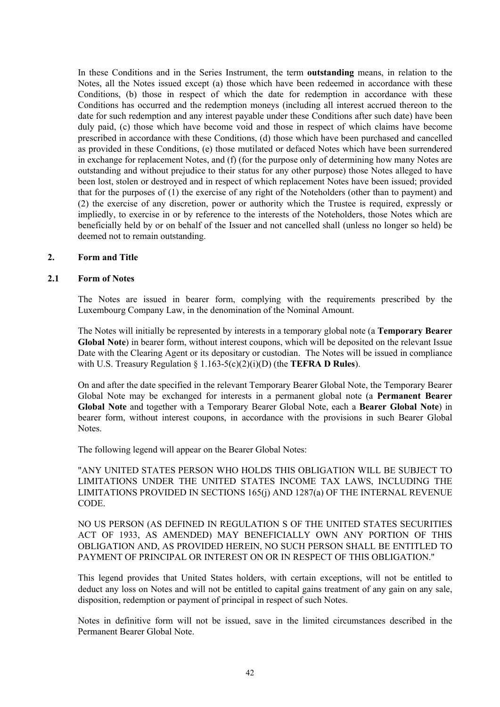In these Conditions and in the Series Instrument, the term **outstanding** means, in relation to the Notes, all the Notes issued except (a) those which have been redeemed in accordance with these Conditions, (b) those in respect of which the date for redemption in accordance with these Conditions has occurred and the redemption moneys (including all interest accrued thereon to the date for such redemption and any interest payable under these Conditions after such date) have been duly paid, (c) those which have become void and those in respect of which claims have become prescribed in accordance with these Conditions, (d) those which have been purchased and cancelled as provided in these Conditions, (e) those mutilated or defaced Notes which have been surrendered in exchange for replacement Notes, and (f) (for the purpose only of determining how many Notes are outstanding and without prejudice to their status for any other purpose) those Notes alleged to have been lost, stolen or destroyed and in respect of which replacement Notes have been issued; provided that for the purposes of (1) the exercise of any right of the Noteholders (other than to payment) and (2) the exercise of any discretion, power or authority which the Trustee is required, expressly or impliedly, to exercise in or by reference to the interests of the Noteholders, those Notes which are beneficially held by or on behalf of the Issuer and not cancelled shall (unless no longer so held) be deemed not to remain outstanding.

#### **2. Form and Title**

#### **2.1 Form of Notes**

The Notes are issued in bearer form, complying with the requirements prescribed by the Luxembourg Company Law, in the denomination of the Nominal Amount.

The Notes will initially be represented by interests in a temporary global note (a **Temporary Bearer Global Note**) in bearer form, without interest coupons, which will be deposited on the relevant Issue Date with the Clearing Agent or its depositary or custodian. The Notes will be issued in compliance with U.S. Treasury Regulation § 1.163-5(c)(2)(i)(D) (the **TEFRA D Rules**).

On and after the date specified in the relevant Temporary Bearer Global Note, the Temporary Bearer Global Note may be exchanged for interests in a permanent global note (a **Permanent Bearer Global Note** and together with a Temporary Bearer Global Note, each a **Bearer Global Note**) in bearer form, without interest coupons, in accordance with the provisions in such Bearer Global Notes.

The following legend will appear on the Bearer Global Notes:

"ANY UNITED STATES PERSON WHO HOLDS THIS OBLIGATION WILL BE SUBJECT TO LIMITATIONS UNDER THE UNITED STATES INCOME TAX LAWS, INCLUDING THE LIMITATIONS PROVIDED IN SECTIONS 165(j) AND 1287(a) OF THE INTERNAL REVENUE CODE.

NO US PERSON (AS DEFINED IN REGULATION S OF THE UNITED STATES SECURITIES ACT OF 1933, AS AMENDED) MAY BENEFICIALLY OWN ANY PORTION OF THIS OBLIGATION AND, AS PROVIDED HEREIN, NO SUCH PERSON SHALL BE ENTITLED TO PAYMENT OF PRINCIPAL OR INTEREST ON OR IN RESPECT OF THIS OBLIGATION."

This legend provides that United States holders, with certain exceptions, will not be entitled to deduct any loss on Notes and will not be entitled to capital gains treatment of any gain on any sale, disposition, redemption or payment of principal in respect of such Notes.

Notes in definitive form will not be issued, save in the limited circumstances described in the Permanent Bearer Global Note.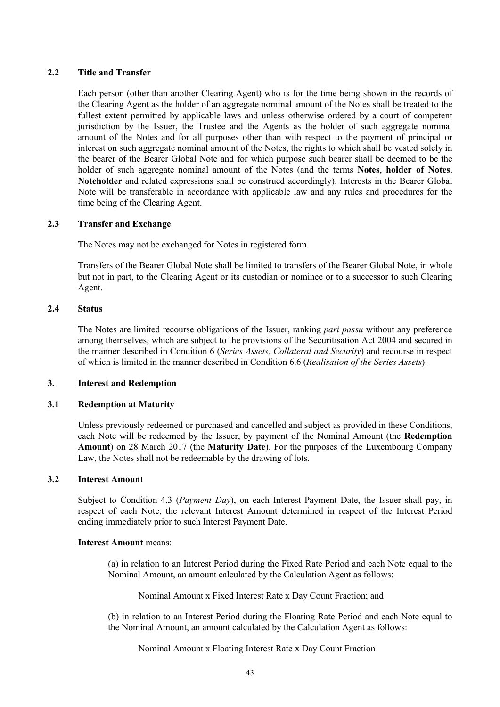# **2.2 Title and Transfer**

Each person (other than another Clearing Agent) who is for the time being shown in the records of the Clearing Agent as the holder of an aggregate nominal amount of the Notes shall be treated to the fullest extent permitted by applicable laws and unless otherwise ordered by a court of competent jurisdiction by the Issuer, the Trustee and the Agents as the holder of such aggregate nominal amount of the Notes and for all purposes other than with respect to the payment of principal or interest on such aggregate nominal amount of the Notes, the rights to which shall be vested solely in the bearer of the Bearer Global Note and for which purpose such bearer shall be deemed to be the holder of such aggregate nominal amount of the Notes (and the terms **Notes**, **holder of Notes**, **Noteholder** and related expressions shall be construed accordingly). Interests in the Bearer Global Note will be transferable in accordance with applicable law and any rules and procedures for the time being of the Clearing Agent.

# **2.3 Transfer and Exchange**

The Notes may not be exchanged for Notes in registered form.

Transfers of the Bearer Global Note shall be limited to transfers of the Bearer Global Note, in whole but not in part, to the Clearing Agent or its custodian or nominee or to a successor to such Clearing Agent.

### **2.4 Status**

The Notes are limited recourse obligations of the Issuer, ranking *pari passu* without any preference among themselves, which are subject to the provisions of the Securitisation Act 2004 and secured in the manner described in Condition 6 (*Series Assets, Collateral and Security*) and recourse in respect of which is limited in the manner described in Condition 6.6 (*Realisation of the Series Assets*).

### **3. Interest and Redemption**

### **3.1 Redemption at Maturity**

Unless previously redeemed or purchased and cancelled and subject as provided in these Conditions, each Note will be redeemed by the Issuer, by payment of the Nominal Amount (the **Redemption Amount**) on 28 March 2017 (the **Maturity Date**). For the purposes of the Luxembourg Company Law, the Notes shall not be redeemable by the drawing of lots.

# **3.2 Interest Amount**

Subject to Condition 4.3 (*Payment Day*), on each Interest Payment Date, the Issuer shall pay, in respect of each Note, the relevant Interest Amount determined in respect of the Interest Period ending immediately prior to such Interest Payment Date.

### **Interest Amount** means:

(a) in relation to an Interest Period during the Fixed Rate Period and each Note equal to the Nominal Amount, an amount calculated by the Calculation Agent as follows:

Nominal Amount x Fixed Interest Rate x Day Count Fraction; and

(b) in relation to an Interest Period during the Floating Rate Period and each Note equal to the Nominal Amount, an amount calculated by the Calculation Agent as follows:

Nominal Amount x Floating Interest Rate x Day Count Fraction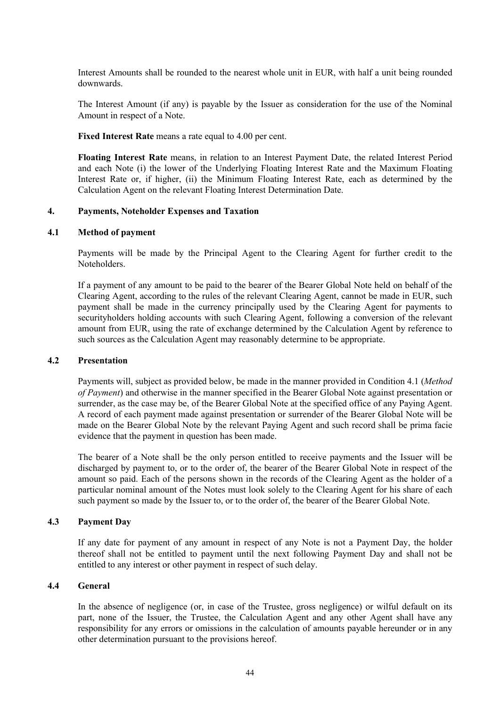Interest Amounts shall be rounded to the nearest whole unit in EUR, with half a unit being rounded downwards.

The Interest Amount (if any) is payable by the Issuer as consideration for the use of the Nominal Amount in respect of a Note.

**Fixed Interest Rate** means a rate equal to 4.00 per cent.

**Floating Interest Rate** means, in relation to an Interest Payment Date, the related Interest Period and each Note (i) the lower of the Underlying Floating Interest Rate and the Maximum Floating Interest Rate or, if higher, (ii) the Minimum Floating Interest Rate, each as determined by the Calculation Agent on the relevant Floating Interest Determination Date.

#### **4. Payments, Noteholder Expenses and Taxation**

#### **4.1 Method of payment**

Payments will be made by the Principal Agent to the Clearing Agent for further credit to the **Noteholders** 

If a payment of any amount to be paid to the bearer of the Bearer Global Note held on behalf of the Clearing Agent, according to the rules of the relevant Clearing Agent, cannot be made in EUR, such payment shall be made in the currency principally used by the Clearing Agent for payments to securityholders holding accounts with such Clearing Agent, following a conversion of the relevant amount from EUR, using the rate of exchange determined by the Calculation Agent by reference to such sources as the Calculation Agent may reasonably determine to be appropriate.

#### **4.2 Presentation**

Payments will, subject as provided below, be made in the manner provided in Condition 4.1 (*Method of Payment*) and otherwise in the manner specified in the Bearer Global Note against presentation or surrender, as the case may be, of the Bearer Global Note at the specified office of any Paying Agent. A record of each payment made against presentation or surrender of the Bearer Global Note will be made on the Bearer Global Note by the relevant Paying Agent and such record shall be prima facie evidence that the payment in question has been made.

The bearer of a Note shall be the only person entitled to receive payments and the Issuer will be discharged by payment to, or to the order of, the bearer of the Bearer Global Note in respect of the amount so paid. Each of the persons shown in the records of the Clearing Agent as the holder of a particular nominal amount of the Notes must look solely to the Clearing Agent for his share of each such payment so made by the Issuer to, or to the order of, the bearer of the Bearer Global Note.

### **4.3 Payment Day**

If any date for payment of any amount in respect of any Note is not a Payment Day, the holder thereof shall not be entitled to payment until the next following Payment Day and shall not be entitled to any interest or other payment in respect of such delay.

#### **4.4 General**

In the absence of negligence (or, in case of the Trustee, gross negligence) or wilful default on its part, none of the Issuer, the Trustee, the Calculation Agent and any other Agent shall have any responsibility for any errors or omissions in the calculation of amounts payable hereunder or in any other determination pursuant to the provisions hereof.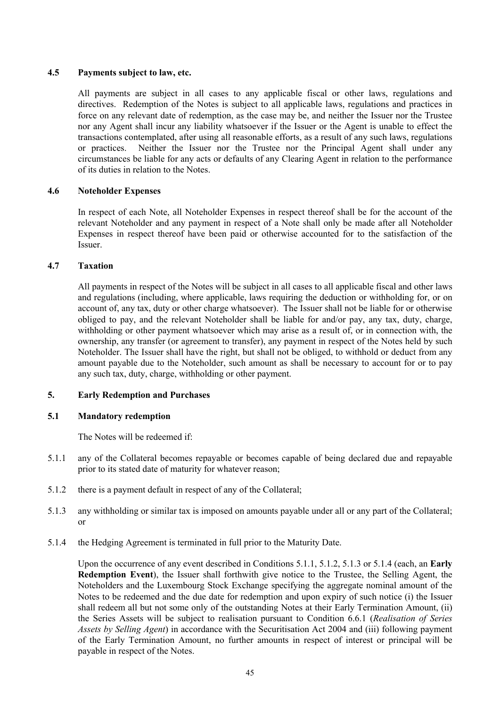### **4.5 Payments subject to law, etc.**

All payments are subject in all cases to any applicable fiscal or other laws, regulations and directives. Redemption of the Notes is subject to all applicable laws, regulations and practices in force on any relevant date of redemption, as the case may be, and neither the Issuer nor the Trustee nor any Agent shall incur any liability whatsoever if the Issuer or the Agent is unable to effect the transactions contemplated, after using all reasonable efforts, as a result of any such laws, regulations or practices. Neither the Issuer nor the Trustee nor the Principal Agent shall under any circumstances be liable for any acts or defaults of any Clearing Agent in relation to the performance of its duties in relation to the Notes.

### **4.6 Noteholder Expenses**

In respect of each Note, all Noteholder Expenses in respect thereof shall be for the account of the relevant Noteholder and any payment in respect of a Note shall only be made after all Noteholder Expenses in respect thereof have been paid or otherwise accounted for to the satisfaction of the Issuer.

### **4.7 Taxation**

All payments in respect of the Notes will be subject in all cases to all applicable fiscal and other laws and regulations (including, where applicable, laws requiring the deduction or withholding for, or on account of, any tax, duty or other charge whatsoever). The Issuer shall not be liable for or otherwise obliged to pay, and the relevant Noteholder shall be liable for and/or pay, any tax, duty, charge, withholding or other payment whatsoever which may arise as a result of, or in connection with, the ownership, any transfer (or agreement to transfer), any payment in respect of the Notes held by such Noteholder. The Issuer shall have the right, but shall not be obliged, to withhold or deduct from any amount payable due to the Noteholder, such amount as shall be necessary to account for or to pay any such tax, duty, charge, withholding or other payment.

### **5. Early Redemption and Purchases**

# **5.1 Mandatory redemption**

The Notes will be redeemed if:

- 5.1.1 any of the Collateral becomes repayable or becomes capable of being declared due and repayable prior to its stated date of maturity for whatever reason;
- 5.1.2 there is a payment default in respect of any of the Collateral;
- 5.1.3 any withholding or similar tax is imposed on amounts payable under all or any part of the Collateral; or
- 5.1.4 the Hedging Agreement is terminated in full prior to the Maturity Date.

Upon the occurrence of any event described in Conditions 5.1.1, 5.1.2, 5.1.3 or 5.1.4 (each, an **Early Redemption Event**), the Issuer shall forthwith give notice to the Trustee, the Selling Agent, the Noteholders and the Luxembourg Stock Exchange specifying the aggregate nominal amount of the Notes to be redeemed and the due date for redemption and upon expiry of such notice (i) the Issuer shall redeem all but not some only of the outstanding Notes at their Early Termination Amount, (ii) the Series Assets will be subject to realisation pursuant to Condition 6.6.1 (*Realisation of Series Assets by Selling Agent*) in accordance with the Securitisation Act 2004 and (iii) following payment of the Early Termination Amount, no further amounts in respect of interest or principal will be payable in respect of the Notes.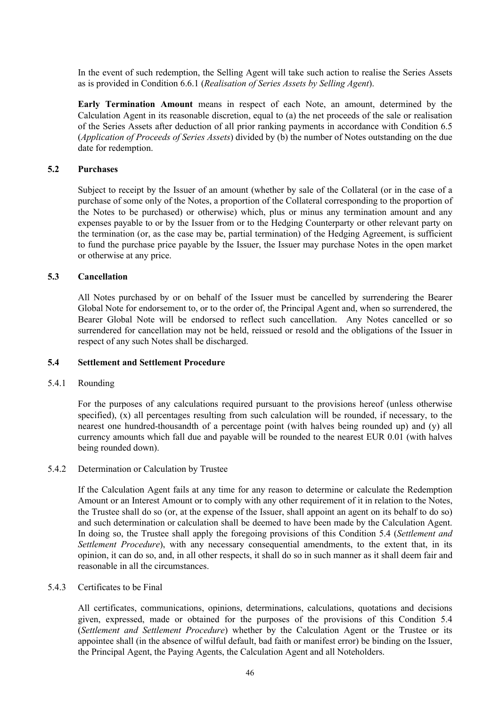In the event of such redemption, the Selling Agent will take such action to realise the Series Assets as is provided in Condition 6.6.1 (*Realisation of Series Assets by Selling Agent*).

**Early Termination Amount** means in respect of each Note, an amount, determined by the Calculation Agent in its reasonable discretion, equal to (a) the net proceeds of the sale or realisation of the Series Assets after deduction of all prior ranking payments in accordance with Condition 6.5 (*Application of Proceeds of Series Assets*) divided by (b) the number of Notes outstanding on the due date for redemption.

#### **5.2 Purchases**

Subject to receipt by the Issuer of an amount (whether by sale of the Collateral (or in the case of a purchase of some only of the Notes, a proportion of the Collateral corresponding to the proportion of the Notes to be purchased) or otherwise) which, plus or minus any termination amount and any expenses payable to or by the Issuer from or to the Hedging Counterparty or other relevant party on the termination (or, as the case may be, partial termination) of the Hedging Agreement, is sufficient to fund the purchase price payable by the Issuer, the Issuer may purchase Notes in the open market or otherwise at any price.

#### **5.3 Cancellation**

All Notes purchased by or on behalf of the Issuer must be cancelled by surrendering the Bearer Global Note for endorsement to, or to the order of, the Principal Agent and, when so surrendered, the Bearer Global Note will be endorsed to reflect such cancellation. Any Notes cancelled or so surrendered for cancellation may not be held, reissued or resold and the obligations of the Issuer in respect of any such Notes shall be discharged.

#### **5.4 Settlement and Settlement Procedure**

#### 5.4.1 Rounding

For the purposes of any calculations required pursuant to the provisions hereof (unless otherwise specified), (x) all percentages resulting from such calculation will be rounded, if necessary, to the nearest one hundred-thousandth of a percentage point (with halves being rounded up) and (y) all currency amounts which fall due and payable will be rounded to the nearest EUR 0.01 (with halves being rounded down).

#### 5.4.2 Determination or Calculation by Trustee

If the Calculation Agent fails at any time for any reason to determine or calculate the Redemption Amount or an Interest Amount or to comply with any other requirement of it in relation to the Notes, the Trustee shall do so (or, at the expense of the Issuer, shall appoint an agent on its behalf to do so) and such determination or calculation shall be deemed to have been made by the Calculation Agent. In doing so, the Trustee shall apply the foregoing provisions of this Condition 5.4 (*Settlement and Settlement Procedure*), with any necessary consequential amendments, to the extent that, in its opinion, it can do so, and, in all other respects, it shall do so in such manner as it shall deem fair and reasonable in all the circumstances.

#### 5.4.3 Certificates to be Final

All certificates, communications, opinions, determinations, calculations, quotations and decisions given, expressed, made or obtained for the purposes of the provisions of this Condition 5.4 (*Settlement and Settlement Procedure*) whether by the Calculation Agent or the Trustee or its appointee shall (in the absence of wilful default, bad faith or manifest error) be binding on the Issuer, the Principal Agent, the Paying Agents, the Calculation Agent and all Noteholders.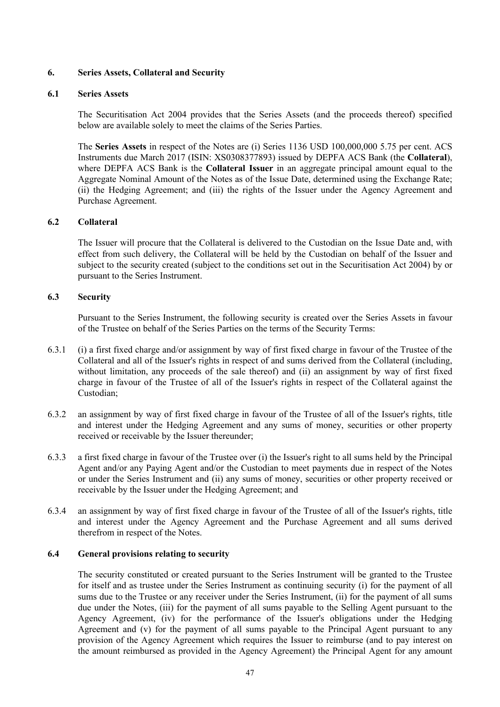# **6. Series Assets, Collateral and Security**

### **6.1 Series Assets**

The Securitisation Act 2004 provides that the Series Assets (and the proceeds thereof) specified below are available solely to meet the claims of the Series Parties.

The **Series Assets** in respect of the Notes are (i) Series 1136 USD 100,000,000 5.75 per cent. ACS Instruments due March 2017 (ISIN: XS0308377893) issued by DEPFA ACS Bank (the **Collateral**), where DEPFA ACS Bank is the **Collateral Issuer** in an aggregate principal amount equal to the Aggregate Nominal Amount of the Notes as of the Issue Date, determined using the Exchange Rate; (ii) the Hedging Agreement; and (iii) the rights of the Issuer under the Agency Agreement and Purchase Agreement.

# **6.2 Collateral**

The Issuer will procure that the Collateral is delivered to the Custodian on the Issue Date and, with effect from such delivery, the Collateral will be held by the Custodian on behalf of the Issuer and subject to the security created (subject to the conditions set out in the Securitisation Act 2004) by or pursuant to the Series Instrument.

# **6.3 Security**

Pursuant to the Series Instrument, the following security is created over the Series Assets in favour of the Trustee on behalf of the Series Parties on the terms of the Security Terms:

- 6.3.1 (i) a first fixed charge and/or assignment by way of first fixed charge in favour of the Trustee of the Collateral and all of the Issuer's rights in respect of and sums derived from the Collateral (including, without limitation, any proceeds of the sale thereof) and (ii) an assignment by way of first fixed charge in favour of the Trustee of all of the Issuer's rights in respect of the Collateral against the Custodian;
- 6.3.2 an assignment by way of first fixed charge in favour of the Trustee of all of the Issuer's rights, title and interest under the Hedging Agreement and any sums of money, securities or other property received or receivable by the Issuer thereunder;
- 6.3.3 a first fixed charge in favour of the Trustee over (i) the Issuer's right to all sums held by the Principal Agent and/or any Paying Agent and/or the Custodian to meet payments due in respect of the Notes or under the Series Instrument and (ii) any sums of money, securities or other property received or receivable by the Issuer under the Hedging Agreement; and
- 6.3.4 an assignment by way of first fixed charge in favour of the Trustee of all of the Issuer's rights, title and interest under the Agency Agreement and the Purchase Agreement and all sums derived therefrom in respect of the Notes.

### **6.4 General provisions relating to security**

The security constituted or created pursuant to the Series Instrument will be granted to the Trustee for itself and as trustee under the Series Instrument as continuing security (i) for the payment of all sums due to the Trustee or any receiver under the Series Instrument, (ii) for the payment of all sums due under the Notes, (iii) for the payment of all sums payable to the Selling Agent pursuant to the Agency Agreement, (iv) for the performance of the Issuer's obligations under the Hedging Agreement and (v) for the payment of all sums payable to the Principal Agent pursuant to any provision of the Agency Agreement which requires the Issuer to reimburse (and to pay interest on the amount reimbursed as provided in the Agency Agreement) the Principal Agent for any amount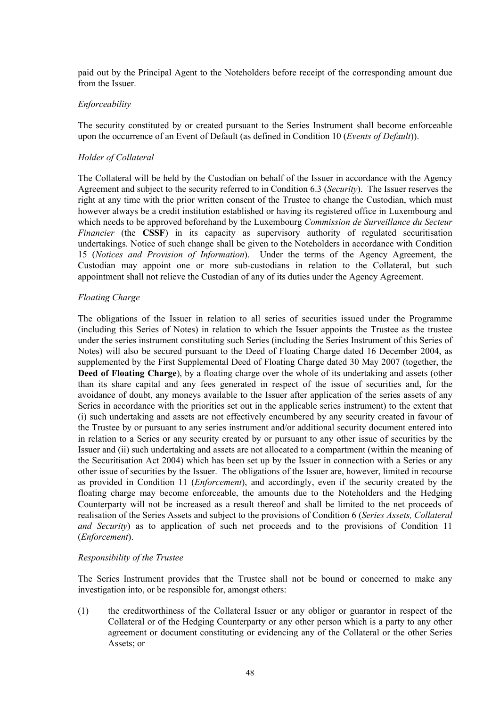paid out by the Principal Agent to the Noteholders before receipt of the corresponding amount due from the Issuer.

#### *Enforceability*

The security constituted by or created pursuant to the Series Instrument shall become enforceable upon the occurrence of an Event of Default (as defined in Condition 10 (*Events of Default*)).

#### *Holder of Collateral*

The Collateral will be held by the Custodian on behalf of the Issuer in accordance with the Agency Agreement and subject to the security referred to in Condition 6.3 (*Security*). The Issuer reserves the right at any time with the prior written consent of the Trustee to change the Custodian, which must however always be a credit institution established or having its registered office in Luxembourg and which needs to be approved beforehand by the Luxembourg *Commission de Surveillance du Secteur Financier* (the **CSSF**) in its capacity as supervisory authority of regulated securitisation undertakings. Notice of such change shall be given to the Noteholders in accordance with Condition 15 (*Notices and Provision of Information*). Under the terms of the Agency Agreement, the Custodian may appoint one or more sub-custodians in relation to the Collateral, but such appointment shall not relieve the Custodian of any of its duties under the Agency Agreement.

#### *Floating Charge*

The obligations of the Issuer in relation to all series of securities issued under the Programme (including this Series of Notes) in relation to which the Issuer appoints the Trustee as the trustee under the series instrument constituting such Series (including the Series Instrument of this Series of Notes) will also be secured pursuant to the Deed of Floating Charge dated 16 December 2004, as supplemented by the First Supplemental Deed of Floating Charge dated 30 May 2007 (together, the **Deed of Floating Charge**), by a floating charge over the whole of its undertaking and assets (other than its share capital and any fees generated in respect of the issue of securities and, for the avoidance of doubt, any moneys available to the Issuer after application of the series assets of any Series in accordance with the priorities set out in the applicable series instrument) to the extent that (i) such undertaking and assets are not effectively encumbered by any security created in favour of the Trustee by or pursuant to any series instrument and/or additional security document entered into in relation to a Series or any security created by or pursuant to any other issue of securities by the Issuer and (ii) such undertaking and assets are not allocated to a compartment (within the meaning of the Securitisation Act 2004) which has been set up by the Issuer in connection with a Series or any other issue of securities by the Issuer. The obligations of the Issuer are, however, limited in recourse as provided in Condition 11 (*Enforcement*), and accordingly, even if the security created by the floating charge may become enforceable, the amounts due to the Noteholders and the Hedging Counterparty will not be increased as a result thereof and shall be limited to the net proceeds of realisation of the Series Assets and subject to the provisions of Condition 6 (*Series Assets, Collateral and Security*) as to application of such net proceeds and to the provisions of Condition 11 (*Enforcement*).

#### *Responsibility of the Trustee*

The Series Instrument provides that the Trustee shall not be bound or concerned to make any investigation into, or be responsible for, amongst others:

(1) the creditworthiness of the Collateral Issuer or any obligor or guarantor in respect of the Collateral or of the Hedging Counterparty or any other person which is a party to any other agreement or document constituting or evidencing any of the Collateral or the other Series Assets; or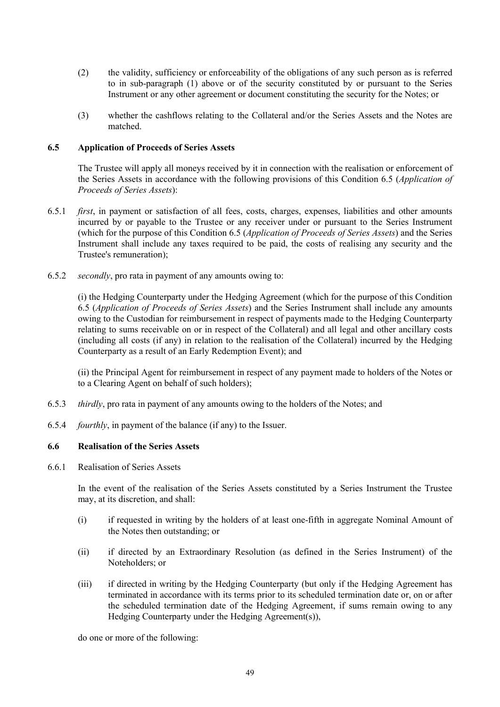- (2) the validity, sufficiency or enforceability of the obligations of any such person as is referred to in sub-paragraph (1) above or of the security constituted by or pursuant to the Series Instrument or any other agreement or document constituting the security for the Notes; or
- (3) whether the cashflows relating to the Collateral and/or the Series Assets and the Notes are matched.

### **6.5 Application of Proceeds of Series Assets**

The Trustee will apply all moneys received by it in connection with the realisation or enforcement of the Series Assets in accordance with the following provisions of this Condition 6.5 (*Application of Proceeds of Series Assets*):

- 6.5.1 *first*, in payment or satisfaction of all fees, costs, charges, expenses, liabilities and other amounts incurred by or payable to the Trustee or any receiver under or pursuant to the Series Instrument (which for the purpose of this Condition 6.5 (*Application of Proceeds of Series Assets*) and the Series Instrument shall include any taxes required to be paid, the costs of realising any security and the Trustee's remuneration);
- 6.5.2 *secondly*, pro rata in payment of any amounts owing to:

(i) the Hedging Counterparty under the Hedging Agreement (which for the purpose of this Condition 6.5 (*Application of Proceeds of Series Assets*) and the Series Instrument shall include any amounts owing to the Custodian for reimbursement in respect of payments made to the Hedging Counterparty relating to sums receivable on or in respect of the Collateral) and all legal and other ancillary costs (including all costs (if any) in relation to the realisation of the Collateral) incurred by the Hedging Counterparty as a result of an Early Redemption Event); and

(ii) the Principal Agent for reimbursement in respect of any payment made to holders of the Notes or to a Clearing Agent on behalf of such holders);

- 6.5.3 *thirdly*, pro rata in payment of any amounts owing to the holders of the Notes; and
- 6.5.4 *fourthly*, in payment of the balance (if any) to the Issuer.

# **6.6 Realisation of the Series Assets**

6.6.1 Realisation of Series Assets

In the event of the realisation of the Series Assets constituted by a Series Instrument the Trustee may, at its discretion, and shall:

- (i) if requested in writing by the holders of at least one-fifth in aggregate Nominal Amount of the Notes then outstanding; or
- (ii) if directed by an Extraordinary Resolution (as defined in the Series Instrument) of the Noteholders; or
- (iii) if directed in writing by the Hedging Counterparty (but only if the Hedging Agreement has terminated in accordance with its terms prior to its scheduled termination date or, on or after the scheduled termination date of the Hedging Agreement, if sums remain owing to any Hedging Counterparty under the Hedging Agreement(s)),

do one or more of the following: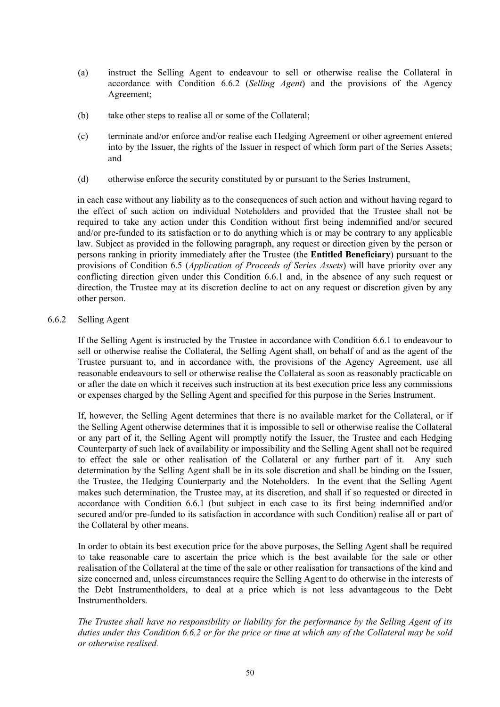- (a) instruct the Selling Agent to endeavour to sell or otherwise realise the Collateral in accordance with Condition 6.6.2 (*Selling Agent*) and the provisions of the Agency Agreement;
- (b) take other steps to realise all or some of the Collateral;
- (c) terminate and/or enforce and/or realise each Hedging Agreement or other agreement entered into by the Issuer, the rights of the Issuer in respect of which form part of the Series Assets; and
- (d) otherwise enforce the security constituted by or pursuant to the Series Instrument,

in each case without any liability as to the consequences of such action and without having regard to the effect of such action on individual Noteholders and provided that the Trustee shall not be required to take any action under this Condition without first being indemnified and/or secured and/or pre-funded to its satisfaction or to do anything which is or may be contrary to any applicable law. Subject as provided in the following paragraph, any request or direction given by the person or persons ranking in priority immediately after the Trustee (the **Entitled Beneficiary**) pursuant to the provisions of Condition 6.5 (*Application of Proceeds of Series Assets*) will have priority over any conflicting direction given under this Condition 6.6.1 and, in the absence of any such request or direction, the Trustee may at its discretion decline to act on any request or discretion given by any other person.

# 6.6.2 Selling Agent

If the Selling Agent is instructed by the Trustee in accordance with Condition 6.6.1 to endeavour to sell or otherwise realise the Collateral, the Selling Agent shall, on behalf of and as the agent of the Trustee pursuant to, and in accordance with, the provisions of the Agency Agreement, use all reasonable endeavours to sell or otherwise realise the Collateral as soon as reasonably practicable on or after the date on which it receives such instruction at its best execution price less any commissions or expenses charged by the Selling Agent and specified for this purpose in the Series Instrument.

If, however, the Selling Agent determines that there is no available market for the Collateral, or if the Selling Agent otherwise determines that it is impossible to sell or otherwise realise the Collateral or any part of it, the Selling Agent will promptly notify the Issuer, the Trustee and each Hedging Counterparty of such lack of availability or impossibility and the Selling Agent shall not be required to effect the sale or other realisation of the Collateral or any further part of it. Any such determination by the Selling Agent shall be in its sole discretion and shall be binding on the Issuer, the Trustee, the Hedging Counterparty and the Noteholders. In the event that the Selling Agent makes such determination, the Trustee may, at its discretion, and shall if so requested or directed in accordance with Condition 6.6.1 (but subject in each case to its first being indemnified and/or secured and/or pre-funded to its satisfaction in accordance with such Condition) realise all or part of the Collateral by other means.

In order to obtain its best execution price for the above purposes, the Selling Agent shall be required to take reasonable care to ascertain the price which is the best available for the sale or other realisation of the Collateral at the time of the sale or other realisation for transactions of the kind and size concerned and, unless circumstances require the Selling Agent to do otherwise in the interests of the Debt Instrumentholders, to deal at a price which is not less advantageous to the Debt Instrumentholders.

*The Trustee shall have no responsibility or liability for the performance by the Selling Agent of its duties under this Condition 6.6.2 or for the price or time at which any of the Collateral may be sold or otherwise realised.*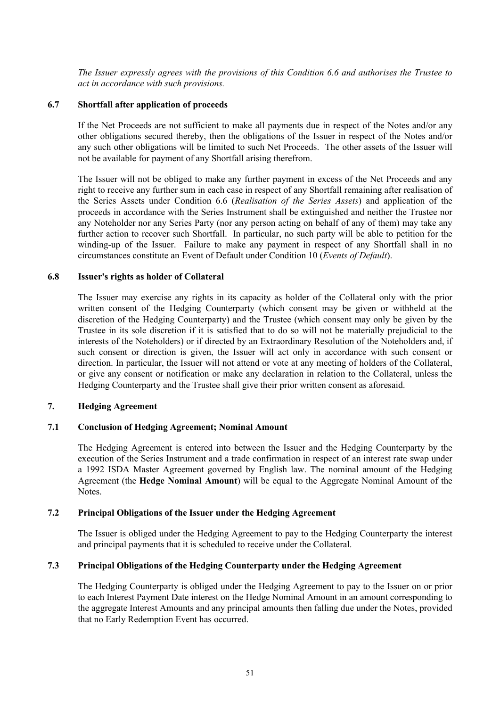*The Issuer expressly agrees with the provisions of this Condition 6.6 and authorises the Trustee to act in accordance with such provisions.*

#### **6.7 Shortfall after application of proceeds**

If the Net Proceeds are not sufficient to make all payments due in respect of the Notes and/or any other obligations secured thereby, then the obligations of the Issuer in respect of the Notes and/or any such other obligations will be limited to such Net Proceeds. The other assets of the Issuer will not be available for payment of any Shortfall arising therefrom.

The Issuer will not be obliged to make any further payment in excess of the Net Proceeds and any right to receive any further sum in each case in respect of any Shortfall remaining after realisation of the Series Assets under Condition 6.6 (*Realisation of the Series Assets*) and application of the proceeds in accordance with the Series Instrument shall be extinguished and neither the Trustee nor any Noteholder nor any Series Party (nor any person acting on behalf of any of them) may take any further action to recover such Shortfall. In particular, no such party will be able to petition for the winding-up of the Issuer. Failure to make any payment in respect of any Shortfall shall in no circumstances constitute an Event of Default under Condition 10 (*Events of Default*).

#### **6.8 Issuer's rights as holder of Collateral**

The Issuer may exercise any rights in its capacity as holder of the Collateral only with the prior written consent of the Hedging Counterparty (which consent may be given or withheld at the discretion of the Hedging Counterparty) and the Trustee (which consent may only be given by the Trustee in its sole discretion if it is satisfied that to do so will not be materially prejudicial to the interests of the Noteholders) or if directed by an Extraordinary Resolution of the Noteholders and, if such consent or direction is given, the Issuer will act only in accordance with such consent or direction. In particular, the Issuer will not attend or vote at any meeting of holders of the Collateral, or give any consent or notification or make any declaration in relation to the Collateral, unless the Hedging Counterparty and the Trustee shall give their prior written consent as aforesaid.

#### **7. Hedging Agreement**

#### **7.1 Conclusion of Hedging Agreement; Nominal Amount**

The Hedging Agreement is entered into between the Issuer and the Hedging Counterparty by the execution of the Series Instrument and a trade confirmation in respect of an interest rate swap under a 1992 ISDA Master Agreement governed by English law. The nominal amount of the Hedging Agreement (the **Hedge Nominal Amount**) will be equal to the Aggregate Nominal Amount of the Notes.

### **7.2 Principal Obligations of the Issuer under the Hedging Agreement**

The Issuer is obliged under the Hedging Agreement to pay to the Hedging Counterparty the interest and principal payments that it is scheduled to receive under the Collateral.

# **7.3 Principal Obligations of the Hedging Counterparty under the Hedging Agreement**

The Hedging Counterparty is obliged under the Hedging Agreement to pay to the Issuer on or prior to each Interest Payment Date interest on the Hedge Nominal Amount in an amount corresponding to the aggregate Interest Amounts and any principal amounts then falling due under the Notes, provided that no Early Redemption Event has occurred.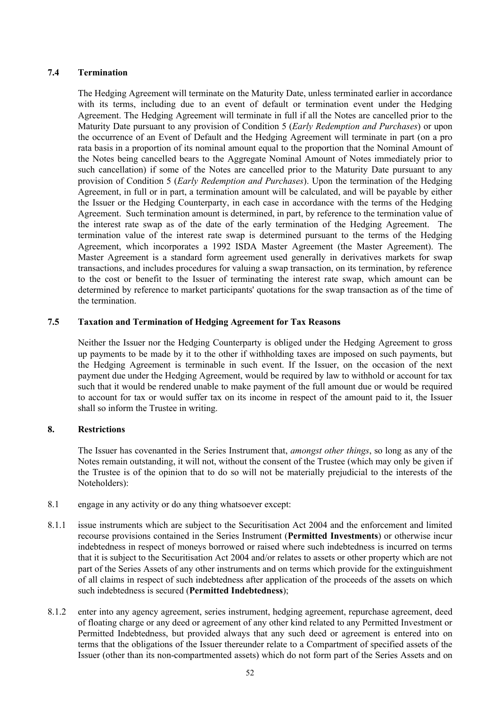# **7.4 Termination**

The Hedging Agreement will terminate on the Maturity Date, unless terminated earlier in accordance with its terms, including due to an event of default or termination event under the Hedging Agreement. The Hedging Agreement will terminate in full if all the Notes are cancelled prior to the Maturity Date pursuant to any provision of Condition 5 (*Early Redemption and Purchases*) or upon the occurrence of an Event of Default and the Hedging Agreement will terminate in part (on a pro rata basis in a proportion of its nominal amount equal to the proportion that the Nominal Amount of the Notes being cancelled bears to the Aggregate Nominal Amount of Notes immediately prior to such cancellation) if some of the Notes are cancelled prior to the Maturity Date pursuant to any provision of Condition 5 (*Early Redemption and Purchases*). Upon the termination of the Hedging Agreement, in full or in part, a termination amount will be calculated, and will be payable by either the Issuer or the Hedging Counterparty, in each case in accordance with the terms of the Hedging Agreement. Such termination amount is determined, in part, by reference to the termination value of the interest rate swap as of the date of the early termination of the Hedging Agreement. The termination value of the interest rate swap is determined pursuant to the terms of the Hedging Agreement, which incorporates a 1992 ISDA Master Agreement (the Master Agreement). The Master Agreement is a standard form agreement used generally in derivatives markets for swap transactions, and includes procedures for valuing a swap transaction, on its termination, by reference to the cost or benefit to the Issuer of terminating the interest rate swap, which amount can be determined by reference to market participants' quotations for the swap transaction as of the time of the termination.

# **7.5 Taxation and Termination of Hedging Agreement for Tax Reasons**

Neither the Issuer nor the Hedging Counterparty is obliged under the Hedging Agreement to gross up payments to be made by it to the other if withholding taxes are imposed on such payments, but the Hedging Agreement is terminable in such event. If the Issuer, on the occasion of the next payment due under the Hedging Agreement, would be required by law to withhold or account for tax such that it would be rendered unable to make payment of the full amount due or would be required to account for tax or would suffer tax on its income in respect of the amount paid to it, the Issuer shall so inform the Trustee in writing.

# **8. Restrictions**

The Issuer has covenanted in the Series Instrument that, *amongst other things*, so long as any of the Notes remain outstanding, it will not, without the consent of the Trustee (which may only be given if the Trustee is of the opinion that to do so will not be materially prejudicial to the interests of the Noteholders):

- 8.1 engage in any activity or do any thing whatsoever except:
- 8.1.1 issue instruments which are subject to the Securitisation Act 2004 and the enforcement and limited recourse provisions contained in the Series Instrument (**Permitted Investments**) or otherwise incur indebtedness in respect of moneys borrowed or raised where such indebtedness is incurred on terms that it is subject to the Securitisation Act 2004 and/or relates to assets or other property which are not part of the Series Assets of any other instruments and on terms which provide for the extinguishment of all claims in respect of such indebtedness after application of the proceeds of the assets on which such indebtedness is secured (**Permitted Indebtedness**);
- 8.1.2 enter into any agency agreement, series instrument, hedging agreement, repurchase agreement, deed of floating charge or any deed or agreement of any other kind related to any Permitted Investment or Permitted Indebtedness, but provided always that any such deed or agreement is entered into on terms that the obligations of the Issuer thereunder relate to a Compartment of specified assets of the Issuer (other than its non-compartmented assets) which do not form part of the Series Assets and on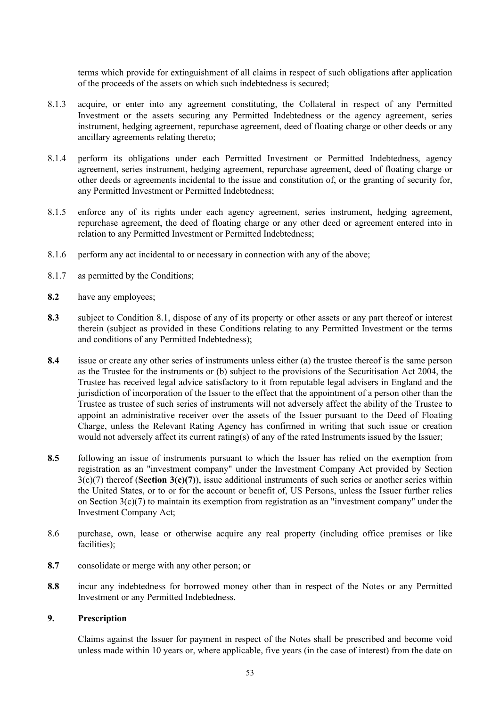terms which provide for extinguishment of all claims in respect of such obligations after application of the proceeds of the assets on which such indebtedness is secured;

- 8.1.3 acquire, or enter into any agreement constituting, the Collateral in respect of any Permitted Investment or the assets securing any Permitted Indebtedness or the agency agreement, series instrument, hedging agreement, repurchase agreement, deed of floating charge or other deeds or any ancillary agreements relating thereto;
- 8.1.4 perform its obligations under each Permitted Investment or Permitted Indebtedness, agency agreement, series instrument, hedging agreement, repurchase agreement, deed of floating charge or other deeds or agreements incidental to the issue and constitution of, or the granting of security for, any Permitted Investment or Permitted Indebtedness;
- 8.1.5 enforce any of its rights under each agency agreement, series instrument, hedging agreement, repurchase agreement, the deed of floating charge or any other deed or agreement entered into in relation to any Permitted Investment or Permitted Indebtedness;
- 8.1.6 perform any act incidental to or necessary in connection with any of the above;
- 8.1.7 as permitted by the Conditions;
- **8.2** have any employees;
- **8.3** subject to Condition 8.1, dispose of any of its property or other assets or any part thereof or interest therein (subject as provided in these Conditions relating to any Permitted Investment or the terms and conditions of any Permitted Indebtedness);
- **8.4** issue or create any other series of instruments unless either (a) the trustee thereof is the same person as the Trustee for the instruments or (b) subject to the provisions of the Securitisation Act 2004, the Trustee has received legal advice satisfactory to it from reputable legal advisers in England and the jurisdiction of incorporation of the Issuer to the effect that the appointment of a person other than the Trustee as trustee of such series of instruments will not adversely affect the ability of the Trustee to appoint an administrative receiver over the assets of the Issuer pursuant to the Deed of Floating Charge, unless the Relevant Rating Agency has confirmed in writing that such issue or creation would not adversely affect its current rating(s) of any of the rated Instruments issued by the Issuer;
- **8.5** following an issue of instruments pursuant to which the Issuer has relied on the exemption from registration as an "investment company" under the Investment Company Act provided by Section 3(c)(7) thereof (**Section 3(c)(7)**), issue additional instruments of such series or another series within the United States, or to or for the account or benefit of, US Persons, unless the Issuer further relies on Section 3(c)(7) to maintain its exemption from registration as an "investment company" under the Investment Company Act;
- 8.6 purchase, own, lease or otherwise acquire any real property (including office premises or like facilities);
- **8.7** consolidate or merge with any other person; or
- **8.8** incur any indebtedness for borrowed money other than in respect of the Notes or any Permitted Investment or any Permitted Indebtedness.

#### **9. Prescription**

Claims against the Issuer for payment in respect of the Notes shall be prescribed and become void unless made within 10 years or, where applicable, five years (in the case of interest) from the date on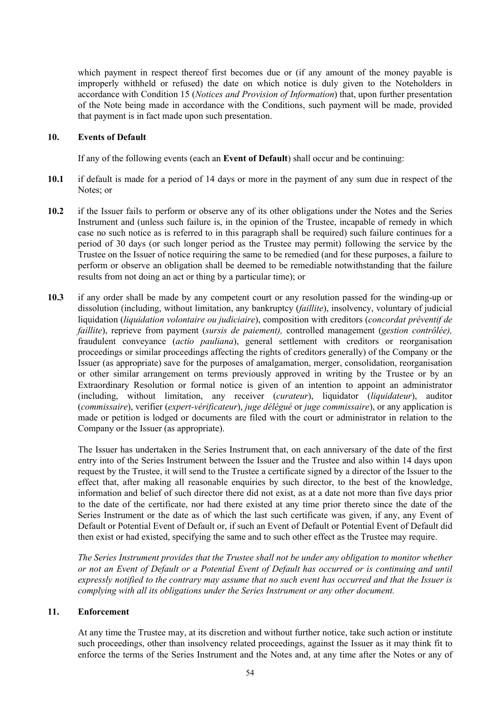which payment in respect thereof first becomes due or (if any amount of the money payable is improperly withheld or refused) the date on which notice is duly given to the Noteholders in accordance with Condition 15 (*Notices and Provision of Information*) that, upon further presentation of the Note being made in accordance with the Conditions, such payment will be made, provided that payment is in fact made upon such presentation.

### **10. Events of Default**

If any of the following events (each an **Event of Default**) shall occur and be continuing:

- **10.1** if default is made for a period of 14 days or more in the payment of any sum due in respect of the Notes; or
- **10.2** if the Issuer fails to perform or observe any of its other obligations under the Notes and the Series Instrument and (unless such failure is, in the opinion of the Trustee, incapable of remedy in which case no such notice as is referred to in this paragraph shall be required) such failure continues for a period of 30 days (or such longer period as the Trustee may permit) following the service by the Trustee on the Issuer of notice requiring the same to be remedied (and for these purposes, a failure to perform or observe an obligation shall be deemed to be remediable notwithstanding that the failure results from not doing an act or thing by a particular time); or
- **10.3** if any order shall be made by any competent court or any resolution passed for the winding-up or dissolution (including, without limitation, any bankruptcy (*faillite*), insolvency, voluntary of judicial liquidation (*liquidation volontaire ou judiciaire*), composition with creditors (*concordat préventif de faillite*), reprieve from payment (*sursis de paiement),* controlled management (*gestion contrôlée),*  fraudulent conveyance (*actio pauliana*), general settlement with creditors or reorganisation proceedings or similar proceedings affecting the rights of creditors generally) of the Company or the Issuer (as appropriate) save for the purposes of amalgamation, merger, consolidation, reorganisation or other similar arrangement on terms previously approved in writing by the Trustee or by an Extraordinary Resolution or formal notice is given of an intention to appoint an administrator (including, without limitation, any receiver (*curateur*), liquidator (*liquidateur*), auditor (*commissaire*), verifier (*expert-vérificateur*), *juge délégué* or *juge commissaire*), or any application is made or petition is lodged or documents are filed with the court or administrator in relation to the Company or the Issuer (as appropriate).

The Issuer has undertaken in the Series Instrument that, on each anniversary of the date of the first entry into of the Series Instrument between the Issuer and the Trustee and also within 14 days upon request by the Trustee, it will send to the Trustee a certificate signed by a director of the Issuer to the effect that, after making all reasonable enquiries by such director, to the best of the knowledge, information and belief of such director there did not exist, as at a date not more than five days prior to the date of the certificate, nor had there existed at any time prior thereto since the date of the Series Instrument or the date as of which the last such certificate was given, if any, any Event of Default or Potential Event of Default or, if such an Event of Default or Potential Event of Default did then exist or had existed, specifying the same and to such other effect as the Trustee may require.

*The Series Instrument provides that the Trustee shall not be under any obligation to monitor whether or not an Event of Default or a Potential Event of Default has occurred or is continuing and until expressly notified to the contrary may assume that no such event has occurred and that the Issuer is complying with all its obligations under the Series Instrument or any other document.*

### **11. Enforcement**

At any time the Trustee may, at its discretion and without further notice, take such action or institute such proceedings, other than insolvency related proceedings, against the Issuer as it may think fit to enforce the terms of the Series Instrument and the Notes and, at any time after the Notes or any of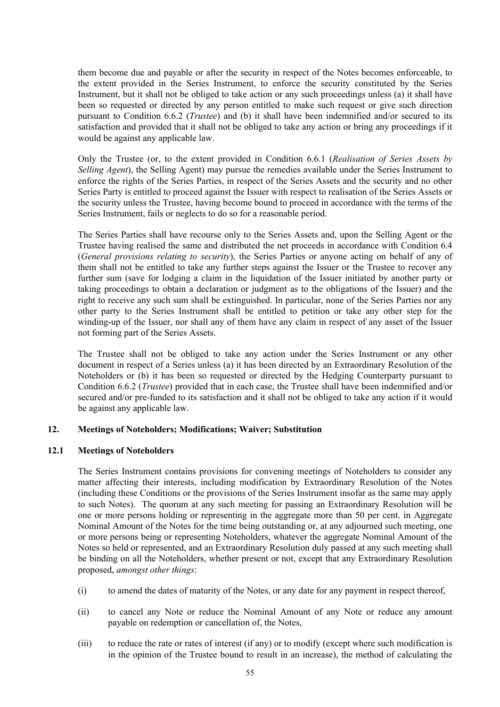them become due and payable or after the security in respect of the Notes becomes enforceable, to the extent provided in the Series Instrument, to enforce the security constituted by the Series Instrument, but it shall not be obliged to take action or any such proceedings unless (a) it shall have been so requested or directed by any person entitled to make such request or give such direction pursuant to Condition 6.6.2 (*Trustee*) and (b) it shall have been indemnified and/or secured to its satisfaction and provided that it shall not be obliged to take any action or bring any proceedings if it would be against any applicable law.

Only the Trustee (or, to the extent provided in Condition 6.6.1 (*Realisation of Series Assets by Selling Agent*), the Selling Agent) may pursue the remedies available under the Series Instrument to enforce the rights of the Series Parties, in respect of the Series Assets and the security and no other Series Party is entitled to proceed against the Issuer with respect to realisation of the Series Assets or the security unless the Trustee, having become bound to proceed in accordance with the terms of the Series Instrument, fails or neglects to do so for a reasonable period.

The Series Parties shall have recourse only to the Series Assets and, upon the Selling Agent or the Trustee having realised the same and distributed the net proceeds in accordance with Condition 6.4 (*General provisions relating to security*), the Series Parties or anyone acting on behalf of any of them shall not be entitled to take any further steps against the Issuer or the Trustee to recover any further sum (save for lodging a claim in the liquidation of the Issuer initiated by another party or taking proceedings to obtain a declaration or judgment as to the obligations of the Issuer) and the right to receive any such sum shall be extinguished. In particular, none of the Series Parties nor any other party to the Series Instrument shall be entitled to petition or take any other step for the winding-up of the Issuer, nor shall any of them have any claim in respect of any asset of the Issuer not forming part of the Series Assets.

The Trustee shall not be obliged to take any action under the Series Instrument or any other document in respect of a Series unless (a) it has been directed by an Extraordinary Resolution of the Noteholders or (b) it has been so requested or directed by the Hedging Counterparty pursuant to Condition 6.6.2 (*Trustee*) provided that in each case, the Trustee shall have been indemnified and/or secured and/or pre-funded to its satisfaction and it shall not be obliged to take any action if it would be against any applicable law.

### **12. Meetings of Noteholders; Modifications; Waiver; Substitution**

### **12.1 Meetings of Noteholders**

The Series Instrument contains provisions for convening meetings of Noteholders to consider any matter affecting their interests, including modification by Extraordinary Resolution of the Notes (including these Conditions or the provisions of the Series Instrument insofar as the same may apply to such Notes). The quorum at any such meeting for passing an Extraordinary Resolution will be one or more persons holding or representing in the aggregate more than 50 per cent. in Aggregate Nominal Amount of the Notes for the time being outstanding or, at any adjourned such meeting, one or more persons being or representing Noteholders, whatever the aggregate Nominal Amount of the Notes so held or represented, and an Extraordinary Resolution duly passed at any such meeting shall be binding on all the Noteholders, whether present or not, except that any Extraordinary Resolution proposed, *amongst other things*:

- (i) to amend the dates of maturity of the Notes, or any date for any payment in respect thereof,
- (ii) to cancel any Note or reduce the Nominal Amount of any Note or reduce any amount payable on redemption or cancellation of, the Notes,
- (iii) to reduce the rate or rates of interest (if any) or to modify (except where such modification is in the opinion of the Trustee bound to result in an increase), the method of calculating the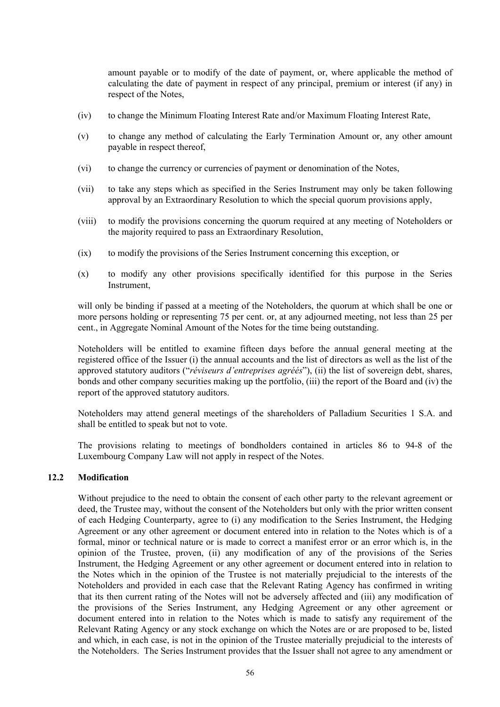amount payable or to modify of the date of payment, or, where applicable the method of calculating the date of payment in respect of any principal, premium or interest (if any) in respect of the Notes,

- (iv) to change the Minimum Floating Interest Rate and/or Maximum Floating Interest Rate,
- (v) to change any method of calculating the Early Termination Amount or, any other amount payable in respect thereof,
- (vi) to change the currency or currencies of payment or denomination of the Notes,
- (vii) to take any steps which as specified in the Series Instrument may only be taken following approval by an Extraordinary Resolution to which the special quorum provisions apply,
- (viii) to modify the provisions concerning the quorum required at any meeting of Noteholders or the majority required to pass an Extraordinary Resolution,
- (ix) to modify the provisions of the Series Instrument concerning this exception, or
- (x) to modify any other provisions specifically identified for this purpose in the Series Instrument,

will only be binding if passed at a meeting of the Noteholders, the quorum at which shall be one or more persons holding or representing 75 per cent. or, at any adjourned meeting, not less than 25 per cent., in Aggregate Nominal Amount of the Notes for the time being outstanding.

Noteholders will be entitled to examine fifteen days before the annual general meeting at the registered office of the Issuer (i) the annual accounts and the list of directors as well as the list of the approved statutory auditors ("*réviseurs d'entreprises agréés*"), (ii) the list of sovereign debt, shares, bonds and other company securities making up the portfolio, (iii) the report of the Board and (iv) the report of the approved statutory auditors.

Noteholders may attend general meetings of the shareholders of Palladium Securities 1 S.A. and shall be entitled to speak but not to vote.

The provisions relating to meetings of bondholders contained in articles 86 to 94-8 of the Luxembourg Company Law will not apply in respect of the Notes.

### **12.2 Modification**

Without prejudice to the need to obtain the consent of each other party to the relevant agreement or deed, the Trustee may, without the consent of the Noteholders but only with the prior written consent of each Hedging Counterparty, agree to (i) any modification to the Series Instrument, the Hedging Agreement or any other agreement or document entered into in relation to the Notes which is of a formal, minor or technical nature or is made to correct a manifest error or an error which is, in the opinion of the Trustee, proven, (ii) any modification of any of the provisions of the Series Instrument, the Hedging Agreement or any other agreement or document entered into in relation to the Notes which in the opinion of the Trustee is not materially prejudicial to the interests of the Noteholders and provided in each case that the Relevant Rating Agency has confirmed in writing that its then current rating of the Notes will not be adversely affected and (iii) any modification of the provisions of the Series Instrument, any Hedging Agreement or any other agreement or document entered into in relation to the Notes which is made to satisfy any requirement of the Relevant Rating Agency or any stock exchange on which the Notes are or are proposed to be, listed and which, in each case, is not in the opinion of the Trustee materially prejudicial to the interests of the Noteholders. The Series Instrument provides that the Issuer shall not agree to any amendment or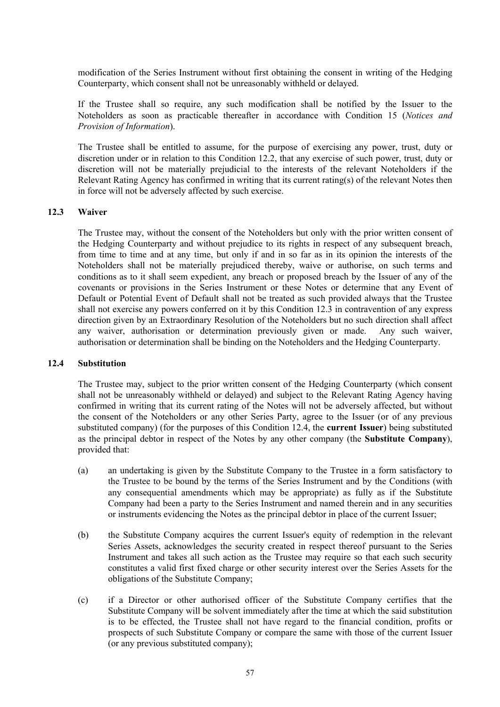modification of the Series Instrument without first obtaining the consent in writing of the Hedging Counterparty, which consent shall not be unreasonably withheld or delayed.

If the Trustee shall so require, any such modification shall be notified by the Issuer to the Noteholders as soon as practicable thereafter in accordance with Condition 15 (*Notices and Provision of Information*).

The Trustee shall be entitled to assume, for the purpose of exercising any power, trust, duty or discretion under or in relation to this Condition 12.2, that any exercise of such power, trust, duty or discretion will not be materially prejudicial to the interests of the relevant Noteholders if the Relevant Rating Agency has confirmed in writing that its current rating(s) of the relevant Notes then in force will not be adversely affected by such exercise.

#### **12.3 Waiver**

The Trustee may, without the consent of the Noteholders but only with the prior written consent of the Hedging Counterparty and without prejudice to its rights in respect of any subsequent breach, from time to time and at any time, but only if and in so far as in its opinion the interests of the Noteholders shall not be materially prejudiced thereby, waive or authorise, on such terms and conditions as to it shall seem expedient, any breach or proposed breach by the Issuer of any of the covenants or provisions in the Series Instrument or these Notes or determine that any Event of Default or Potential Event of Default shall not be treated as such provided always that the Trustee shall not exercise any powers conferred on it by this Condition 12.3 in contravention of any express direction given by an Extraordinary Resolution of the Noteholders but no such direction shall affect any waiver, authorisation or determination previously given or made. Any such waiver, authorisation or determination shall be binding on the Noteholders and the Hedging Counterparty.

#### **12.4 Substitution**

The Trustee may, subject to the prior written consent of the Hedging Counterparty (which consent shall not be unreasonably withheld or delayed) and subject to the Relevant Rating Agency having confirmed in writing that its current rating of the Notes will not be adversely affected, but without the consent of the Noteholders or any other Series Party, agree to the Issuer (or of any previous substituted company) (for the purposes of this Condition 12.4, the **current Issuer**) being substituted as the principal debtor in respect of the Notes by any other company (the **Substitute Company**), provided that:

- (a) an undertaking is given by the Substitute Company to the Trustee in a form satisfactory to the Trustee to be bound by the terms of the Series Instrument and by the Conditions (with any consequential amendments which may be appropriate) as fully as if the Substitute Company had been a party to the Series Instrument and named therein and in any securities or instruments evidencing the Notes as the principal debtor in place of the current Issuer;
- (b) the Substitute Company acquires the current Issuer's equity of redemption in the relevant Series Assets, acknowledges the security created in respect thereof pursuant to the Series Instrument and takes all such action as the Trustee may require so that each such security constitutes a valid first fixed charge or other security interest over the Series Assets for the obligations of the Substitute Company;
- (c) if a Director or other authorised officer of the Substitute Company certifies that the Substitute Company will be solvent immediately after the time at which the said substitution is to be effected, the Trustee shall not have regard to the financial condition, profits or prospects of such Substitute Company or compare the same with those of the current Issuer (or any previous substituted company);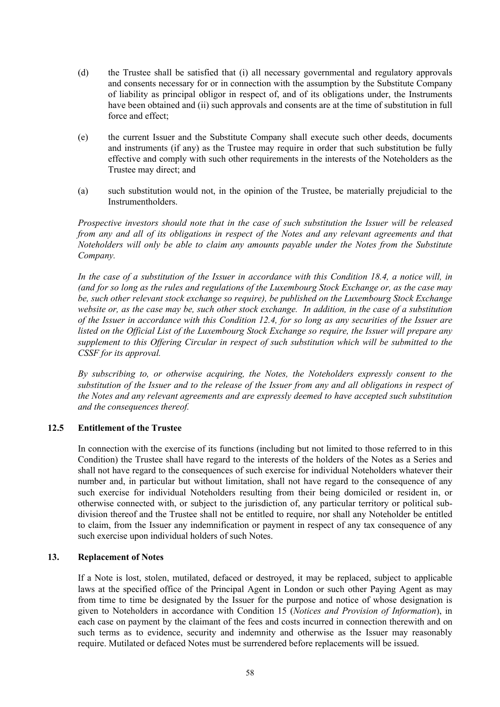- (d) the Trustee shall be satisfied that (i) all necessary governmental and regulatory approvals and consents necessary for or in connection with the assumption by the Substitute Company of liability as principal obligor in respect of, and of its obligations under, the Instruments have been obtained and (ii) such approvals and consents are at the time of substitution in full force and effect:
- (e) the current Issuer and the Substitute Company shall execute such other deeds, documents and instruments (if any) as the Trustee may require in order that such substitution be fully effective and comply with such other requirements in the interests of the Noteholders as the Trustee may direct; and
- (a) such substitution would not, in the opinion of the Trustee, be materially prejudicial to the **Instrumentholders**

*Prospective investors should note that in the case of such substitution the Issuer will be released from any and all of its obligations in respect of the Notes and any relevant agreements and that Noteholders will only be able to claim any amounts payable under the Notes from the Substitute Company.*

*In the case of a substitution of the Issuer in accordance with this Condition 18.4, a notice will, in (and for so long as the rules and regulations of the Luxembourg Stock Exchange or, as the case may be, such other relevant stock exchange so require), be published on the Luxembourg Stock Exchange website or, as the case may be, such other stock exchange. In addition, in the case of a substitution of the Issuer in accordance with this Condition 12.4, for so long as any securities of the Issuer are listed on the Official List of the Luxembourg Stock Exchange so require, the Issuer will prepare any supplement to this Offering Circular in respect of such substitution which will be submitted to the CSSF for its approval.*

*By subscribing to, or otherwise acquiring, the Notes, the Noteholders expressly consent to the substitution of the Issuer and to the release of the Issuer from any and all obligations in respect of the Notes and any relevant agreements and are expressly deemed to have accepted such substitution and the consequences thereof.*

# **12.5 Entitlement of the Trustee**

In connection with the exercise of its functions (including but not limited to those referred to in this Condition) the Trustee shall have regard to the interests of the holders of the Notes as a Series and shall not have regard to the consequences of such exercise for individual Noteholders whatever their number and, in particular but without limitation, shall not have regard to the consequence of any such exercise for individual Noteholders resulting from their being domiciled or resident in, or otherwise connected with, or subject to the jurisdiction of, any particular territory or political subdivision thereof and the Trustee shall not be entitled to require, nor shall any Noteholder be entitled to claim, from the Issuer any indemnification or payment in respect of any tax consequence of any such exercise upon individual holders of such Notes.

# **13. Replacement of Notes**

If a Note is lost, stolen, mutilated, defaced or destroyed, it may be replaced, subject to applicable laws at the specified office of the Principal Agent in London or such other Paying Agent as may from time to time be designated by the Issuer for the purpose and notice of whose designation is given to Noteholders in accordance with Condition 15 (*Notices and Provision of Information*), in each case on payment by the claimant of the fees and costs incurred in connection therewith and on such terms as to evidence, security and indemnity and otherwise as the Issuer may reasonably require. Mutilated or defaced Notes must be surrendered before replacements will be issued.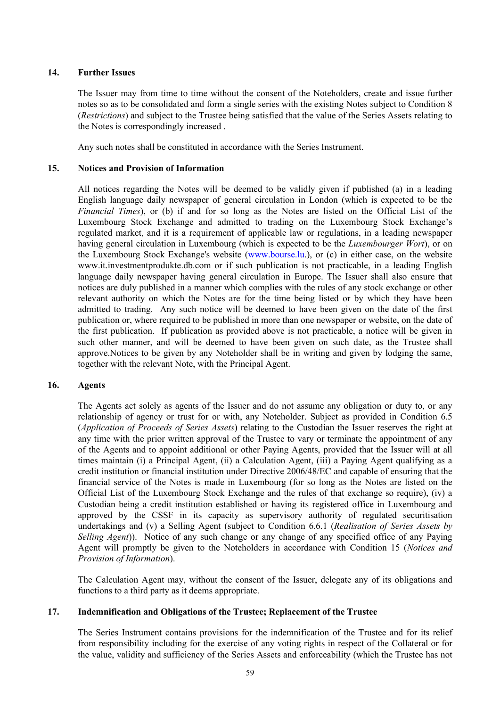# **14. Further Issues**

The Issuer may from time to time without the consent of the Noteholders, create and issue further notes so as to be consolidated and form a single series with the existing Notes subject to Condition 8 (*Restrictions*) and subject to the Trustee being satisfied that the value of the Series Assets relating to the Notes is correspondingly increased .

Any such notes shall be constituted in accordance with the Series Instrument.

# **15. Notices and Provision of Information**

All notices regarding the Notes will be deemed to be validly given if published (a) in a leading English language daily newspaper of general circulation in London (which is expected to be the *Financial Times*), or (b) if and for so long as the Notes are listed on the Official List of the Luxembourg Stock Exchange and admitted to trading on the Luxembourg Stock Exchange's regulated market, and it is a requirement of applicable law or regulations, in a leading newspaper having general circulation in Luxembourg (which is expected to be the *Luxembourger Wort*), or on the Luxembourg Stock Exchange's website ([www.bourse.lu.](www.bourse.lu)), or (c) in either case, on the website w[ww.it.investmentprodukte.db.com or](www.it.investmentprodukte.db.com o) if su[ch publication i](http://www.bourse.lu/)s not practicable, in a leading English [language daily newspaper having g](http://www.it.investmentprodukte.db.com/)eneral circulation in Europe. The Issuer shall also ensure that notices are duly published in a manner which complies with the rules of any stock exchange or other relevant authority on which the Notes are for the time being listed or by which they have been admitted to trading. Any such notice will be deemed to have been given on the date of the first publication or, where required to be published in more than one newspaper or website, on the date of the first publication. If publication as provided above is not practicable, a notice will be given in such other manner, and will be deemed to have been given on such date, as the Trustee shall approve.Notices to be given by any Noteholder shall be in writing and given by lodging the same, together with the relevant Note, with the Principal Agent.

### **16. Agents**

The Agents act solely as agents of the Issuer and do not assume any obligation or duty to, or any relationship of agency or trust for or with, any Noteholder. Subject as provided in Condition 6.5 (*Application of Proceeds of Series Assets*) relating to the Custodian the Issuer reserves the right at any time with the prior written approval of the Trustee to vary or terminate the appointment of any of the Agents and to appoint additional or other Paying Agents, provided that the Issuer will at all times maintain (i) a Principal Agent, (ii) a Calculation Agent, (iii) a Paying Agent qualifying as a credit institution or financial institution under Directive 2006/48/EC and capable of ensuring that the financial service of the Notes is made in Luxembourg (for so long as the Notes are listed on the Official List of the Luxembourg Stock Exchange and the rules of that exchange so require), (iv) a Custodian being a credit institution established or having its registered office in Luxembourg and approved by the CSSF in its capacity as supervisory authority of regulated securitisation undertakings and (v) a Selling Agent (subject to Condition 6.6.1 (*Realisation of Series Assets by Selling Agent*)). Notice of any such change or any change of any specified office of any Paying Agent will promptly be given to the Noteholders in accordance with Condition 15 (*Notices and Provision of Information*).

The Calculation Agent may, without the consent of the Issuer, delegate any of its obligations and functions to a third party as it deems appropriate.

### **17. Indemnification and Obligations of the Trustee; Replacement of the Trustee**

The Series Instrument contains provisions for the indemnification of the Trustee and for its relief from responsibility including for the exercise of any voting rights in respect of the Collateral or for the value, validity and sufficiency of the Series Assets and enforceability (which the Trustee has not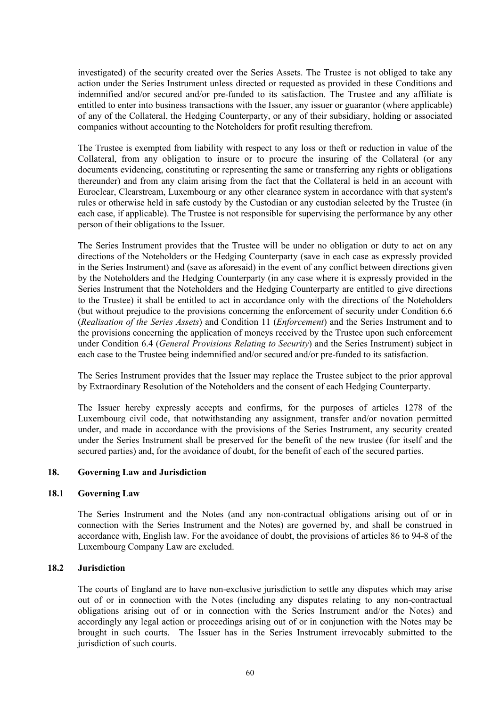investigated) of the security created over the Series Assets. The Trustee is not obliged to take any action under the Series Instrument unless directed or requested as provided in these Conditions and indemnified and/or secured and/or pre-funded to its satisfaction. The Trustee and any affiliate is entitled to enter into business transactions with the Issuer, any issuer or guarantor (where applicable) of any of the Collateral, the Hedging Counterparty, or any of their subsidiary, holding or associated companies without accounting to the Noteholders for profit resulting therefrom.

The Trustee is exempted from liability with respect to any loss or theft or reduction in value of the Collateral, from any obligation to insure or to procure the insuring of the Collateral (or any documents evidencing, constituting or representing the same or transferring any rights or obligations thereunder) and from any claim arising from the fact that the Collateral is held in an account with Euroclear, Clearstream, Luxembourg or any other clearance system in accordance with that system's rules or otherwise held in safe custody by the Custodian or any custodian selected by the Trustee (in each case, if applicable). The Trustee is not responsible for supervising the performance by any other person of their obligations to the Issuer.

The Series Instrument provides that the Trustee will be under no obligation or duty to act on any directions of the Noteholders or the Hedging Counterparty (save in each case as expressly provided in the Series Instrument) and (save as aforesaid) in the event of any conflict between directions given by the Noteholders and the Hedging Counterparty (in any case where it is expressly provided in the Series Instrument that the Noteholders and the Hedging Counterparty are entitled to give directions to the Trustee) it shall be entitled to act in accordance only with the directions of the Noteholders (but without prejudice to the provisions concerning the enforcement of security under Condition 6.6 (*Realisation of the Series Assets*) and Condition 11 (*Enforcement*) and the Series Instrument and to the provisions concerning the application of moneys received by the Trustee upon such enforcement under Condition 6.4 (*General Provisions Relating to Security*) and the Series Instrument) subject in each case to the Trustee being indemnified and/or secured and/or pre-funded to its satisfaction.

The Series Instrument provides that the Issuer may replace the Trustee subject to the prior approval by Extraordinary Resolution of the Noteholders and the consent of each Hedging Counterparty.

The Issuer hereby expressly accepts and confirms, for the purposes of articles 1278 of the Luxembourg civil code, that notwithstanding any assignment, transfer and/or novation permitted under, and made in accordance with the provisions of the Series Instrument, any security created under the Series Instrument shall be preserved for the benefit of the new trustee (for itself and the secured parties) and, for the avoidance of doubt, for the benefit of each of the secured parties.

### **18. Governing Law and Jurisdiction**

### **18.1 Governing Law**

The Series Instrument and the Notes (and any non-contractual obligations arising out of or in connection with the Series Instrument and the Notes) are governed by, and shall be construed in accordance with, English law. For the avoidance of doubt, the provisions of articles 86 to 94-8 of the Luxembourg Company Law are excluded.

### **18.2 Jurisdiction**

The courts of England are to have non-exclusive jurisdiction to settle any disputes which may arise out of or in connection with the Notes (including any disputes relating to any non-contractual obligations arising out of or in connection with the Series Instrument and/or the Notes) and accordingly any legal action or proceedings arising out of or in conjunction with the Notes may be brought in such courts. The Issuer has in the Series Instrument irrevocably submitted to the jurisdiction of such courts.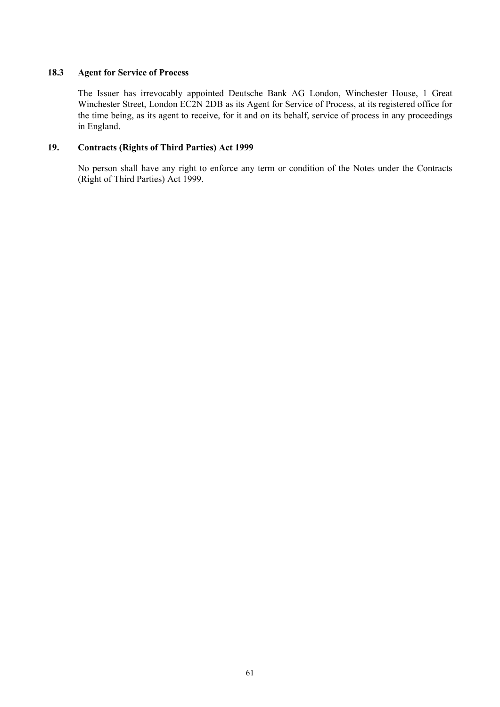# **18.3 Agent for Service of Process**

The Issuer has irrevocably appointed Deutsche Bank AG London, Winchester House, 1 Great Winchester Street, London EC2N 2DB as its Agent for Service of Process, at its registered office for the time being, as its agent to receive, for it and on its behalf, service of process in any proceedings in England.

# **19. Contracts (Rights of Third Parties) Act 1999**

No person shall have any right to enforce any term or condition of the Notes under the Contracts (Right of Third Parties) Act 1999.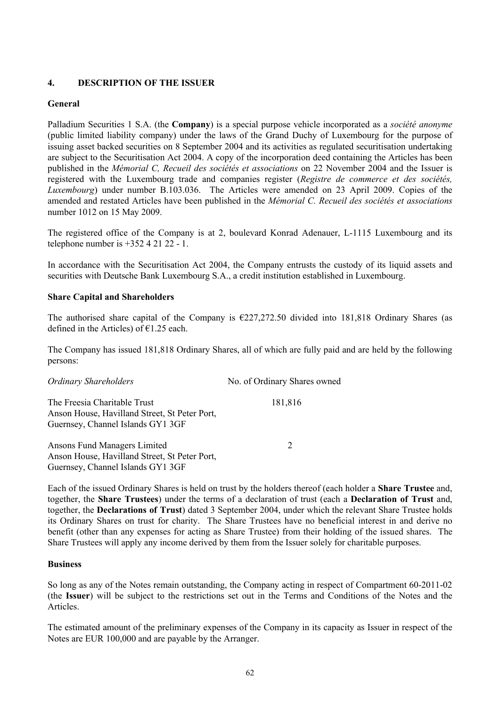# **4. DESCRIPTION OF THE ISSUER**

# **General**

Palladium Securities 1 S.A. (the **Company**) is a special purpose vehicle incorporated as a *société anonyme* (public limited liability company) under the laws of the Grand Duchy of Luxembourg for the purpose of issuing asset backed securities on 8 September 2004 and its activities as regulated securitisation undertaking are subject to the Securitisation Act 2004. A copy of the incorporation deed containing the Articles has been published in the *Mémorial C, Recueil des sociétés et associations* on 22 November 2004 and the Issuer is registered with the Luxembourg trade and companies register (*Registre de commerce et des sociétés, Luxembourg*) under number B.103.036. The Articles were amended on 23 April 2009. Copies of the amended and restated Articles have been published in the *Mémorial C. Recueil des sociétés et associations* number 1012 on 15 May 2009.

The registered office of the Company is at 2, boulevard Konrad Adenauer, L-1115 Luxembourg and its telephone number is  $+35242122 - 1$ .

In accordance with the Securitisation Act 2004, the Company entrusts the custody of its liquid assets and securities with Deutsche Bank Luxembourg S.A., a credit institution established in Luxembourg.

# **Share Capital and Shareholders**

The authorised share capital of the Company is  $\epsilon$ 227,272.50 divided into 181,818 Ordinary Shares (as defined in the Articles) of  $\epsilon$ 1.25 each.

The Company has issued 181,818 Ordinary Shares, all of which are fully paid and are held by the following persons:

| <b>Ordinary Shareholders</b>                                                                                       | No. of Ordinary Shares owned |
|--------------------------------------------------------------------------------------------------------------------|------------------------------|
| The Freesia Charitable Trust<br>Anson House, Havilland Street, St Peter Port,<br>Guernsey, Channel Islands GY1 3GF | 181,816                      |
| Ansons Fund Managers Limited<br>Anson House, Havilland Street, St Peter Port,<br>Guernsey, Channel Islands GY1 3GF | 2                            |

Each of the issued Ordinary Shares is held on trust by the holders thereof (each holder a **Share Trustee** and, together, the **Share Trustees**) under the terms of a declaration of trust (each a **Declaration of Trust** and, together, the **Declarations of Trust**) dated 3 September 2004, under which the relevant Share Trustee holds its Ordinary Shares on trust for charity. The Share Trustees have no beneficial interest in and derive no benefit (other than any expenses for acting as Share Trustee) from their holding of the issued shares. The Share Trustees will apply any income derived by them from the Issuer solely for charitable purposes.

### **Business**

So long as any of the Notes remain outstanding, the Company acting in respect of Compartment 60-2011-02 (the **Issuer**) will be subject to the restrictions set out in the Terms and Conditions of the Notes and the Articles.

The estimated amount of the preliminary expenses of the Company in its capacity as Issuer in respect of the Notes are EUR 100,000 and are payable by the Arranger.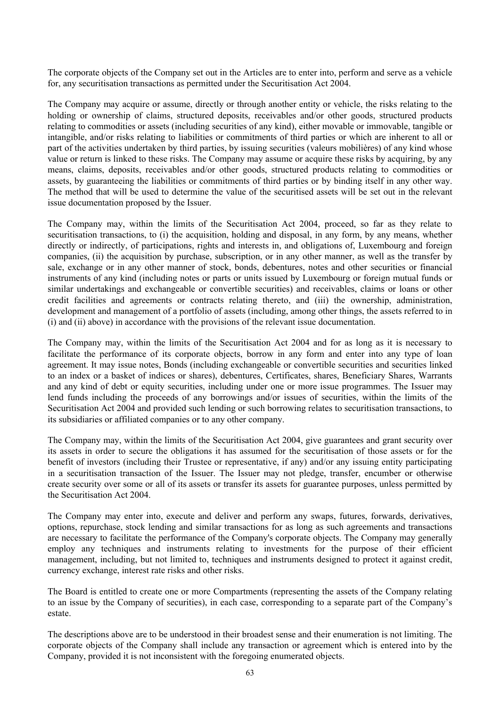The corporate objects of the Company set out in the Articles are to enter into, perform and serve as a vehicle for, any securitisation transactions as permitted under the Securitisation Act 2004.

The Company may acquire or assume, directly or through another entity or vehicle, the risks relating to the holding or ownership of claims, structured deposits, receivables and/or other goods, structured products relating to commodities or assets (including securities of any kind), either movable or immovable, tangible or intangible, and/or risks relating to liabilities or commitments of third parties or which are inherent to all or part of the activities undertaken by third parties, by issuing securities (valeurs mobilières) of any kind whose value or return is linked to these risks. The Company may assume or acquire these risks by acquiring, by any means, claims, deposits, receivables and/or other goods, structured products relating to commodities or assets, by guaranteeing the liabilities or commitments of third parties or by binding itself in any other way. The method that will be used to determine the value of the securitised assets will be set out in the relevant issue documentation proposed by the Issuer.

The Company may, within the limits of the Securitisation Act 2004, proceed, so far as they relate to securitisation transactions, to (i) the acquisition, holding and disposal, in any form, by any means, whether directly or indirectly, of participations, rights and interests in, and obligations of, Luxembourg and foreign companies, (ii) the acquisition by purchase, subscription, or in any other manner, as well as the transfer by sale, exchange or in any other manner of stock, bonds, debentures, notes and other securities or financial instruments of any kind (including notes or parts or units issued by Luxembourg or foreign mutual funds or similar undertakings and exchangeable or convertible securities) and receivables, claims or loans or other credit facilities and agreements or contracts relating thereto, and (iii) the ownership, administration, development and management of a portfolio of assets (including, among other things, the assets referred to in (i) and (ii) above) in accordance with the provisions of the relevant issue documentation.

The Company may, within the limits of the Securitisation Act 2004 and for as long as it is necessary to facilitate the performance of its corporate objects, borrow in any form and enter into any type of loan agreement. It may issue notes, Bonds (including exchangeable or convertible securities and securities linked to an index or a basket of indices or shares), debentures, Certificates, shares, Beneficiary Shares, Warrants and any kind of debt or equity securities, including under one or more issue programmes. The Issuer may lend funds including the proceeds of any borrowings and/or issues of securities, within the limits of the Securitisation Act 2004 and provided such lending or such borrowing relates to securitisation transactions, to its subsidiaries or affiliated companies or to any other company.

The Company may, within the limits of the Securitisation Act 2004, give guarantees and grant security over its assets in order to secure the obligations it has assumed for the securitisation of those assets or for the benefit of investors (including their Trustee or representative, if any) and/or any issuing entity participating in a securitisation transaction of the Issuer. The Issuer may not pledge, transfer, encumber or otherwise create security over some or all of its assets or transfer its assets for guarantee purposes, unless permitted by the Securitisation Act 2004.

The Company may enter into, execute and deliver and perform any swaps, futures, forwards, derivatives, options, repurchase, stock lending and similar transactions for as long as such agreements and transactions are necessary to facilitate the performance of the Company's corporate objects. The Company may generally employ any techniques and instruments relating to investments for the purpose of their efficient management, including, but not limited to, techniques and instruments designed to protect it against credit, currency exchange, interest rate risks and other risks.

The Board is entitled to create one or more Compartments (representing the assets of the Company relating to an issue by the Company of securities), in each case, corresponding to a separate part of the Company's estate.

The descriptions above are to be understood in their broadest sense and their enumeration is not limiting. The corporate objects of the Company shall include any transaction or agreement which is entered into by the Company, provided it is not inconsistent with the foregoing enumerated objects.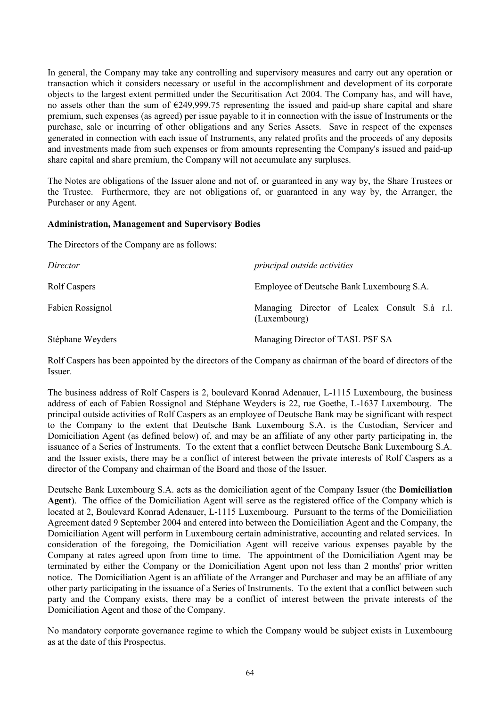In general, the Company may take any controlling and supervisory measures and carry out any operation or transaction which it considers necessary or useful in the accomplishment and development of its corporate objects to the largest extent permitted under the Securitisation Act 2004. The Company has, and will have, no assets other than the sum of €249,999.75 representing the issued and paid-up share capital and share premium, such expenses (as agreed) per issue payable to it in connection with the issue of Instruments or the purchase, sale or incurring of other obligations and any Series Assets. Save in respect of the expenses generated in connection with each issue of Instruments, any related profits and the proceeds of any deposits and investments made from such expenses or from amounts representing the Company's issued and paid-up share capital and share premium, the Company will not accumulate any surpluses.

The Notes are obligations of the Issuer alone and not of, or guaranteed in any way by, the Share Trustees or the Trustee. Furthermore, they are not obligations of, or guaranteed in any way by, the Arranger, the Purchaser or any Agent.

### **Administration, Management and Supervisory Bodies**

The Directors of the Company are as follows:

| Director         | <i>principal outside activities</i>                          |
|------------------|--------------------------------------------------------------|
| Rolf Caspers     | Employee of Deutsche Bank Luxembourg S.A.                    |
| Fabien Rossignol | Managing Director of Lealex Consult S.à r.l.<br>(Luxembourg) |
| Stéphane Weyders | Managing Director of TASL PSF SA                             |

Rolf Caspers has been appointed by the directors of the Company as chairman of the board of directors of the Issuer.

The business address of Rolf Caspers is 2, boulevard Konrad Adenauer, L-1115 Luxembourg, the business address of each of Fabien Rossignol and Stéphane Weyders is 22, rue Goethe, L-1637 Luxembourg. The principal outside activities of Rolf Caspers as an employee of Deutsche Bank may be significant with respect to the Company to the extent that Deutsche Bank Luxembourg S.A. is the Custodian, Servicer and Domiciliation Agent (as defined below) of, and may be an affiliate of any other party participating in, the issuance of a Series of Instruments. To the extent that a conflict between Deutsche Bank Luxembourg S.A. and the Issuer exists, there may be a conflict of interest between the private interests of Rolf Caspers as a director of the Company and chairman of the Board and those of the Issuer.

Deutsche Bank Luxembourg S.A. acts as the domiciliation agent of the Company Issuer (the **Domiciliation Agent**). The office of the Domiciliation Agent will serve as the registered office of the Company which is located at 2, Boulevard Konrad Adenauer, L-1115 Luxembourg. Pursuant to the terms of the Domiciliation Agreement dated 9 September 2004 and entered into between the Domiciliation Agent and the Company, the Domiciliation Agent will perform in Luxembourg certain administrative, accounting and related services. In consideration of the foregoing, the Domiciliation Agent will receive various expenses payable by the Company at rates agreed upon from time to time. The appointment of the Domiciliation Agent may be terminated by either the Company or the Domiciliation Agent upon not less than 2 months' prior written notice. The Domiciliation Agent is an affiliate of the Arranger and Purchaser and may be an affiliate of any other party participating in the issuance of a Series of Instruments. To the extent that a conflict between such party and the Company exists, there may be a conflict of interest between the private interests of the Domiciliation Agent and those of the Company.

No mandatory corporate governance regime to which the Company would be subject exists in Luxembourg as at the date of this Prospectus.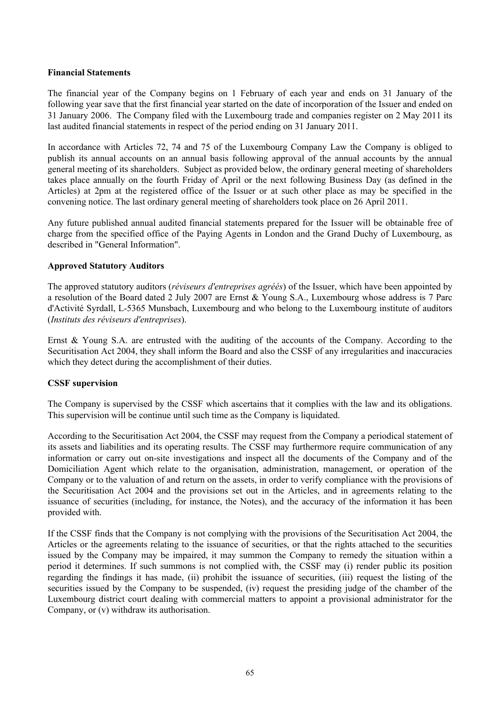### **Financial Statements**

The financial year of the Company begins on 1 February of each year and ends on 31 January of the following year save that the first financial year started on the date of incorporation of the Issuer and ended on 31 January 2006. The Company filed with the Luxembourg trade and companies register on 2 May 2011 its last audited financial statements in respect of the period ending on 31 January 2011.

In accordance with Articles 72, 74 and 75 of the Luxembourg Company Law the Company is obliged to publish its annual accounts on an annual basis following approval of the annual accounts by the annual general meeting of its shareholders. Subject as provided below, the ordinary general meeting of shareholders takes place annually on the fourth Friday of April or the next following Business Day (as defined in the Articles) at 2pm at the registered office of the Issuer or at such other place as may be specified in the convening notice. The last ordinary general meeting of shareholders took place on 26 April 2011.

Any future published annual audited financial statements prepared for the Issuer will be obtainable free of charge from the specified office of the Paying Agents in London and the Grand Duchy of Luxembourg, as described in "General Information".

# **Approved Statutory Auditors**

The approved statutory auditors (*réviseurs d'entreprises agréés*) of the Issuer, which have been appointed by a resolution of the Board dated 2 July 2007 are Ernst & Young S.A., Luxembourg whose address is 7 Parc d'Activité Syrdall, L-5365 Munsbach, Luxembourg and who belong to the Luxembourg institute of auditors (*Instituts des réviseurs d'entreprises*).

Ernst & Young S.A. are entrusted with the auditing of the accounts of the Company. According to the Securitisation Act 2004, they shall inform the Board and also the CSSF of any irregularities and inaccuracies which they detect during the accomplishment of their duties.

# **CSSF supervision**

The Company is supervised by the CSSF which ascertains that it complies with the law and its obligations. This supervision will be continue until such time as the Company is liquidated.

According to the Securitisation Act 2004, the CSSF may request from the Company a periodical statement of its assets and liabilities and its operating results. The CSSF may furthermore require communication of any information or carry out on-site investigations and inspect all the documents of the Company and of the Domiciliation Agent which relate to the organisation, administration, management, or operation of the Company or to the valuation of and return on the assets, in order to verify compliance with the provisions of the Securitisation Act 2004 and the provisions set out in the Articles, and in agreements relating to the issuance of securities (including, for instance, the Notes), and the accuracy of the information it has been provided with.

If the CSSF finds that the Company is not complying with the provisions of the Securitisation Act 2004, the Articles or the agreements relating to the issuance of securities, or that the rights attached to the securities issued by the Company may be impaired, it may summon the Company to remedy the situation within a period it determines. If such summons is not complied with, the CSSF may (i) render public its position regarding the findings it has made, (ii) prohibit the issuance of securities, (iii) request the listing of the securities issued by the Company to be suspended, (iv) request the presiding judge of the chamber of the Luxembourg district court dealing with commercial matters to appoint a provisional administrator for the Company, or (v) withdraw its authorisation.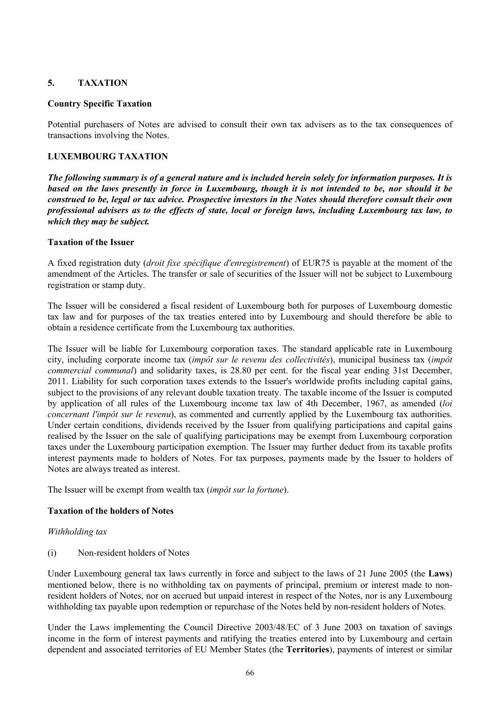# **5. TAXATION**

# **Country Specific Taxation**

Potential purchasers of Notes are advised to consult their own tax advisers as to the tax consequences of transactions involving the Notes.

# **LUXEMBOURG TAXATION**

*The following summary is of a general nature and is included herein solely for information purposes. It is based on the laws presently in force in Luxembourg, though it is not intended to be, nor should it be construed to be, legal or tax advice. Prospective investors in the Notes should therefore consult their own professional advisers as to the effects of state, local or foreign laws, including Luxembourg tax law, to which they may be subject.*

# **Taxation of the Issuer**

A fixed registration duty (*droit fixe spécifique d'enregistrement*) of EUR75 is payable at the moment of the amendment of the Articles. The transfer or sale of securities of the Issuer will not be subject to Luxembourg registration or stamp duty.

The Issuer will be considered a fiscal resident of Luxembourg both for purposes of Luxembourg domestic tax law and for purposes of the tax treaties entered into by Luxembourg and should therefore be able to obtain a residence certificate from the Luxembourg tax authorities.

The Issuer will be liable for Luxembourg corporation taxes. The standard applicable rate in Luxembourg city, including corporate income tax (*impôt sur le revenu des collectivités*), municipal business tax (*impôt commercial communal*) and solidarity taxes, is 28.80 per cent. for the fiscal year ending 31st December, 2011. Liability for such corporation taxes extends to the Issuer's worldwide profits including capital gains, subject to the provisions of any relevant double taxation treaty. The taxable income of the Issuer is computed by application of all rules of the Luxembourg income tax law of 4th December, 1967, as amended (*loi concernant l'impôt sur le revenu*), as commented and currently applied by the Luxembourg tax authorities. Under certain conditions, dividends received by the Issuer from qualifying participations and capital gains realised by the Issuer on the sale of qualifying participations may be exempt from Luxembourg corporation taxes under the Luxembourg participation exemption. The Issuer may further deduct from its taxable profits interest payments made to holders of Notes. For tax purposes, payments made by the Issuer to holders of Notes are always treated as interest.

The Issuer will be exempt from wealth tax (*impôt sur la fortune*).

# **Taxation of the holders of Notes**

### *Withholding tax*

(i) Non-resident holders of Notes

Under Luxembourg general tax laws currently in force and subject to the laws of 21 June 2005 (the **Laws**) mentioned below, there is no withholding tax on payments of principal, premium or interest made to nonresident holders of Notes, nor on accrued but unpaid interest in respect of the Notes, nor is any Luxembourg withholding tax payable upon redemption or repurchase of the Notes held by non-resident holders of Notes.

Under the Laws implementing the Council Directive 2003/48/EC of 3 June 2003 on taxation of savings income in the form of interest payments and ratifying the treaties entered into by Luxembourg and certain dependent and associated territories of EU Member States (the **Territories**), payments of interest or similar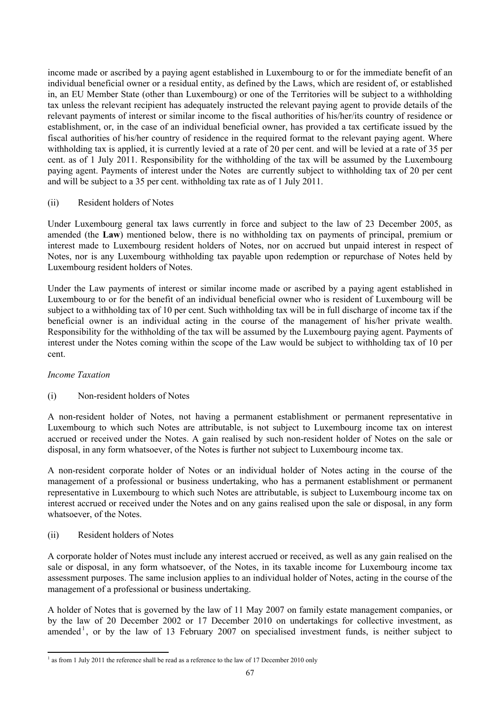income made or ascribed by a paying agent established in Luxembourg to or for the immediate benefit of an individual beneficial owner or a residual entity, as defined by the Laws, which are resident of, or established in, an EU Member State (other than Luxembourg) or one of the Territories will be subject to a withholding tax unless the relevant recipient has adequately instructed the relevant paying agent to provide details of the relevant payments of interest or similar income to the fiscal authorities of his/her/its country of residence or establishment, or, in the case of an individual beneficial owner, has provided a tax certificate issued by the fiscal authorities of his/her country of residence in the required format to the relevant paying agent. Where withholding tax is applied, it is currently levied at a rate of 20 per cent. and will be levied at a rate of 35 per cent. as of 1 July 2011. Responsibility for the withholding of the tax will be assumed by the Luxembourg paying agent. Payments of interest under the Notes are currently subject to withholding tax of 20 per cent and will be subject to a 35 per cent. withholding tax rate as of 1 July 2011.

# (ii) Resident holders of Notes

Under Luxembourg general tax laws currently in force and subject to the law of 23 December 2005, as amended (the **Law**) mentioned below, there is no withholding tax on payments of principal, premium or interest made to Luxembourg resident holders of Notes, nor on accrued but unpaid interest in respect of Notes, nor is any Luxembourg withholding tax payable upon redemption or repurchase of Notes held by Luxembourg resident holders of Notes.

Under the Law payments of interest or similar income made or ascribed by a paying agent established in Luxembourg to or for the benefit of an individual beneficial owner who is resident of Luxembourg will be subject to a withholding tax of 10 per cent. Such withholding tax will be in full discharge of income tax if the beneficial owner is an individual acting in the course of the management of his/her private wealth. Responsibility for the withholding of the tax will be assumed by the Luxembourg paying agent. Payments of interest under the Notes coming within the scope of the Law would be subject to withholding tax of 10 per cent.

# *Income Taxation*

# (i) Non-resident holders of Notes

A non-resident holder of Notes, not having a permanent establishment or permanent representative in Luxembourg to which such Notes are attributable, is not subject to Luxembourg income tax on interest accrued or received under the Notes. A gain realised by such non-resident holder of Notes on the sale or disposal, in any form whatsoever, of the Notes is further not subject to Luxembourg income tax.

A non-resident corporate holder of Notes or an individual holder of Notes acting in the course of the management of a professional or business undertaking, who has a permanent establishment or permanent representative in Luxembourg to which such Notes are attributable, is subject to Luxembourg income tax on interest accrued or received under the Notes and on any gains realised upon the sale or disposal, in any form whatsoever, of the Notes.

### (ii) Resident holders of Notes

A corporate holder of Notes must include any interest accrued or received, as well as any gain realised on the sale or disposal, in any form whatsoever, of the Notes, in its taxable income for Luxembourg income tax assessment purposes. The same inclusion applies to an individual holder of Notes, acting in the course of the management of a professional or business undertaking.

A holder of Notes that is governed by the law of 11 May 2007 on family estate management companies, or by the law of 20 December 2002 or 17 December 2010 on undertakings for collective investment, as amended<sup>1</sup>, or by the law of 13 February 2007 on specialised investment funds, is neither subject to

<sup>&</sup>lt;sup>1</sup> as from 1 July 2011 the reference shall be read as a reference to the law of 17 December 2010 only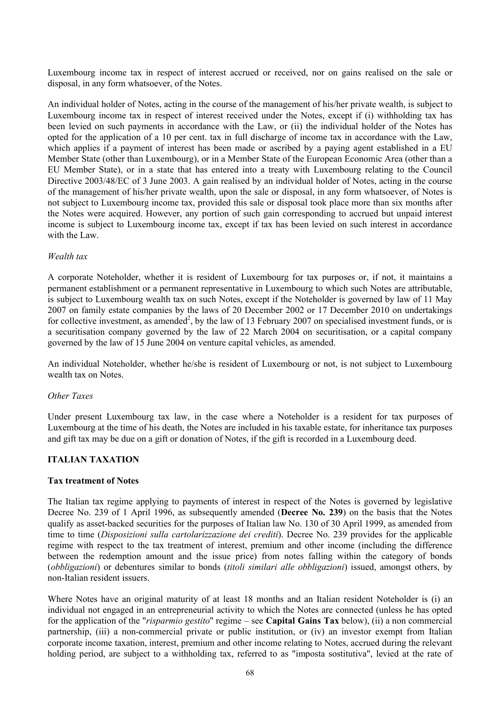Luxembourg income tax in respect of interest accrued or received, nor on gains realised on the sale or disposal, in any form whatsoever, of the Notes.

An individual holder of Notes, acting in the course of the management of his/her private wealth, is subject to Luxembourg income tax in respect of interest received under the Notes, except if (i) withholding tax has been levied on such payments in accordance with the Law, or (ii) the individual holder of the Notes has opted for the application of a 10 per cent. tax in full discharge of income tax in accordance with the Law, which applies if a payment of interest has been made or ascribed by a paying agent established in a EU Member State (other than Luxembourg), or in a Member State of the European Economic Area (other than a EU Member State), or in a state that has entered into a treaty with Luxembourg relating to the Council Directive 2003/48/EC of 3 June 2003. A gain realised by an individual holder of Notes, acting in the course of the management of his/her private wealth, upon the sale or disposal, in any form whatsoever, of Notes is not subject to Luxembourg income tax, provided this sale or disposal took place more than six months after the Notes were acquired. However, any portion of such gain corresponding to accrued but unpaid interest income is subject to Luxembourg income tax, except if tax has been levied on such interest in accordance with the Law.

#### *Wealth tax*

A corporate Noteholder, whether it is resident of Luxembourg for tax purposes or, if not, it maintains a permanent establishment or a permanent representative in Luxembourg to which such Notes are attributable, is subject to Luxembourg wealth tax on such Notes, except if the Noteholder is governed by law of 11 May 2007 on family estate companies by the laws of 20 December 2002 or 17 December 2010 on undertakings for collective investment, as amended<sup>2</sup>, by the law of 13 February 2007 on specialised investment funds, or is a securitisation company governed by the law of 22 March 2004 on securitisation, or a capital company governed by the law of 15 June 2004 on venture capital vehicles, as amended.

An individual Noteholder, whether he/she is resident of Luxembourg or not, is not subject to Luxembourg wealth tax on Notes.

#### *Other Taxes*

Under present Luxembourg tax law, in the case where a Noteholder is a resident for tax purposes of Luxembourg at the time of his death, the Notes are included in his taxable estate, for inheritance tax purposes and gift tax may be due on a gift or donation of Notes, if the gift is recorded in a Luxembourg deed.

### **ITALIAN TAXATION**

#### **Tax treatment of Notes**

The Italian tax regime applying to payments of interest in respect of the Notes is governed by legislative Decree No. 239 of 1 April 1996, as subsequently amended (**Decree No. 239**) on the basis that the Notes qualify as asset-backed securities for the purposes of Italian law No. 130 of 30 April 1999, as amended from time to time (*Disposizioni sulla cartolarizzazione dei crediti*). Decree No. 239 provides for the applicable regime with respect to the tax treatment of interest, premium and other income (including the difference between the redemption amount and the issue price) from notes falling within the category of bonds (*obbligazioni*) or debentures similar to bonds (*titoli similari alle obbligazioni*) issued, amongst others, by non-Italian resident issuers.

Where Notes have an original maturity of at least 18 months and an Italian resident Noteholder is (i) an individual not engaged in an entrepreneurial activity to which the Notes are connected (unless he has opted for the application of the "*risparmio gestito*" regime – see **Capital Gains Tax** below), (ii) a non commercial partnership, (iii) a non-commercial private or public institution, or (iv) an investor exempt from Italian corporate income taxation, interest, premium and other income relating to Notes, accrued during the relevant holding period, are subject to a withholding tax, referred to as "imposta sostitutiva", levied at the rate of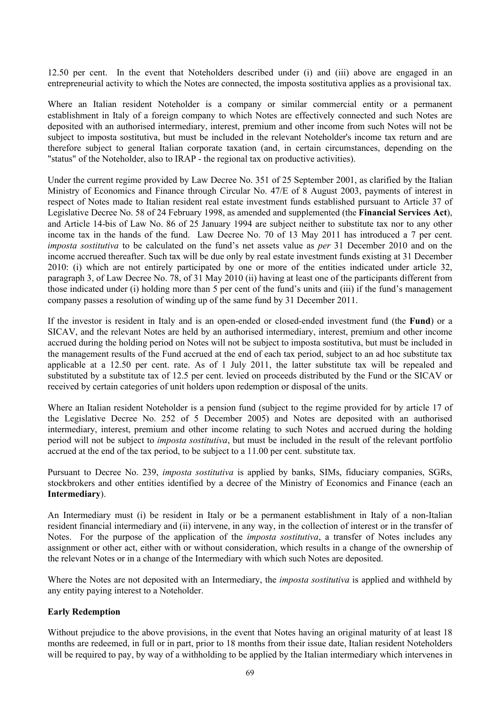12.50 per cent. In the event that Noteholders described under (i) and (iii) above are engaged in an entrepreneurial activity to which the Notes are connected, the imposta sostitutiva applies as a provisional tax.

Where an Italian resident Noteholder is a company or similar commercial entity or a permanent establishment in Italy of a foreign company to which Notes are effectively connected and such Notes are deposited with an authorised intermediary, interest, premium and other income from such Notes will not be subject to imposta sostitutiva, but must be included in the relevant Noteholder's income tax return and are therefore subject to general Italian corporate taxation (and, in certain circumstances, depending on the "status" of the Noteholder, also to IRAP - the regional tax on productive activities).

Under the current regime provided by Law Decree No. 351 of 25 September 2001, as clarified by the Italian Ministry of Economics and Finance through Circular No. 47/E of 8 August 2003, payments of interest in respect of Notes made to Italian resident real estate investment funds established pursuant to Article 37 of Legislative Decree No. 58 of 24 February 1998, as amended and supplemented (the **Financial Services Act**), and Article 14-bis of Law No. 86 of 25 January 1994 are subject neither to substitute tax nor to any other income tax in the hands of the fund. Law Decree No. 70 of 13 May 2011 has introduced a 7 per cent. *imposta sostitutiva* to be calculated on the fund's net assets value as *per* 31 December 2010 and on the income accrued thereafter. Such tax will be due only by real estate investment funds existing at 31 December 2010: (i) which are not entirely participated by one or more of the entities indicated under article 32, paragraph 3, of Law Decree No. 78, of 31 May 2010 (ii) having at least one of the participants different from those indicated under (i) holding more than 5 per cent of the fund's units and (iii) if the fund's management company passes a resolution of winding up of the same fund by 31 December 2011.

If the investor is resident in Italy and is an open-ended or closed-ended investment fund (the **Fund**) or a SICAV, and the relevant Notes are held by an authorised intermediary, interest, premium and other income accrued during the holding period on Notes will not be subject to imposta sostitutiva, but must be included in the management results of the Fund accrued at the end of each tax period, subject to an ad hoc substitute tax applicable at a 12.50 per cent. rate. As of 1 July 2011, the latter substitute tax will be repealed and substituted by a substitute tax of 12.5 per cent. levied on proceeds distributed by the Fund or the SICAV or received by certain categories of unit holders upon redemption or disposal of the units.

Where an Italian resident Noteholder is a pension fund (subject to the regime provided for by article 17 of the Legislative Decree No. 252 of 5 December 2005) and Notes are deposited with an authorised intermediary, interest, premium and other income relating to such Notes and accrued during the holding period will not be subject to *imposta sostitutiva*, but must be included in the result of the relevant portfolio accrued at the end of the tax period, to be subject to a 11.00 per cent. substitute tax.

Pursuant to Decree No. 239, *imposta sostitutiva* is applied by banks, SIMs, fiduciary companies, SGRs, stockbrokers and other entities identified by a decree of the Ministry of Economics and Finance (each an **Intermediary**).

An Intermediary must (i) be resident in Italy or be a permanent establishment in Italy of a non-Italian resident financial intermediary and (ii) intervene, in any way, in the collection of interest or in the transfer of Notes. For the purpose of the application of the *imposta sostitutiva*, a transfer of Notes includes any assignment or other act, either with or without consideration, which results in a change of the ownership of the relevant Notes or in a change of the Intermediary with which such Notes are deposited.

Where the Notes are not deposited with an Intermediary, the *imposta sostitutiva* is applied and withheld by any entity paying interest to a Noteholder.

### **Early Redemption**

Without prejudice to the above provisions, in the event that Notes having an original maturity of at least 18 months are redeemed, in full or in part, prior to 18 months from their issue date, Italian resident Noteholders will be required to pay, by way of a withholding to be applied by the Italian intermediary which intervenes in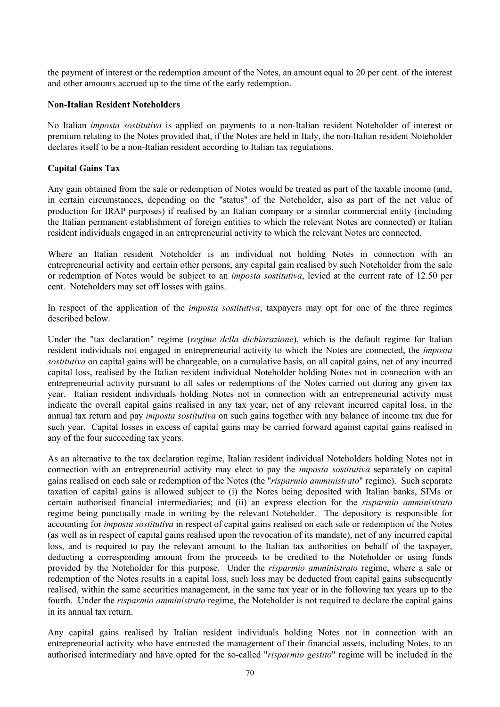the payment of interest or the redemption amount of the Notes, an amount equal to 20 per cent. of the interest and other amounts accrued up to the time of the early redemption.

#### **Non-Italian Resident Noteholders**

No Italian *imposta sostitutiva* is applied on payments to a non-Italian resident Noteholder of interest or premium relating to the Notes provided that, if the Notes are held in Italy, the non-Italian resident Noteholder declares itself to be a non-Italian resident according to Italian tax regulations.

### **Capital Gains Tax**

Any gain obtained from the sale or redemption of Notes would be treated as part of the taxable income (and, in certain circumstances, depending on the "status" of the Noteholder, also as part of the net value of production for IRAP purposes) if realised by an Italian company or a similar commercial entity (including the Italian permanent establishment of foreign entities to which the relevant Notes are connected) or Italian resident individuals engaged in an entrepreneurial activity to which the relevant Notes are connected.

Where an Italian resident Noteholder is an individual not holding Notes in connection with an entrepreneurial activity and certain other persons, any capital gain realised by such Noteholder from the sale or redemption of Notes would be subject to an *imposta sostitutiva*, levied at the current rate of 12.50 per cent. Noteholders may set off losses with gains.

In respect of the application of the *imposta sostitutiva*, taxpayers may opt for one of the three regimes described below.

Under the "tax declaration" regime (*regime della dichiarazione*), which is the default regime for Italian resident individuals not engaged in entrepreneurial activity to which the Notes are connected, the *imposta sostitutiva* on capital gains will be chargeable, on a cumulative basis, on all capital gains, net of any incurred capital loss, realised by the Italian resident individual Noteholder holding Notes not in connection with an entrepreneurial activity pursuant to all sales or redemptions of the Notes carried out during any given tax year. Italian resident individuals holding Notes not in connection with an entrepreneurial activity must indicate the overall capital gains realised in any tax year, net of any relevant incurred capital loss, in the annual tax return and pay *imposta sostitutiva* on such gains together with any balance of income tax due for such year. Capital losses in excess of capital gains may be carried forward against capital gains realised in any of the four succeeding tax years.

As an alternative to the tax declaration regime, Italian resident individual Noteholders holding Notes not in connection with an entrepreneurial activity may elect to pay the *imposta sostitutiva* separately on capital gains realised on each sale or redemption of the Notes (the "*risparmio amministrato*" regime). Such separate taxation of capital gains is allowed subject to (i) the Notes being deposited with Italian banks, SIMs or certain authorised financial intermediaries; and (ii) an express election for the *risparmio amministrato* regime being punctually made in writing by the relevant Noteholder. The depository is responsible for accounting for *imposta sostitutiva* in respect of capital gains realised on each sale or redemption of the Notes (as well as in respect of capital gains realised upon the revocation of its mandate), net of any incurred capital loss, and is required to pay the relevant amount to the Italian tax authorities on behalf of the taxpayer, deducting a corresponding amount from the proceeds to be credited to the Noteholder or using funds provided by the Noteholder for this purpose. Under the *risparmio amministrato* regime, where a sale or redemption of the Notes results in a capital loss, such loss may be deducted from capital gains subsequently realised, within the same securities management, in the same tax year or in the following tax years up to the fourth. Under the *risparmio amministrato* regime, the Noteholder is not required to declare the capital gains in its annual tax return.

Any capital gains realised by Italian resident individuals holding Notes not in connection with an entrepreneurial activity who have entrusted the management of their financial assets, including Notes, to an authorised intermediary and have opted for the so-called "*risparmio gestito*" regime will be included in the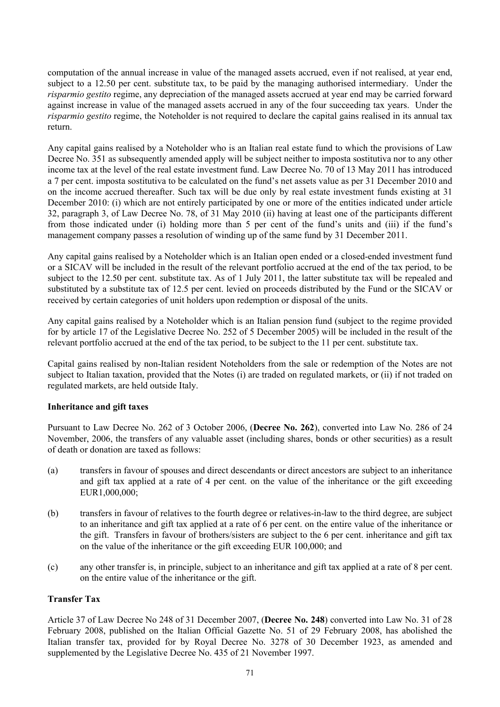computation of the annual increase in value of the managed assets accrued, even if not realised, at year end, subject to a 12.50 per cent. substitute tax, to be paid by the managing authorised intermediary. Under the *risparmio gestito* regime, any depreciation of the managed assets accrued at year end may be carried forward against increase in value of the managed assets accrued in any of the four succeeding tax years. Under the *risparmio gestito* regime, the Noteholder is not required to declare the capital gains realised in its annual tax return.

Any capital gains realised by a Noteholder who is an Italian real estate fund to which the provisions of Law Decree No. 351 as subsequently amended apply will be subject neither to imposta sostitutiva nor to any other income tax at the level of the real estate investment fund. Law Decree No. 70 of 13 May 2011 has introduced a 7 per cent. imposta sostitutiva to be calculated on the fund's net assets value as per 31 December 2010 and on the income accrued thereafter. Such tax will be due only by real estate investment funds existing at 31 December 2010: (i) which are not entirely participated by one or more of the entities indicated under article 32, paragraph 3, of Law Decree No. 78, of 31 May 2010 (ii) having at least one of the participants different from those indicated under (i) holding more than 5 per cent of the fund's units and (iii) if the fund's management company passes a resolution of winding up of the same fund by 31 December 2011.

Any capital gains realised by a Noteholder which is an Italian open ended or a closed-ended investment fund or a SICAV will be included in the result of the relevant portfolio accrued at the end of the tax period, to be subject to the 12.50 per cent. substitute tax. As of 1 July 2011, the latter substitute tax will be repealed and substituted by a substitute tax of 12.5 per cent. levied on proceeds distributed by the Fund or the SICAV or received by certain categories of unit holders upon redemption or disposal of the units.

Any capital gains realised by a Noteholder which is an Italian pension fund (subject to the regime provided for by article 17 of the Legislative Decree No. 252 of 5 December 2005) will be included in the result of the relevant portfolio accrued at the end of the tax period, to be subject to the 11 per cent. substitute tax.

Capital gains realised by non-Italian resident Noteholders from the sale or redemption of the Notes are not subject to Italian taxation, provided that the Notes (i) are traded on regulated markets, or (ii) if not traded on regulated markets, are held outside Italy.

### **Inheritance and gift taxes**

Pursuant to Law Decree No. 262 of 3 October 2006, (**Decree No. 262**), converted into Law No. 286 of 24 November, 2006, the transfers of any valuable asset (including shares, bonds or other securities) as a result of death or donation are taxed as follows:

- (a) transfers in favour of spouses and direct descendants or direct ancestors are subject to an inheritance and gift tax applied at a rate of 4 per cent. on the value of the inheritance or the gift exceeding EUR1,000,000;
- (b) transfers in favour of relatives to the fourth degree or relatives-in-law to the third degree, are subject to an inheritance and gift tax applied at a rate of 6 per cent. on the entire value of the inheritance or the gift. Transfers in favour of brothers/sisters are subject to the 6 per cent. inheritance and gift tax on the value of the inheritance or the gift exceeding EUR 100,000; and
- (c) any other transfer is, in principle, subject to an inheritance and gift tax applied at a rate of 8 per cent. on the entire value of the inheritance or the gift.

### **Transfer Tax**

Article 37 of Law Decree No 248 of 31 December 2007, (**Decree No. 248**) converted into Law No. 31 of 28 February 2008, published on the Italian Official Gazette No. 51 of 29 February 2008, has abolished the Italian transfer tax, provided for by Royal Decree No. 3278 of 30 December 1923, as amended and supplemented by the Legislative Decree No. 435 of 21 November 1997.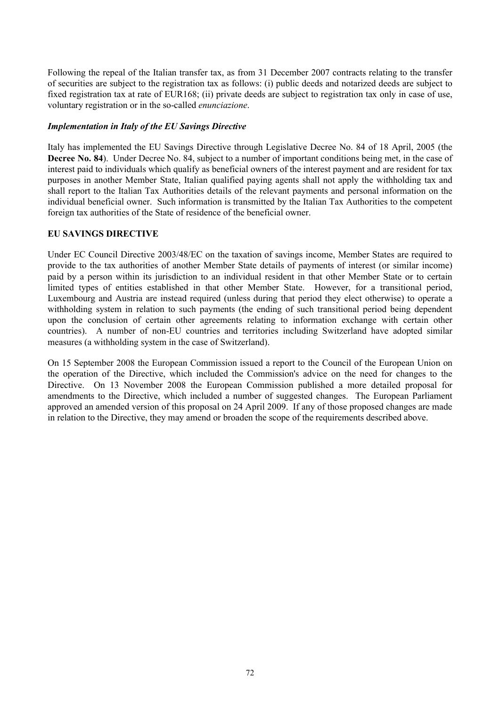Following the repeal of the Italian transfer tax, as from 31 December 2007 contracts relating to the transfer of securities are subject to the registration tax as follows: (i) public deeds and notarized deeds are subject to fixed registration tax at rate of EUR168; (ii) private deeds are subject to registration tax only in case of use, voluntary registration or in the so-called *enunciazione*.

# *Implementation in Italy of the EU Savings Directive*

Italy has implemented the EU Savings Directive through Legislative Decree No. 84 of 18 April, 2005 (the **Decree No. 84**). Under Decree No. 84, subject to a number of important conditions being met, in the case of interest paid to individuals which qualify as beneficial owners of the interest payment and are resident for tax purposes in another Member State, Italian qualified paying agents shall not apply the withholding tax and shall report to the Italian Tax Authorities details of the relevant payments and personal information on the individual beneficial owner. Such information is transmitted by the Italian Tax Authorities to the competent foreign tax authorities of the State of residence of the beneficial owner.

# **EU SAVINGS DIRECTIVE**

Under EC Council Directive 2003/48/EC on the taxation of savings income, Member States are required to provide to the tax authorities of another Member State details of payments of interest (or similar income) paid by a person within its jurisdiction to an individual resident in that other Member State or to certain limited types of entities established in that other Member State. However, for a transitional period, Luxembourg and Austria are instead required (unless during that period they elect otherwise) to operate a withholding system in relation to such payments (the ending of such transitional period being dependent upon the conclusion of certain other agreements relating to information exchange with certain other countries). A number of non-EU countries and territories including Switzerland have adopted similar measures (a withholding system in the case of Switzerland).

On 15 September 2008 the European Commission issued a report to the Council of the European Union on the operation of the Directive, which included the Commission's advice on the need for changes to the Directive. On 13 November 2008 the European Commission published a more detailed proposal for amendments to the Directive, which included a number of suggested changes. The European Parliament approved an amended version of this proposal on 24 April 2009. If any of those proposed changes are made in relation to the Directive, they may amend or broaden the scope of the requirements described above.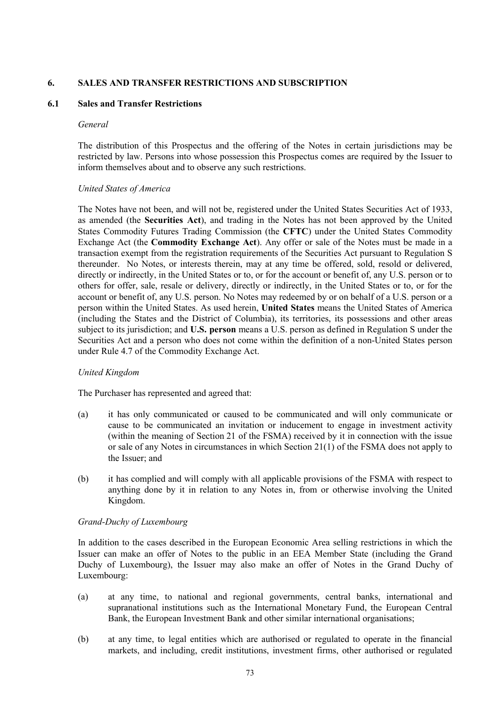## **6. SALES AND TRANSFER RESTRICTIONS AND SUBSCRIPTION**

### **6.1 Sales and Transfer Restrictions**

#### *General*

The distribution of this Prospectus and the offering of the Notes in certain jurisdictions may be restricted by law. Persons into whose possession this Prospectus comes are required by the Issuer to inform themselves about and to observe any such restrictions.

### *United States of America*

The Notes have not been, and will not be, registered under the United States Securities Act of 1933, as amended (the **Securities Act**), and trading in the Notes has not been approved by the United States Commodity Futures Trading Commission (the **CFTC**) under the United States Commodity Exchange Act (the **Commodity Exchange Act**). Any offer or sale of the Notes must be made in a transaction exempt from the registration requirements of the Securities Act pursuant to Regulation S thereunder. No Notes, or interests therein, may at any time be offered, sold, resold or delivered, directly or indirectly, in the United States or to, or for the account or benefit of, any U.S. person or to others for offer, sale, resale or delivery, directly or indirectly, in the United States or to, or for the account or benefit of, any U.S. person. No Notes may redeemed by or on behalf of a U.S. person or a person within the United States. As used herein, **United States** means the United States of America (including the States and the District of Columbia), its territories, its possessions and other areas subject to its jurisdiction; and **U.S. person** means a U.S. person as defined in Regulation S under the Securities Act and a person who does not come within the definition of a non-United States person under Rule 4.7 of the Commodity Exchange Act.

### *United Kingdom*

The Purchaser has represented and agreed that:

- (a) it has only communicated or caused to be communicated and will only communicate or cause to be communicated an invitation or inducement to engage in investment activity (within the meaning of Section 21 of the FSMA) received by it in connection with the issue or sale of any Notes in circumstances in which Section 21(1) of the FSMA does not apply to the Issuer<sup>,</sup> and
- (b) it has complied and will comply with all applicable provisions of the FSMA with respect to anything done by it in relation to any Notes in, from or otherwise involving the United Kingdom.

### *Grand-Duchy of Luxembourg*

In addition to the cases described in the European Economic Area selling restrictions in which the Issuer can make an offer of Notes to the public in an EEA Member State (including the Grand Duchy of Luxembourg), the Issuer may also make an offer of Notes in the Grand Duchy of Luxembourg:

- (a) at any time, to national and regional governments, central banks, international and supranational institutions such as the International Monetary Fund, the European Central Bank, the European Investment Bank and other similar international organisations;
- (b) at any time, to legal entities which are authorised or regulated to operate in the financial markets, and including, credit institutions, investment firms, other authorised or regulated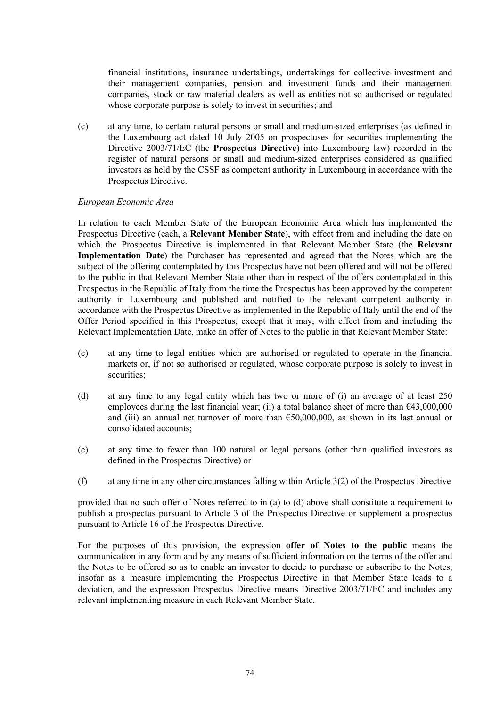financial institutions, insurance undertakings, undertakings for collective investment and their management companies, pension and investment funds and their management companies, stock or raw material dealers as well as entities not so authorised or regulated whose corporate purpose is solely to invest in securities; and

(c) at any time, to certain natural persons or small and medium-sized enterprises (as defined in the Luxembourg act dated 10 July 2005 on prospectuses for securities implementing the Directive 2003/71/EC (the **Prospectus Directive**) into Luxembourg law) recorded in the register of natural persons or small and medium-sized enterprises considered as qualified investors as held by the CSSF as competent authority in Luxembourg in accordance with the Prospectus Directive.

#### *European Economic Area*

In relation to each Member State of the European Economic Area which has implemented the Prospectus Directive (each, a **Relevant Member State**), with effect from and including the date on which the Prospectus Directive is implemented in that Relevant Member State (the **Relevant Implementation Date**) the Purchaser has represented and agreed that the Notes which are the subject of the offering contemplated by this Prospectus have not been offered and will not be offered to the public in that Relevant Member State other than in respect of the offers contemplated in this Prospectus in the Republic of Italy from the time the Prospectus has been approved by the competent authority in Luxembourg and published and notified to the relevant competent authority in accordance with the Prospectus Directive as implemented in the Republic of Italy until the end of the Offer Period specified in this Prospectus, except that it may, with effect from and including the Relevant Implementation Date, make an offer of Notes to the public in that Relevant Member State:

- (c) at any time to legal entities which are authorised or regulated to operate in the financial markets or, if not so authorised or regulated, whose corporate purpose is solely to invest in securities;
- (d) at any time to any legal entity which has two or more of (i) an average of at least 250 employees during the last financial year; (ii) a total balance sheet of more than  $643,000,000$ and (iii) an annual net turnover of more than  $650,000,000$ , as shown in its last annual or consolidated accounts;
- (e) at any time to fewer than 100 natural or legal persons (other than qualified investors as defined in the Prospectus Directive) or
- (f) at any time in any other circumstances falling within Article 3(2) of the Prospectus Directive

provided that no such offer of Notes referred to in (a) to (d) above shall constitute a requirement to publish a prospectus pursuant to Article 3 of the Prospectus Directive or supplement a prospectus pursuant to Article 16 of the Prospectus Directive.

For the purposes of this provision, the expression **offer of Notes to the public** means the communication in any form and by any means of sufficient information on the terms of the offer and the Notes to be offered so as to enable an investor to decide to purchase or subscribe to the Notes, insofar as a measure implementing the Prospectus Directive in that Member State leads to a deviation, and the expression Prospectus Directive means Directive 2003/71/EC and includes any relevant implementing measure in each Relevant Member State.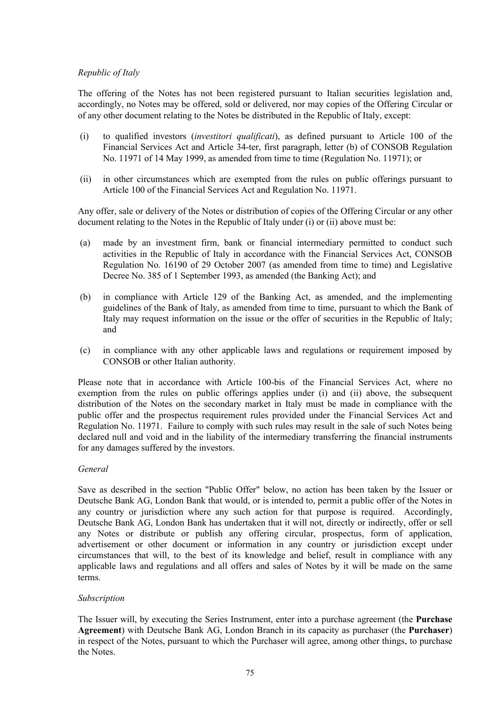# *Republic of Italy*

The offering of the Notes has not been registered pursuant to Italian securities legislation and, accordingly, no Notes may be offered, sold or delivered, nor may copies of the Offering Circular or of any other document relating to the Notes be distributed in the Republic of Italy, except:

- (i) to qualified investors (*investitori qualificati*), as defined pursuant to Article 100 of the Financial Services Act and Article 34-ter, first paragraph, letter (b) of CONSOB Regulation No. 11971 of 14 May 1999, as amended from time to time (Regulation No. 11971); or
- (ii) in other circumstances which are exempted from the rules on public offerings pursuant to Article 100 of the Financial Services Act and Regulation No. 11971.

Any offer, sale or delivery of the Notes or distribution of copies of the Offering Circular or any other document relating to the Notes in the Republic of Italy under (i) or (ii) above must be:

- (a) made by an investment firm, bank or financial intermediary permitted to conduct such activities in the Republic of Italy in accordance with the Financial Services Act, CONSOB Regulation No. 16190 of 29 October 2007 (as amended from time to time) and Legislative Decree No. 385 of 1 September 1993, as amended (the Banking Act); and
- (b) in compliance with Article 129 of the Banking Act, as amended, and the implementing guidelines of the Bank of Italy, as amended from time to time, pursuant to which the Bank of Italy may request information on the issue or the offer of securities in the Republic of Italy; and
- (c) in compliance with any other applicable laws and regulations or requirement imposed by CONSOB or other Italian authority.

Please note that in accordance with Article 100-bis of the Financial Services Act, where no exemption from the rules on public offerings applies under (i) and (ii) above, the subsequent distribution of the Notes on the secondary market in Italy must be made in compliance with the public offer and the prospectus requirement rules provided under the Financial Services Act and Regulation No. 11971. Failure to comply with such rules may result in the sale of such Notes being declared null and void and in the liability of the intermediary transferring the financial instruments for any damages suffered by the investors.

### *General*

Save as described in the section "Public Offer" below, no action has been taken by the Issuer or Deutsche Bank AG, London Bank that would, or is intended to, permit a public offer of the Notes in any country or jurisdiction where any such action for that purpose is required. Accordingly, Deutsche Bank AG, London Bank has undertaken that it will not, directly or indirectly, offer or sell any Notes or distribute or publish any offering circular, prospectus, form of application, advertisement or other document or information in any country or jurisdiction except under circumstances that will, to the best of its knowledge and belief, result in compliance with any applicable laws and regulations and all offers and sales of Notes by it will be made on the same terms.

# *Subscription*

The Issuer will, by executing the Series Instrument, enter into a purchase agreement (the **Purchase Agreement**) with Deutsche Bank AG, London Branch in its capacity as purchaser (the **Purchaser**) in respect of the Notes, pursuant to which the Purchaser will agree, among other things, to purchase the Notes.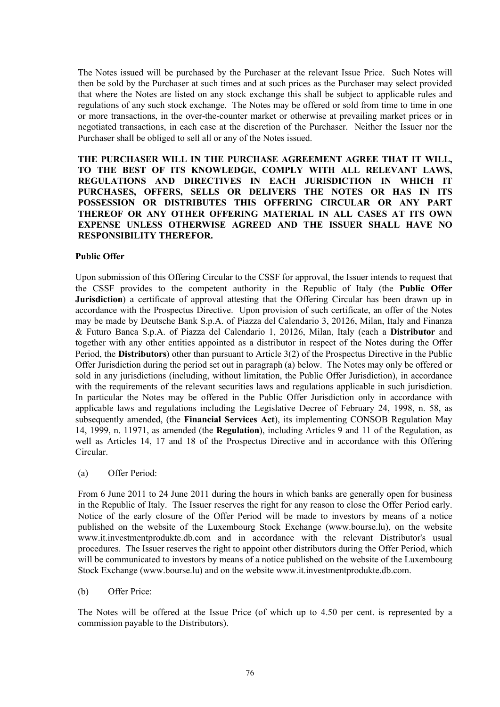The Notes issued will be purchased by the Purchaser at the relevant Issue Price. Such Notes will then be sold by the Purchaser at such times and at such prices as the Purchaser may select provided that where the Notes are listed on any stock exchange this shall be subject to applicable rules and regulations of any such stock exchange. The Notes may be offered or sold from time to time in one or more transactions, in the over-the-counter market or otherwise at prevailing market prices or in negotiated transactions, in each case at the discretion of the Purchaser. Neither the Issuer nor the Purchaser shall be obliged to sell all or any of the Notes issued.

**THE PURCHASER WILL IN THE PURCHASE AGREEMENT AGREE THAT IT WILL, TO THE BEST OF ITS KNOWLEDGE, COMPLY WITH ALL RELEVANT LAWS, REGULATIONS AND DIRECTIVES IN EACH JURISDICTION IN WHICH IT PURCHASES, OFFERS, SELLS OR DELIVERS THE NOTES OR HAS IN ITS POSSESSION OR DISTRIBUTES THIS OFFERING CIRCULAR OR ANY PART THEREOF OR ANY OTHER OFFERING MATERIAL IN ALL CASES AT ITS OWN EXPENSE UNLESS OTHERWISE AGREED AND THE ISSUER SHALL HAVE NO RESPONSIBILITY THEREFOR.**

#### **Public Offer**

Upon submission of this Offering Circular to the CSSF for approval, the Issuer intends to request that the CSSF provides to the competent authority in the Republic of Italy (the **Public Offer Jurisdiction**) a certificate of approval attesting that the Offering Circular has been drawn up in accordance with the Prospectus Directive. Upon provision of such certificate, an offer of the Notes may be made by Deutsche Bank S.p.A. of Piazza del Calendario 3, 20126, Milan, Italy and Finanza & Futuro Banca S.p.A. of Piazza del Calendario 1, 20126, Milan, Italy (each a **Distributor** and together with any other entities appointed as a distributor in respect of the Notes during the Offer Period, the **Distributors**) other than pursuant to Article 3(2) of the Prospectus Directive in the Public Offer Jurisdiction during the period set out in paragraph (a) below. The Notes may only be offered or sold in any jurisdictions (including, without limitation, the Public Offer Jurisdiction), in accordance with the requirements of the relevant securities laws and regulations applicable in such jurisdiction. In particular the Notes may be offered in the Public Offer Jurisdiction only in accordance with applicable laws and regulations including the Legislative Decree of February 24, 1998, n. 58, as subsequently amended, (the **Financial Services Act**), its implementing CONSOB Regulation May 14, 1999, n. 11971, as amended (the **Regulation**), including Articles 9 and 11 of the Regulation, as well as Articles 14, 17 and 18 of the Prospectus Directive and in accordance with this Offering Circular.

(a) Offer Period:

From 6 June 2011 to 24 June 2011 during the hours in which banks are generally open for business in the Republic of Italy. The Issuer reserves the right for any reason to close the Offer Period early. Notice of the early closure of the Offer Period will be made to investors by means of a notice published on the website of the Luxembourg Stock Exchange (w[ww.bourse.lu\), on](www.bourse.lu), on ) the website w[ww.it.investmentprodukte.db.com and](www.it.investmentprodukte.db.com and ) in accordance with the relevant Distributor's usual procedures. The Issuer reserves the right to appoint other distributors during the Offer Period, which will be communicated to investors by means of a notice published on the website of the Luxembourg Stock Exchange ([www.bourse.lu\) and on the website www.it.investmentprodukte.db.com.](www.bourse.lu) and on the website www.it.investmentprodukte.db.com.)

(b) Offer Price:

The Notes will be offered at the Issue Price (of which up to 4.50 per cent. is represented by a commission payable to the Distributors).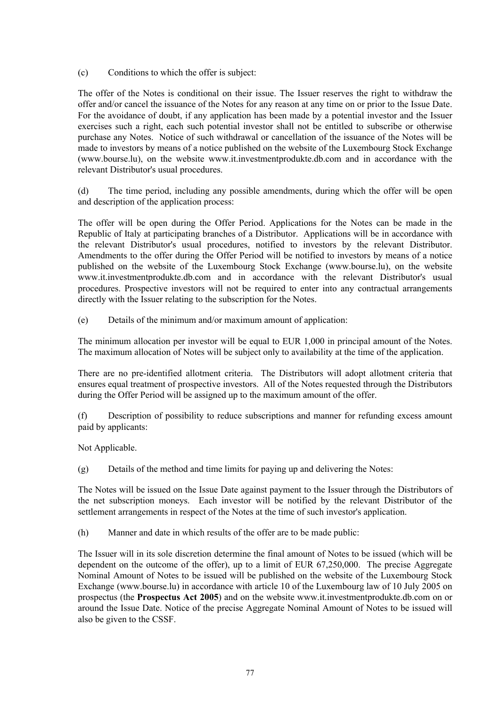(c) Conditions to which the offer is subject:

The offer of the Notes is conditional on their issue. The Issuer reserves the right to withdraw the offer and/or cancel the issuance of the Notes for any reason at any time on or prior to the Issue Date. For the avoidance of doubt, if any application has been made by a potential investor and the Issuer exercises such a right, each such potential investor shall not be entitled to subscribe or otherwise purchase any Notes. Notice of such withdrawal or cancellation of the issuance of the Notes will be made to investors by means of a notice published on the website of the Luxembourg Stock Exchange ([www.bourse.lu\), on](www.bourse.lu), on ) the website [www.it.investmentprodukte.db.com and](www.it.investmentprodukte.db.com and ) in accordance with the relevant Distributor's usual procedures.

(d) The time period, including any possible amendments, during which the offer will be open and description of the application process:

The offer will be open during the Offer Period. Applications for the Notes can be made in the Republic of Italy at participating branches of a Distributor. Applications will be in accordance with the relevant Distributor's usual procedures, notified to investors by the relevant Distributor. Amendments to the offer during the Offer Period will be notified to investors by means of a notice published on the website of the Luxembourg Stock Exchange (w[ww.bourse.lu\), on](www.bourse.lu), on ) the website w[ww.it.investmentprodukte.db.com and](www.it.investmentprodukte.db.com and ) in accordance with the relevant Distributor's usual procedures. Prospective investors will not be required to enter into any contractual arrangements directly with the Issuer relating to the subscription for the Notes.

(e) Details of the minimum and/or maximum amount of application:

The minimum allocation per investor will be equal to EUR 1,000 in principal amount of the Notes. The maximum allocation of Notes will be subject only to availability at the time of the application.

There are no pre-identified allotment criteria. The Distributors will adopt allotment criteria that ensures equal treatment of prospective investors. All of the Notes requested through the Distributors during the Offer Period will be assigned up to the maximum amount of the offer.

(f) Description of possibility to reduce subscriptions and manner for refunding excess amount paid by applicants:

Not Applicable.

(g) Details of the method and time limits for paying up and delivering the Notes:

The Notes will be issued on the Issue Date against payment to the Issuer through the Distributors of the net subscription moneys. Each investor will be notified by the relevant Distributor of the settlement arrangements in respect of the Notes at the time of such investor's application.

(h) Manner and date in which results of the offer are to be made public:

The Issuer will in its sole discretion determine the final amount of Notes to be issued (which will be dependent on the outcome of the offer), up to a limit of EUR 67,250,000. The precise Aggregate Nominal Amount of Notes to be issued will be published on the website of the Luxembourg Stock Exchange (w[ww.bourse.lu\) in accordance w](www.bourse.lu) in accordance )ith article 10 of the Luxembourg law of 10 July 2005 on prospectus (the **Prospectus Act 2005**) and on the website w[ww.it.investmentprodukte.db.com on](www.it.investmentprodukte.db.com on ) or around the Issue Date. Notice of the precise Aggregate Nominal Amount of Notes to be issued will also be given to the CSSF.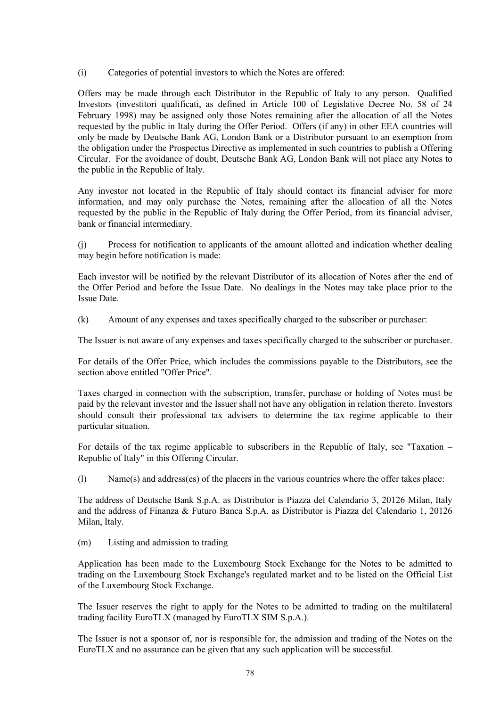(i) Categories of potential investors to which the Notes are offered:

Offers may be made through each Distributor in the Republic of Italy to any person. Qualified Investors (investitori qualificati, as defined in Article 100 of Legislative Decree No. 58 of 24 February 1998) may be assigned only those Notes remaining after the allocation of all the Notes requested by the public in Italy during the Offer Period. Offers (if any) in other EEA countries will only be made by Deutsche Bank AG, London Bank or a Distributor pursuant to an exemption from the obligation under the Prospectus Directive as implemented in such countries to publish a Offering Circular. For the avoidance of doubt, Deutsche Bank AG, London Bank will not place any Notes to the public in the Republic of Italy.

Any investor not located in the Republic of Italy should contact its financial adviser for more information, and may only purchase the Notes, remaining after the allocation of all the Notes requested by the public in the Republic of Italy during the Offer Period, from its financial adviser, bank or financial intermediary.

(j) Process for notification to applicants of the amount allotted and indication whether dealing may begin before notification is made:

Each investor will be notified by the relevant Distributor of its allocation of Notes after the end of the Offer Period and before the Issue Date. No dealings in the Notes may take place prior to the Issue Date.

(k) Amount of any expenses and taxes specifically charged to the subscriber or purchaser:

The Issuer is not aware of any expenses and taxes specifically charged to the subscriber or purchaser.

For details of the Offer Price, which includes the commissions payable to the Distributors, see the section above entitled "Offer Price".

Taxes charged in connection with the subscription, transfer, purchase or holding of Notes must be paid by the relevant investor and the Issuer shall not have any obligation in relation thereto. Investors should consult their professional tax advisers to determine the tax regime applicable to their particular situation.

For details of the tax regime applicable to subscribers in the Republic of Italy, see "Taxation – Republic of Italy" in this Offering Circular.

(l) Name(s) and address(es) of the placers in the various countries where the offer takes place:

The address of Deutsche Bank S.p.A. as Distributor is Piazza del Calendario 3, 20126 Milan, Italy and the address of Finanza & Futuro Banca S.p.A. as Distributor is Piazza del Calendario 1, 20126 Milan, Italy.

(m) Listing and admission to trading

Application has been made to the Luxembourg Stock Exchange for the Notes to be admitted to trading on the Luxembourg Stock Exchange's regulated market and to be listed on the Official List of the Luxembourg Stock Exchange.

The Issuer reserves the right to apply for the Notes to be admitted to trading on the multilateral trading facility EuroTLX (managed by EuroTLX SIM S.p.A.).

The Issuer is not a sponsor of, nor is responsible for, the admission and trading of the Notes on the EuroTLX and no assurance can be given that any such application will be successful.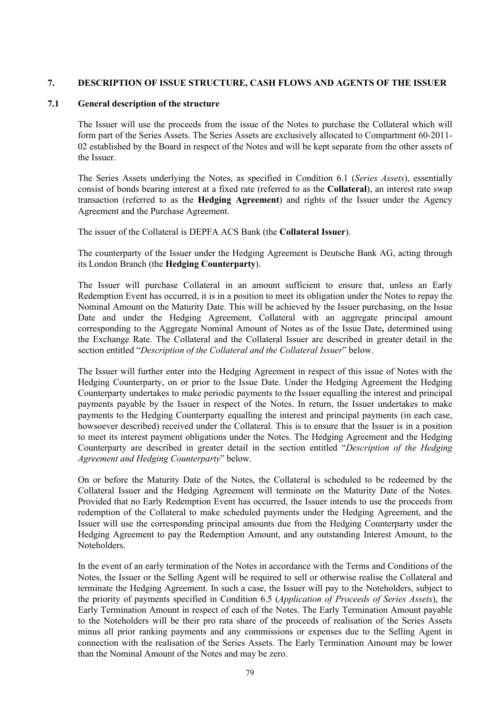## **7. DESCRIPTION OF ISSUE STRUCTURE, CASH FLOWS AND AGENTS OF THE ISSUER**

#### **7.1 General description of the structure**

The Issuer will use the proceeds from the issue of the Notes to purchase the Collateral which will form part of the Series Assets. The Series Assets are exclusively allocated to Compartment 60-2011- 02 established by the Board in respect of the Notes and will be kept separate from the other assets of the Issuer.

The Series Assets underlying the Notes, as specified in Condition 6.1 (*Series Assets*), essentially consist of bonds bearing interest at a fixed rate (referred to as the **Collateral**), an interest rate swap transaction (referred to as the **Hedging Agreement**) and rights of the Issuer under the Agency Agreement and the Purchase Agreement.

The issuer of the Collateral is DEPFA ACS Bank (the **Collateral Issuer**).

The counterparty of the Issuer under the Hedging Agreement is Deutsche Bank AG, acting through its London Branch (the **Hedging Counterparty**).

The Issuer will purchase Collateral in an amount sufficient to ensure that, unless an Early Redemption Event has occurred, it is in a position to meet its obligation under the Notes to repay the Nominal Amount on the Maturity Date. This will be achieved by the Issuer purchasing, on the Issue Date and under the Hedging Agreement, Collateral with an aggregate principal amount corresponding to the Aggregate Nominal Amount of Notes as of the Issue Date**,** determined using the Exchange Rate. The Collateral and the Collateral Issuer are described in greater detail in the section entitled "*Description of the Collateral and the Collateral Issuer*" below.

The Issuer will further enter into the Hedging Agreement in respect of this issue of Notes with the Hedging Counterparty, on or prior to the Issue Date. Under the Hedging Agreement the Hedging Counterparty undertakes to make periodic payments to the Issuer equalling the interest and principal payments payable by the Issuer in respect of the Notes. In return, the Issuer undertakes to make payments to the Hedging Counterparty equalling the interest and principal payments (in each case, howsoever described) received under the Collateral. This is to ensure that the Issuer is in a position to meet its interest payment obligations under the Notes. The Hedging Agreement and the Hedging Counterparty are described in greater detail in the section entitled "*Description of the Hedging Agreement and Hedging Counterparty*" below.

On or before the Maturity Date of the Notes, the Collateral is scheduled to be redeemed by the Collateral Issuer and the Hedging Agreement will terminate on the Maturity Date of the Notes. Provided that no Early Redemption Event has occurred, the Issuer intends to use the proceeds from redemption of the Collateral to make scheduled payments under the Hedging Agreement, and the Issuer will use the corresponding principal amounts due from the Hedging Counterparty under the Hedging Agreement to pay the Redemption Amount, and any outstanding Interest Amount, to the Noteholders.

In the event of an early termination of the Notes in accordance with the Terms and Conditions of the Notes, the Issuer or the Selling Agent will be required to sell or otherwise realise the Collateral and terminate the Hedging Agreement. In such a case, the Issuer will pay to the Noteholders, subject to the priority of payments specified in Condition 6.5 (*Application of Proceeds of Series Assets*), the Early Termination Amount in respect of each of the Notes. The Early Termination Amount payable to the Noteholders will be their pro rata share of the proceeds of realisation of the Series Assets minus all prior ranking payments and any commissions or expenses due to the Selling Agent in connection with the realisation of the Series Assets. The Early Termination Amount may be lower than the Nominal Amount of the Notes and may be zero.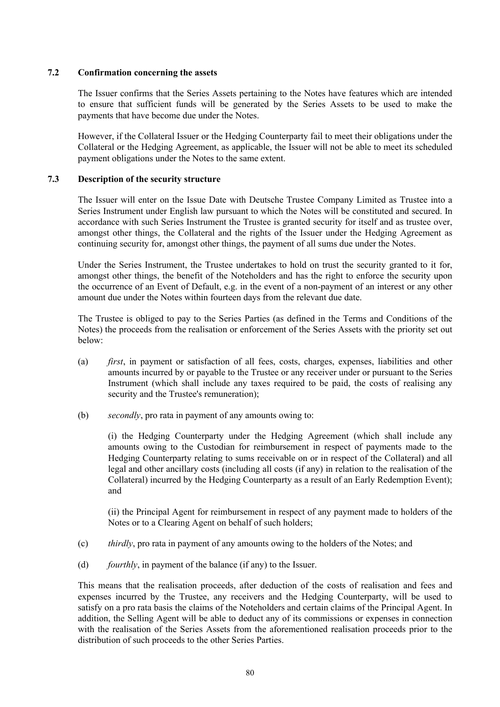## **7.2 Confirmation concerning the assets**

The Issuer confirms that the Series Assets pertaining to the Notes have features which are intended to ensure that sufficient funds will be generated by the Series Assets to be used to make the payments that have become due under the Notes.

However, if the Collateral Issuer or the Hedging Counterparty fail to meet their obligations under the Collateral or the Hedging Agreement, as applicable, the Issuer will not be able to meet its scheduled payment obligations under the Notes to the same extent.

## **7.3 Description of the security structure**

The Issuer will enter on the Issue Date with Deutsche Trustee Company Limited as Trustee into a Series Instrument under English law pursuant to which the Notes will be constituted and secured. In accordance with such Series Instrument the Trustee is granted security for itself and as trustee over, amongst other things, the Collateral and the rights of the Issuer under the Hedging Agreement as continuing security for, amongst other things, the payment of all sums due under the Notes.

Under the Series Instrument, the Trustee undertakes to hold on trust the security granted to it for, amongst other things, the benefit of the Noteholders and has the right to enforce the security upon the occurrence of an Event of Default, e.g. in the event of a non-payment of an interest or any other amount due under the Notes within fourteen days from the relevant due date.

The Trustee is obliged to pay to the Series Parties (as defined in the Terms and Conditions of the Notes) the proceeds from the realisation or enforcement of the Series Assets with the priority set out below:

- (a) *first*, in payment or satisfaction of all fees, costs, charges, expenses, liabilities and other amounts incurred by or payable to the Trustee or any receiver under or pursuant to the Series Instrument (which shall include any taxes required to be paid, the costs of realising any security and the Trustee's remuneration);
- (b) *secondly*, pro rata in payment of any amounts owing to:

(i) the Hedging Counterparty under the Hedging Agreement (which shall include any amounts owing to the Custodian for reimbursement in respect of payments made to the Hedging Counterparty relating to sums receivable on or in respect of the Collateral) and all legal and other ancillary costs (including all costs (if any) in relation to the realisation of the Collateral) incurred by the Hedging Counterparty as a result of an Early Redemption Event); and

(ii) the Principal Agent for reimbursement in respect of any payment made to holders of the Notes or to a Clearing Agent on behalf of such holders;

- (c) *thirdly*, pro rata in payment of any amounts owing to the holders of the Notes; and
- (d) *fourthly*, in payment of the balance (if any) to the Issuer.

This means that the realisation proceeds, after deduction of the costs of realisation and fees and expenses incurred by the Trustee, any receivers and the Hedging Counterparty, will be used to satisfy on a pro rata basis the claims of the Noteholders and certain claims of the Principal Agent. In addition, the Selling Agent will be able to deduct any of its commissions or expenses in connection with the realisation of the Series Assets from the aforementioned realisation proceeds prior to the distribution of such proceeds to the other Series Parties.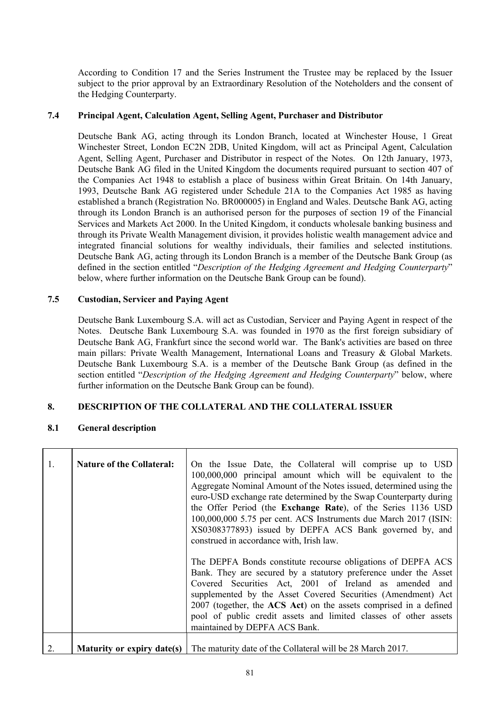According to Condition 17 and the Series Instrument the Trustee may be replaced by the Issuer subject to the prior approval by an Extraordinary Resolution of the Noteholders and the consent of the Hedging Counterparty.

### **7.4 Principal Agent, Calculation Agent, Selling Agent, Purchaser and Distributor**

Deutsche Bank AG, acting through its London Branch, located at Winchester House, 1 Great Winchester Street, London EC2N 2DB, United Kingdom, will act as Principal Agent, Calculation Agent, Selling Agent, Purchaser and Distributor in respect of the Notes. On 12th January, 1973, Deutsche Bank AG filed in the United Kingdom the documents required pursuant to section 407 of the Companies Act 1948 to establish a place of business within Great Britain. On 14th January, 1993, Deutsche Bank AG registered under Schedule 21A to the Companies Act 1985 as having established a branch (Registration No. BR000005) in England and Wales. Deutsche Bank AG, acting through its London Branch is an authorised person for the purposes of section 19 of the Financial Services and Markets Act 2000. In the United Kingdom, it conducts wholesale banking business and through its Private Wealth Management division, it provides holistic wealth management advice and integrated financial solutions for wealthy individuals, their families and selected institutions. Deutsche Bank AG, acting through its London Branch is a member of the Deutsche Bank Group (as defined in the section entitled "*Description of the Hedging Agreement and Hedging Counterparty*" below, where further information on the Deutsche Bank Group can be found).

### **7.5 Custodian, Servicer and Paying Agent**

Deutsche Bank Luxembourg S.A. will act as Custodian, Servicer and Paying Agent in respect of the Notes. Deutsche Bank Luxembourg S.A. was founded in 1970 as the first foreign subsidiary of Deutsche Bank AG, Frankfurt since the second world war. The Bank's activities are based on three main pillars: Private Wealth Management, International Loans and Treasury & Global Markets. Deutsche Bank Luxembourg S.A. is a member of the Deutsche Bank Group (as defined in the section entitled "*Description of the Hedging Agreement and Hedging Counterparty*" below, where further information on the Deutsche Bank Group can be found).

# **8. DESCRIPTION OF THE COLLATERAL AND THE COLLATERAL ISSUER**

## **8.1 General description**

| 1. | <b>Nature of the Collateral:</b> | On the Issue Date, the Collateral will comprise up to USD<br>100,000,000 principal amount which will be equivalent to the<br>Aggregate Nominal Amount of the Notes issued, determined using the<br>euro-USD exchange rate determined by the Swap Counterparty during<br>the Offer Period (the Exchange Rate), of the Series 1136 USD<br>100,000,000 5.75 per cent. ACS Instruments due March 2017 (ISIN:<br>XS0308377893) issued by DEPFA ACS Bank governed by, and<br>construed in accordance with, Irish law. |
|----|----------------------------------|-----------------------------------------------------------------------------------------------------------------------------------------------------------------------------------------------------------------------------------------------------------------------------------------------------------------------------------------------------------------------------------------------------------------------------------------------------------------------------------------------------------------|
|    |                                  | The DEPFA Bonds constitute recourse obligations of DEPFA ACS<br>Bank. They are secured by a statutory preference under the Asset<br>Covered Securities Act, 2001 of Ireland as amended and<br>supplemented by the Asset Covered Securities (Amendment) Act<br>2007 (together, the ACS Act) on the assets comprised in a defined<br>pool of public credit assets and limited classes of other assets<br>maintained by DEPFA ACS Bank.                                                                            |
|    | Maturity or expiry date(s)       | The maturity date of the Collateral will be 28 March 2017.                                                                                                                                                                                                                                                                                                                                                                                                                                                      |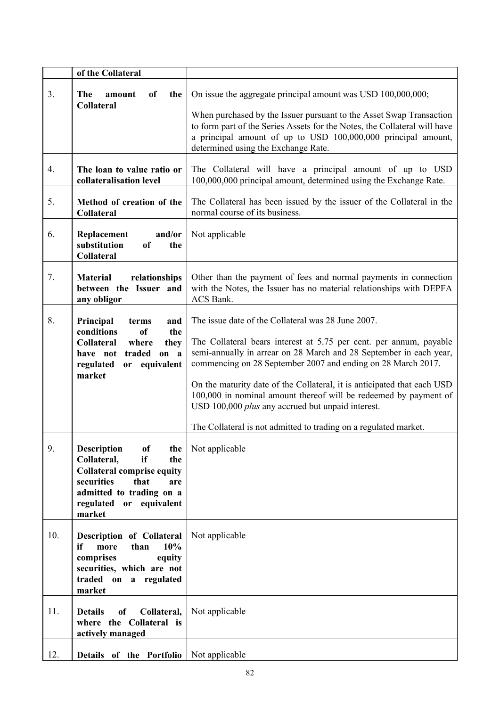|     | of the Collateral                                                                                                                                                                                         |                                                                                                                                                                                                                                                                                                                                                                                                                                                                                                                                        |
|-----|-----------------------------------------------------------------------------------------------------------------------------------------------------------------------------------------------------------|----------------------------------------------------------------------------------------------------------------------------------------------------------------------------------------------------------------------------------------------------------------------------------------------------------------------------------------------------------------------------------------------------------------------------------------------------------------------------------------------------------------------------------------|
| 3.  | The<br>amount<br>of<br>the<br><b>Collateral</b>                                                                                                                                                           | On issue the aggregate principal amount was USD 100,000,000;<br>When purchased by the Issuer pursuant to the Asset Swap Transaction<br>to form part of the Series Assets for the Notes, the Collateral will have<br>a principal amount of up to USD 100,000,000 principal amount,<br>determined using the Exchange Rate.                                                                                                                                                                                                               |
| 4.  | The loan to value ratio or<br>collateralisation level                                                                                                                                                     | The Collateral will have a principal amount of up to USD<br>100,000,000 principal amount, determined using the Exchange Rate.                                                                                                                                                                                                                                                                                                                                                                                                          |
| 5.  | Method of creation of the<br><b>Collateral</b>                                                                                                                                                            | The Collateral has been issued by the issuer of the Collateral in the<br>normal course of its business.                                                                                                                                                                                                                                                                                                                                                                                                                                |
| 6.  | and/or<br>Replacement<br>substitution<br>of<br>the<br><b>Collateral</b>                                                                                                                                   | Not applicable                                                                                                                                                                                                                                                                                                                                                                                                                                                                                                                         |
| 7.  | <b>Material</b><br>relationships<br>between the Issuer and<br>any obligor                                                                                                                                 | Other than the payment of fees and normal payments in connection<br>with the Notes, the Issuer has no material relationships with DEPFA<br>ACS Bank.                                                                                                                                                                                                                                                                                                                                                                                   |
| 8.  | Principal<br>terms<br>and<br>conditions<br>of<br>the<br><b>Collateral</b><br>where<br>they<br>traded<br>on a<br>have not<br>or equivalent<br>regulated<br>market                                          | The issue date of the Collateral was 28 June 2007.<br>The Collateral bears interest at 5.75 per cent. per annum, payable<br>semi-annually in arrear on 28 March and 28 September in each year,<br>commencing on 28 September 2007 and ending on 28 March 2017.<br>On the maturity date of the Collateral, it is anticipated that each USD<br>100,000 in nominal amount thereof will be redeemed by payment of<br>USD 100,000 plus any accrued but unpaid interest.<br>The Collateral is not admitted to trading on a regulated market. |
| 9.  | <b>Description</b><br><sub>of</sub><br>the<br>Collateral,<br>if<br>the<br><b>Collateral comprise equity</b><br>securities<br>that<br>are<br>admitted to trading on a<br>regulated or equivalent<br>market | Not applicable                                                                                                                                                                                                                                                                                                                                                                                                                                                                                                                         |
| 10. | <b>Description of Collateral</b><br>10%<br>if<br>more<br>than<br>comprises<br>equity<br>securities, which are not<br>traded on a regulated<br>market                                                      | Not applicable                                                                                                                                                                                                                                                                                                                                                                                                                                                                                                                         |
| 11. | <b>Details</b><br>Collateral,<br>of<br>where the Collateral is<br>actively managed                                                                                                                        | Not applicable                                                                                                                                                                                                                                                                                                                                                                                                                                                                                                                         |
| 12. | Details of the Portfolio                                                                                                                                                                                  | Not applicable                                                                                                                                                                                                                                                                                                                                                                                                                                                                                                                         |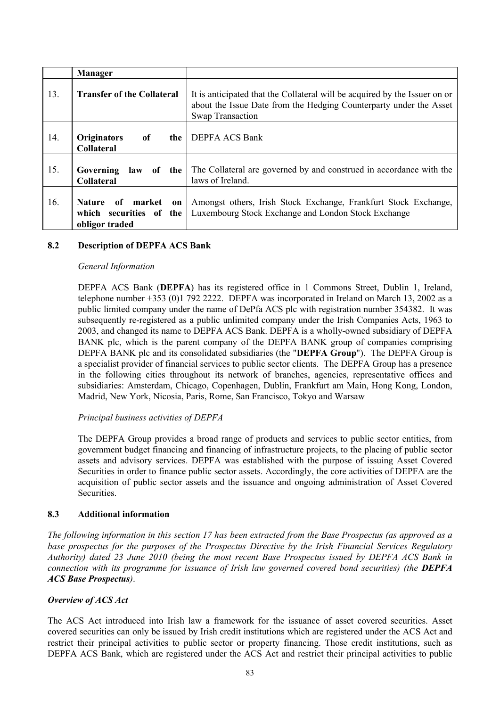|     | <b>Manager</b>                                                         |                                                                                                                                                                             |
|-----|------------------------------------------------------------------------|-----------------------------------------------------------------------------------------------------------------------------------------------------------------------------|
| 13. | <b>Transfer of the Collateral</b>                                      | It is anticipated that the Collateral will be acquired by the Issuer on or<br>about the Issue Date from the Hedging Counterparty under the Asset<br><b>Swap Transaction</b> |
| 14. | <b>Originators</b><br>of<br>the<br><b>Collateral</b>                   | <b>DEPFA ACS Bank</b>                                                                                                                                                       |
| 15. | Governing<br>law<br>of the<br><b>Collateral</b>                        | The Collateral are governed by and construed in accordance with the<br>laws of Ireland.                                                                                     |
| 16. | market<br>Nature of<br>on<br>which securities of the<br>obligor traded | Amongst others, Irish Stock Exchange, Frankfurt Stock Exchange,<br>Luxembourg Stock Exchange and London Stock Exchange                                                      |

# **8.2 Description of DEPFA ACS Bank**

#### *General Information*

DEPFA ACS Bank (**DEPFA**) has its registered office in 1 Commons Street, Dublin 1, Ireland, telephone number +353 (0)1 792 2222. DEPFA was incorporated in Ireland on March 13, 2002 as a public limited company under the name of DePfa ACS plc with registration number 354382. It was subsequently re-registered as a public unlimited company under the Irish Companies Acts, 1963 to 2003, and changed its name to DEPFA ACS Bank. DEPFA is a wholly-owned subsidiary of DEPFA BANK plc, which is the parent company of the DEPFA BANK group of companies comprising DEPFA BANK plc and its consolidated subsidiaries (the "**DEPFA Group**"). The DEPFA Group is a specialist provider of financial services to public sector clients. The DEPFA Group has a presence in the following cities throughout its network of branches, agencies, representative offices and subsidiaries: Amsterdam, Chicago, Copenhagen, Dublin, Frankfurt am Main, Hong Kong, London, Madrid, New York, Nicosia, Paris, Rome, San Francisco, Tokyo and Warsaw

### *Principal business activities of DEPFA*

The DEPFA Group provides a broad range of products and services to public sector entities, from government budget financing and financing of infrastructure projects, to the placing of public sector assets and advisory services. DEPFA was established with the purpose of issuing Asset Covered Securities in order to finance public sector assets. Accordingly, the core activities of DEPFA are the acquisition of public sector assets and the issuance and ongoing administration of Asset Covered **Securities** 

### **8.3 Additional information**

*The following information in this section 17 has been extracted from the Base Prospectus (as approved as a base prospectus for the purposes of the Prospectus Directive by the Irish Financial Services Regulatory Authority) dated 23 June 2010 (being the most recent Base Prospectus issued by DEPFA ACS Bank in connection with its programme for issuance of Irish law governed covered bond securities) (the DEPFA ACS Base Prospectus)*.

### *Overview of ACS Act*

The ACS Act introduced into Irish law a framework for the issuance of asset covered securities. Asset covered securities can only be issued by Irish credit institutions which are registered under the ACS Act and restrict their principal activities to public sector or property financing. Those credit institutions, such as DEPFA ACS Bank, which are registered under the ACS Act and restrict their principal activities to public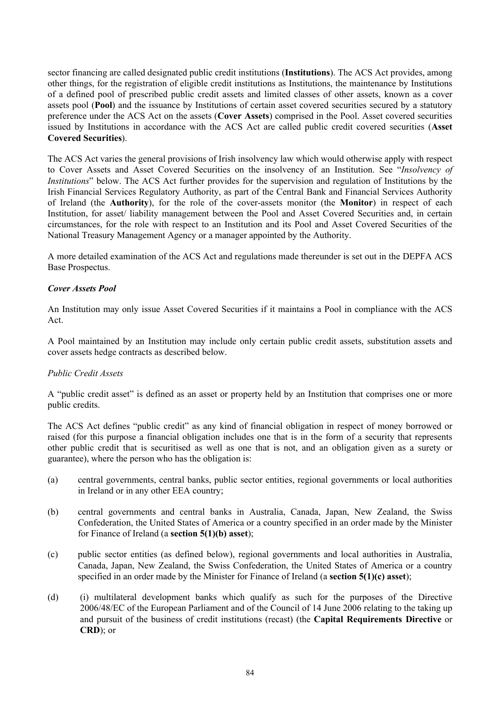sector financing are called designated public credit institutions (**Institutions**). The ACS Act provides, among other things, for the registration of eligible credit institutions as Institutions, the maintenance by Institutions of a defined pool of prescribed public credit assets and limited classes of other assets, known as a cover assets pool (**Pool**) and the issuance by Institutions of certain asset covered securities secured by a statutory preference under the ACS Act on the assets (**Cover Assets**) comprised in the Pool. Asset covered securities issued by Institutions in accordance with the ACS Act are called public credit covered securities (**Asset Covered Securities**).

The ACS Act varies the general provisions of Irish insolvency law which would otherwise apply with respect to Cover Assets and Asset Covered Securities on the insolvency of an Institution. See "*Insolvency of Institutions*" below. The ACS Act further provides for the supervision and regulation of Institutions by the Irish Financial Services Regulatory Authority, as part of the Central Bank and Financial Services Authority of Ireland (the **Authority**), for the role of the cover-assets monitor (the **Monitor**) in respect of each Institution, for asset/ liability management between the Pool and Asset Covered Securities and, in certain circumstances, for the role with respect to an Institution and its Pool and Asset Covered Securities of the National Treasury Management Agency or a manager appointed by the Authority.

A more detailed examination of the ACS Act and regulations made thereunder is set out in the DEPFA ACS Base Prospectus.

### *Cover Assets Pool*

An Institution may only issue Asset Covered Securities if it maintains a Pool in compliance with the ACS Act.

A Pool maintained by an Institution may include only certain public credit assets, substitution assets and cover assets hedge contracts as described below.

### *Public Credit Assets*

A "public credit asset" is defined as an asset or property held by an Institution that comprises one or more public credits.

The ACS Act defines "public credit" as any kind of financial obligation in respect of money borrowed or raised (for this purpose a financial obligation includes one that is in the form of a security that represents other public credit that is securitised as well as one that is not, and an obligation given as a surety or guarantee), where the person who has the obligation is:

- (a) central governments, central banks, public sector entities, regional governments or local authorities in Ireland or in any other EEA country;
- (b) central governments and central banks in Australia, Canada, Japan, New Zealand, the Swiss Confederation, the United States of America or a country specified in an order made by the Minister for Finance of Ireland (a **section 5(1)(b) asset**);
- (c) public sector entities (as defined below), regional governments and local authorities in Australia, Canada, Japan, New Zealand, the Swiss Confederation, the United States of America or a country specified in an order made by the Minister for Finance of Ireland (a **section 5(1)(c) asset**);
- (d) (i) multilateral development banks which qualify as such for the purposes of the Directive 2006/48/EC of the European Parliament and of the Council of 14 June 2006 relating to the taking up and pursuit of the business of credit institutions (recast) (the **Capital Requirements Directive** or **CRD**); or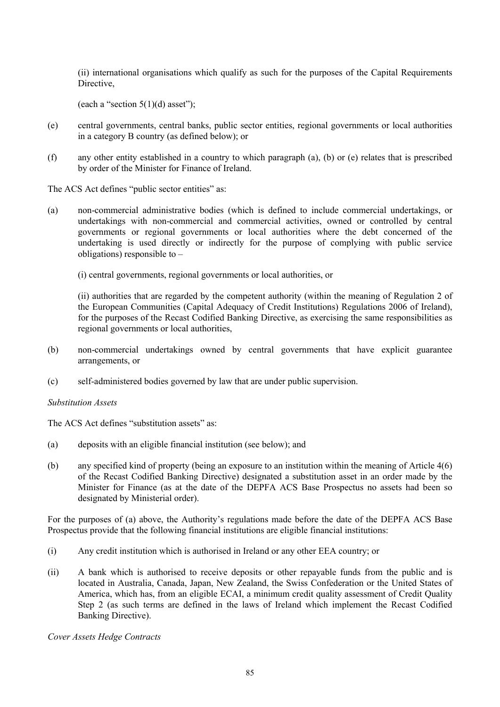(ii) international organisations which qualify as such for the purposes of the Capital Requirements Directive,

(each a "section  $5(1)(d)$  asset");

- (e) central governments, central banks, public sector entities, regional governments or local authorities in a category B country (as defined below); or
- (f) any other entity established in a country to which paragraph (a), (b) or (e) relates that is prescribed by order of the Minister for Finance of Ireland.

The ACS Act defines "public sector entities" as:

- (a) non-commercial administrative bodies (which is defined to include commercial undertakings, or undertakings with non-commercial and commercial activities, owned or controlled by central governments or regional governments or local authorities where the debt concerned of the undertaking is used directly or indirectly for the purpose of complying with public service obligations) responsible to –
	- (i) central governments, regional governments or local authorities, or

(ii) authorities that are regarded by the competent authority (within the meaning of Regulation 2 of the European Communities (Capital Adequacy of Credit Institutions) Regulations 2006 of Ireland), for the purposes of the Recast Codified Banking Directive, as exercising the same responsibilities as regional governments or local authorities,

- (b) non-commercial undertakings owned by central governments that have explicit guarantee arrangements, or
- (c) self-administered bodies governed by law that are under public supervision.

#### *Substitution Assets*

The ACS Act defines "substitution assets" as:

- (a) deposits with an eligible financial institution (see below); and
- (b) any specified kind of property (being an exposure to an institution within the meaning of Article 4(6) of the Recast Codified Banking Directive) designated a substitution asset in an order made by the Minister for Finance (as at the date of the DEPFA ACS Base Prospectus no assets had been so designated by Ministerial order).

For the purposes of (a) above, the Authority's regulations made before the date of the DEPFA ACS Base Prospectus provide that the following financial institutions are eligible financial institutions:

- (i) Any credit institution which is authorised in Ireland or any other EEA country; or
- (ii) A bank which is authorised to receive deposits or other repayable funds from the public and is located in Australia, Canada, Japan, New Zealand, the Swiss Confederation or the United States of America, which has, from an eligible ECAI, a minimum credit quality assessment of Credit Quality Step 2 (as such terms are defined in the laws of Ireland which implement the Recast Codified Banking Directive).

*Cover Assets Hedge Contracts*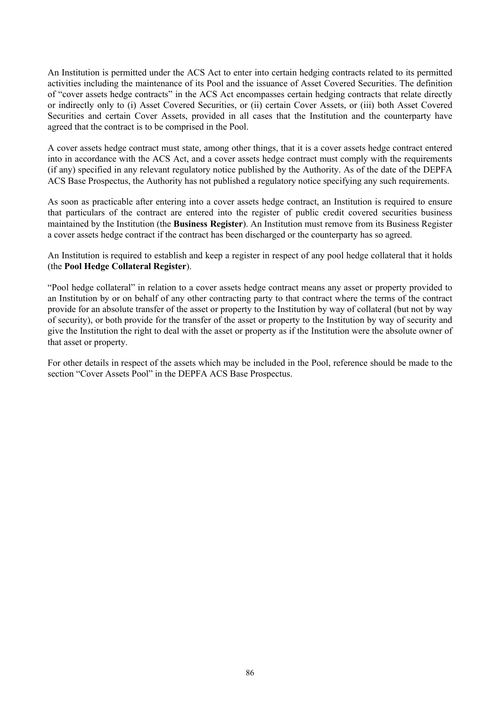An Institution is permitted under the ACS Act to enter into certain hedging contracts related to its permitted activities including the maintenance of its Pool and the issuance of Asset Covered Securities. The definition of "cover assets hedge contracts" in the ACS Act encompasses certain hedging contracts that relate directly or indirectly only to (i) Asset Covered Securities, or (ii) certain Cover Assets, or (iii) both Asset Covered Securities and certain Cover Assets, provided in all cases that the Institution and the counterparty have agreed that the contract is to be comprised in the Pool.

A cover assets hedge contract must state, among other things, that it is a cover assets hedge contract entered into in accordance with the ACS Act, and a cover assets hedge contract must comply with the requirements (if any) specified in any relevant regulatory notice published by the Authority. As of the date of the DEPFA ACS Base Prospectus, the Authority has not published a regulatory notice specifying any such requirements.

As soon as practicable after entering into a cover assets hedge contract, an Institution is required to ensure that particulars of the contract are entered into the register of public credit covered securities business maintained by the Institution (the **Business Register**). An Institution must remove from its Business Register a cover assets hedge contract if the contract has been discharged or the counterparty has so agreed.

An Institution is required to establish and keep a register in respect of any pool hedge collateral that it holds (the **Pool Hedge Collateral Register**).

"Pool hedge collateral" in relation to a cover assets hedge contract means any asset or property provided to an Institution by or on behalf of any other contracting party to that contract where the terms of the contract provide for an absolute transfer of the asset or property to the Institution by way of collateral (but not by way of security), or both provide for the transfer of the asset or property to the Institution by way of security and give the Institution the right to deal with the asset or property as if the Institution were the absolute owner of that asset or property.

For other details in respect of the assets which may be included in the Pool, reference should be made to the section "Cover Assets Pool" in the DEPFA ACS Base Prospectus.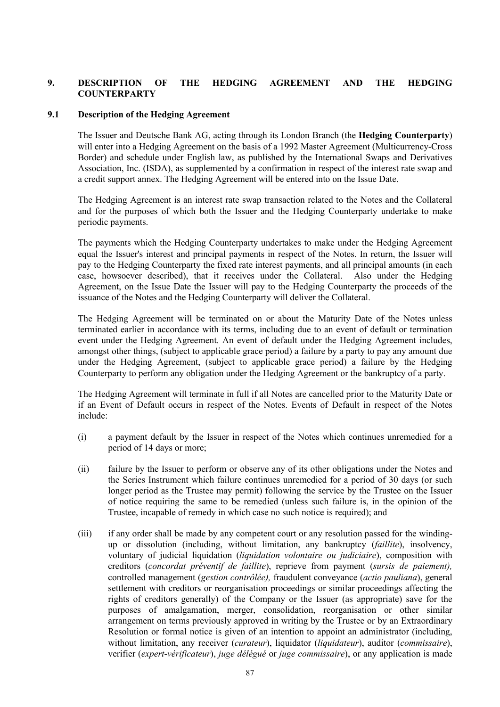# **9. DESCRIPTION OF THE HEDGING AGREEMENT AND THE HEDGING COUNTERPARTY**

## **9.1 Description of the Hedging Agreement**

The Issuer and Deutsche Bank AG, acting through its London Branch (the **Hedging Counterparty**) will enter into a Hedging Agreement on the basis of a 1992 Master Agreement (Multicurrency-Cross Border) and schedule under English law, as published by the International Swaps and Derivatives Association, Inc. (ISDA), as supplemented by a confirmation in respect of the interest rate swap and a credit support annex. The Hedging Agreement will be entered into on the Issue Date.

The Hedging Agreement is an interest rate swap transaction related to the Notes and the Collateral and for the purposes of which both the Issuer and the Hedging Counterparty undertake to make periodic payments.

The payments which the Hedging Counterparty undertakes to make under the Hedging Agreement equal the Issuer's interest and principal payments in respect of the Notes. In return, the Issuer will pay to the Hedging Counterparty the fixed rate interest payments, and all principal amounts (in each case, howsoever described), that it receives under the Collateral. Also under the Hedging Agreement, on the Issue Date the Issuer will pay to the Hedging Counterparty the proceeds of the issuance of the Notes and the Hedging Counterparty will deliver the Collateral.

The Hedging Agreement will be terminated on or about the Maturity Date of the Notes unless terminated earlier in accordance with its terms, including due to an event of default or termination event under the Hedging Agreement. An event of default under the Hedging Agreement includes, amongst other things, (subject to applicable grace period) a failure by a party to pay any amount due under the Hedging Agreement, (subject to applicable grace period) a failure by the Hedging Counterparty to perform any obligation under the Hedging Agreement or the bankruptcy of a party.

The Hedging Agreement will terminate in full if all Notes are cancelled prior to the Maturity Date or if an Event of Default occurs in respect of the Notes. Events of Default in respect of the Notes include:

- (i) a payment default by the Issuer in respect of the Notes which continues unremedied for a period of 14 days or more;
- (ii) failure by the Issuer to perform or observe any of its other obligations under the Notes and the Series Instrument which failure continues unremedied for a period of 30 days (or such longer period as the Trustee may permit) following the service by the Trustee on the Issuer of notice requiring the same to be remedied (unless such failure is, in the opinion of the Trustee, incapable of remedy in which case no such notice is required); and
- (iii) if any order shall be made by any competent court or any resolution passed for the windingup or dissolution (including, without limitation, any bankruptcy (*faillite*), insolvency, voluntary of judicial liquidation (*liquidation volontaire ou judiciaire*), composition with creditors (*concordat préventif de faillite*), reprieve from payment (*sursis de paiement),*  controlled management (*gestion contrôlée),* fraudulent conveyance (*actio pauliana*), general settlement with creditors or reorganisation proceedings or similar proceedings affecting the rights of creditors generally) of the Company or the Issuer (as appropriate) save for the purposes of amalgamation, merger, consolidation, reorganisation or other similar arrangement on terms previously approved in writing by the Trustee or by an Extraordinary Resolution or formal notice is given of an intention to appoint an administrator (including, without limitation, any receiver (*curateur*), liquidator (*liquidateur*), auditor (*commissaire*), verifier (*expert-vérificateur*), *juge délégué* or *juge commissaire*), or any application is made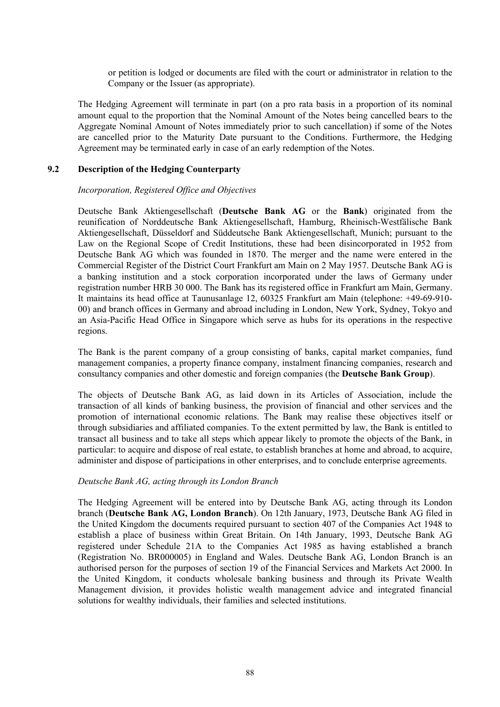or petition is lodged or documents are filed with the court or administrator in relation to the Company or the Issuer (as appropriate).

The Hedging Agreement will terminate in part (on a pro rata basis in a proportion of its nominal amount equal to the proportion that the Nominal Amount of the Notes being cancelled bears to the Aggregate Nominal Amount of Notes immediately prior to such cancellation) if some of the Notes are cancelled prior to the Maturity Date pursuant to the Conditions. Furthermore, the Hedging Agreement may be terminated early in case of an early redemption of the Notes.

#### **9.2 Description of the Hedging Counterparty**

#### *Incorporation, Registered Office and Objectives*

Deutsche Bank Aktiengesellschaft (**Deutsche Bank AG** or the **Bank**) originated from the reunification of Norddeutsche Bank Aktiengesellschaft, Hamburg, Rheinisch-Westfälische Bank Aktiengesellschaft, Düsseldorf and Süddeutsche Bank Aktiengesellschaft, Munich; pursuant to the Law on the Regional Scope of Credit Institutions, these had been disincorporated in 1952 from Deutsche Bank AG which was founded in 1870. The merger and the name were entered in the Commercial Register of the District Court Frankfurt am Main on 2 May 1957. Deutsche Bank AG is a banking institution and a stock corporation incorporated under the laws of Germany under registration number HRB 30 000. The Bank has its registered office in Frankfurt am Main, Germany. It maintains its head office at Taunusanlage 12, 60325 Frankfurt am Main (telephone: +49-69-910- 00) and branch offices in Germany and abroad including in London, New York, Sydney, Tokyo and an Asia-Pacific Head Office in Singapore which serve as hubs for its operations in the respective regions.

The Bank is the parent company of a group consisting of banks, capital market companies, fund management companies, a property finance company, instalment financing companies, research and consultancy companies and other domestic and foreign companies (the **Deutsche Bank Group**).

The objects of Deutsche Bank AG, as laid down in its Articles of Association, include the transaction of all kinds of banking business, the provision of financial and other services and the promotion of international economic relations. The Bank may realise these objectives itself or through subsidiaries and affiliated companies. To the extent permitted by law, the Bank is entitled to transact all business and to take all steps which appear likely to promote the objects of the Bank, in particular: to acquire and dispose of real estate, to establish branches at home and abroad, to acquire, administer and dispose of participations in other enterprises, and to conclude enterprise agreements.

#### *Deutsche Bank AG, acting through its London Branch*

The Hedging Agreement will be entered into by Deutsche Bank AG, acting through its London branch (**Deutsche Bank AG, London Branch**). On 12th January, 1973, Deutsche Bank AG filed in the United Kingdom the documents required pursuant to section 407 of the Companies Act 1948 to establish a place of business within Great Britain. On 14th January, 1993, Deutsche Bank AG registered under Schedule 21A to the Companies Act 1985 as having established a branch (Registration No. BR000005) in England and Wales. Deutsche Bank AG, London Branch is an authorised person for the purposes of section 19 of the Financial Services and Markets Act 2000. In the United Kingdom, it conducts wholesale banking business and through its Private Wealth Management division, it provides holistic wealth management advice and integrated financial solutions for wealthy individuals, their families and selected institutions.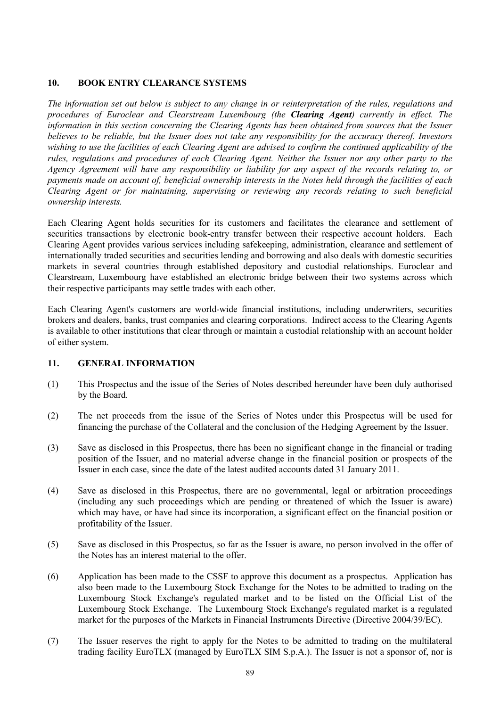# **10. BOOK ENTRY CLEARANCE SYSTEMS**

*The information set out below is subject to any change in or reinterpretation of the rules, regulations and procedures of Euroclear and Clearstream Luxembourg (the Clearing Agent) currently in effect. The information in this section concerning the Clearing Agents has been obtained from sources that the Issuer believes to be reliable, but the Issuer does not take any responsibility for the accuracy thereof. Investors wishing to use the facilities of each Clearing Agent are advised to confirm the continued applicability of the rules, regulations and procedures of each Clearing Agent. Neither the Issuer nor any other party to the Agency Agreement will have any responsibility or liability for any aspect of the records relating to, or payments made on account of, beneficial ownership interests in the Notes held through the facilities of each Clearing Agent or for maintaining, supervising or reviewing any records relating to such beneficial ownership interests.*

Each Clearing Agent holds securities for its customers and facilitates the clearance and settlement of securities transactions by electronic book-entry transfer between their respective account holders. Each Clearing Agent provides various services including safekeeping, administration, clearance and settlement of internationally traded securities and securities lending and borrowing and also deals with domestic securities markets in several countries through established depository and custodial relationships. Euroclear and Clearstream, Luxembourg have established an electronic bridge between their two systems across which their respective participants may settle trades with each other.

Each Clearing Agent's customers are world-wide financial institutions, including underwriters, securities brokers and dealers, banks, trust companies and clearing corporations. Indirect access to the Clearing Agents is available to other institutions that clear through or maintain a custodial relationship with an account holder of either system.

# **11. GENERAL INFORMATION**

- (1) This Prospectus and the issue of the Series of Notes described hereunder have been duly authorised by the Board.
- (2) The net proceeds from the issue of the Series of Notes under this Prospectus will be used for financing the purchase of the Collateral and the conclusion of the Hedging Agreement by the Issuer.
- (3) Save as disclosed in this Prospectus, there has been no significant change in the financial or trading position of the Issuer, and no material adverse change in the financial position or prospects of the Issuer in each case, since the date of the latest audited accounts dated 31 January 2011.
- (4) Save as disclosed in this Prospectus, there are no governmental, legal or arbitration proceedings (including any such proceedings which are pending or threatened of which the Issuer is aware) which may have, or have had since its incorporation, a significant effect on the financial position or profitability of the Issuer.
- (5) Save as disclosed in this Prospectus, so far as the Issuer is aware, no person involved in the offer of the Notes has an interest material to the offer.
- (6) Application has been made to the CSSF to approve this document as a prospectus. Application has also been made to the Luxembourg Stock Exchange for the Notes to be admitted to trading on the Luxembourg Stock Exchange's regulated market and to be listed on the Official List of the Luxembourg Stock Exchange. The Luxembourg Stock Exchange's regulated market is a regulated market for the purposes of the Markets in Financial Instruments Directive (Directive 2004/39/EC).
- (7) The Issuer reserves the right to apply for the Notes to be admitted to trading on the multilateral trading facility EuroTLX (managed by EuroTLX SIM S.p.A.). The Issuer is not a sponsor of, nor is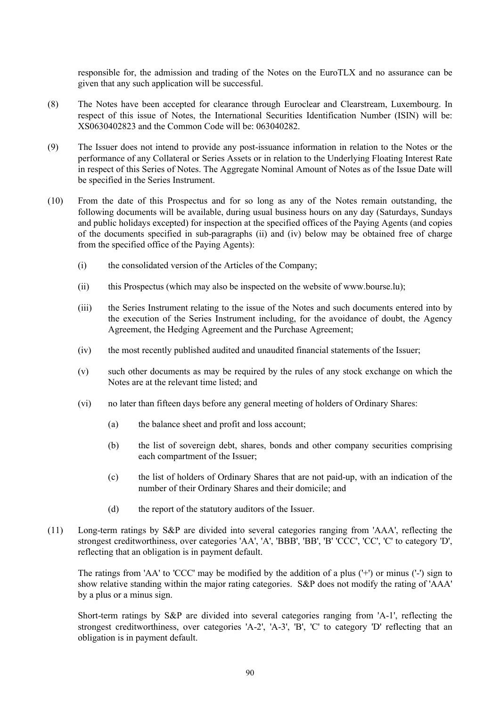responsible for, the admission and trading of the Notes on the EuroTLX and no assurance can be given that any such application will be successful.

- (8) The Notes have been accepted for clearance through Euroclear and Clearstream, Luxembourg. In respect of this issue of Notes, the International Securities Identification Number (ISIN) will be: XS0630402823 and the Common Code will be: 063040282.
- (9) The Issuer does not intend to provide any post-issuance information in relation to the Notes or the performance of any Collateral or Series Assets or in relation to the Underlying Floating Interest Rate in respect of this Series of Notes. The Aggregate Nominal Amount of Notes as of the Issue Date will be specified in the Series Instrument.
- (10) From the date of this Prospectus and for so long as any of the Notes remain outstanding, the following documents will be available, during usual business hours on any day (Saturdays, Sundays and public holidays excepted) for inspection at the specified offices of the Paying Agents (and copies of the documents specified in sub-paragraphs (ii) and (iv) below may be obtained free of charge from the specified office of the Paying Agents):
	- (i) the consolidated version of the Articles of the Company;
	- (ii) this Prospectus (which may also be inspected on the website of w[ww.bourse.lu\);](www.bourse.lu);)
	- (iii) the Series Instrument relating to the issue of the Notes and such documents entered into by the execution of the Series Instrument including, for the avoidance of doubt, the Agency Agreement, the Hedging Agreement and the Purchase Agreement;
	- (iv) the most recently published audited and unaudited financial statements of the Issuer;
	- (v) such other documents as may be required by the rules of any stock exchange on which the Notes are at the relevant time listed; and
	- (vi) no later than fifteen days before any general meeting of holders of Ordinary Shares:
		- (a) the balance sheet and profit and loss account;
		- (b) the list of sovereign debt, shares, bonds and other company securities comprising each compartment of the Issuer;
		- (c) the list of holders of Ordinary Shares that are not paid-up, with an indication of the number of their Ordinary Shares and their domicile; and
		- (d) the report of the statutory auditors of the Issuer.
- (11) Long-term ratings by S&P are divided into several categories ranging from 'AAA', reflecting the strongest creditworthiness, over categories 'AA', 'A', 'BBB', 'BB', 'B' 'CCC', 'CC', 'C' to category 'D', reflecting that an obligation is in payment default.

The ratings from 'AA' to 'CCC' may be modified by the addition of a plus ('+') or minus ('-') sign to show relative standing within the major rating categories. S&P does not modify the rating of 'AAA' by a plus or a minus sign.

Short-term ratings by S&P are divided into several categories ranging from 'A-1', reflecting the strongest creditworthiness, over categories 'A-2', 'A-3', 'B', 'C' to category 'D' reflecting that an obligation is in payment default.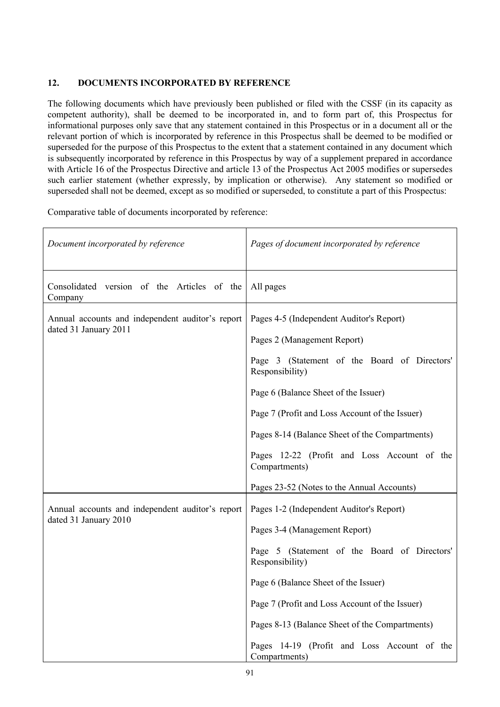# **12. DOCUMENTS INCORPORATED BY REFERENCE**

The following documents which have previously been published or filed with the CSSF (in its capacity as competent authority), shall be deemed to be incorporated in, and to form part of, this Prospectus for informational purposes only save that any statement contained in this Prospectus or in a document all or the relevant portion of which is incorporated by reference in this Prospectus shall be deemed to be modified or superseded for the purpose of this Prospectus to the extent that a statement contained in any document which is subsequently incorporated by reference in this Prospectus by way of a supplement prepared in accordance with Article 16 of the Prospectus Directive and article 13 of the Prospectus Act 2005 modifies or supersedes such earlier statement (whether expressly, by implication or otherwise). Any statement so modified or superseded shall not be deemed, except as so modified or superseded, to constitute a part of this Prospectus:

Comparative table of documents incorporated by reference:

| Document incorporated by reference                                        | Pages of document incorporated by reference                                                                             |
|---------------------------------------------------------------------------|-------------------------------------------------------------------------------------------------------------------------|
| Consolidated version of the Articles of the<br>Company                    | All pages                                                                                                               |
| Annual accounts and independent auditor's report<br>dated 31 January 2011 | Pages 4-5 (Independent Auditor's Report)<br>Pages 2 (Management Report)<br>Page 3 (Statement of the Board of Directors' |
|                                                                           | Responsibility)                                                                                                         |
|                                                                           | Page 6 (Balance Sheet of the Issuer)                                                                                    |
|                                                                           | Page 7 (Profit and Loss Account of the Issuer)                                                                          |
|                                                                           | Pages 8-14 (Balance Sheet of the Compartments)                                                                          |
|                                                                           | Pages 12-22 (Profit and Loss Account of the<br>Compartments)                                                            |
|                                                                           | Pages 23-52 (Notes to the Annual Accounts)                                                                              |
| Annual accounts and independent auditor's report                          | Pages 1-2 (Independent Auditor's Report)                                                                                |
| dated 31 January 2010                                                     | Pages 3-4 (Management Report)                                                                                           |
|                                                                           | Page 5 (Statement of the Board of Directors'<br>Responsibility)                                                         |
|                                                                           | Page 6 (Balance Sheet of the Issuer)                                                                                    |
|                                                                           | Page 7 (Profit and Loss Account of the Issuer)                                                                          |
|                                                                           | Pages 8-13 (Balance Sheet of the Compartments)                                                                          |
|                                                                           | Pages 14-19 (Profit and Loss Account of the<br>Compartments)                                                            |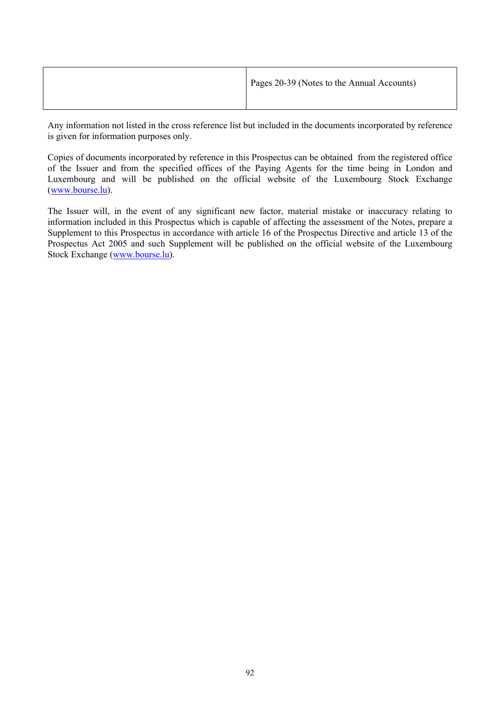| Pages 20-39 (Notes to the Annual Accounts) |
|--------------------------------------------|
|                                            |

Any information not listed in the cross reference list but included in the documents incorporated by reference is given for information purposes only.

Copies of documents incorporated by reference in this Prospectus can be obtained from the registered office of the Issuer and from the specified offices of the Paying Agents for the time being in London and Luxembourg and will be published on the official website of the Luxembourg Stock Exchange [\(w](http://www.bourse.lu/)[ww.bourse.lu\)](www.bourse.lu).

The Issuer will, in the event of any significant new factor, material mistake or inaccuracy relating to information included in this Prospectus which is capable of affecting the assessment of the Notes, prepare a Supplement to this Prospectus in accordance with article 16 of the Prospectus Directive and article 13 of the Prospectus Act 2005 and such Supplement will be published on the official website of the Luxembourg Stock Exchange [\(w](http://www.bourse.lu/)[ww.bourse.lu\)](www.bourse.lu).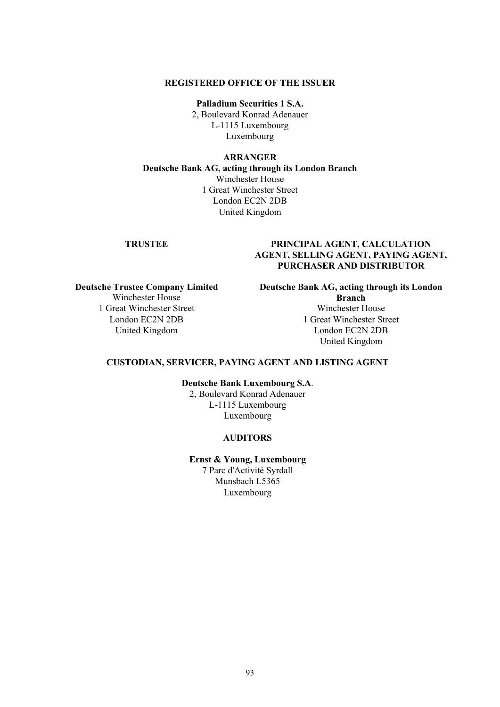#### **REGISTERED OFFICE OF THE ISSUER**

**Palladium Securities 1 S.A.** 2, Boulevard Konrad Adenauer L-1115 Luxembourg Luxembourg

#### **ARRANGER**

**Deutsche Bank AG, acting through its London Branch** Winchester House 1 Great Winchester Street London EC2N 2DB United Kingdom

# **TRUSTEE PRINCIPAL AGENT, CALCULATION AGENT, SELLING AGENT, PAYING AGENT, PURCHASER AND DISTRIBUTOR**

**Deutsche Trustee Company Limited** Winchester House 1 Great Winchester Street London EC2N 2DB United Kingdom

**Deutsche Bank AG, acting through its London Branch** Winchester House

1 Great Winchester Street London EC2N 2DB United Kingdom

#### **CUSTODIAN, SERVICER, PAYING AGENT AND LISTING AGENT**

**Deutsche Bank Luxembourg S.A**.

2, Boulevard Konrad Adenauer L-1115 Luxembourg Luxembourg

#### **AUDITORS**

**Ernst & Young, Luxembourg** 7 Parc d'Activité Syrdall

Munsbach L5365 Luxembourg